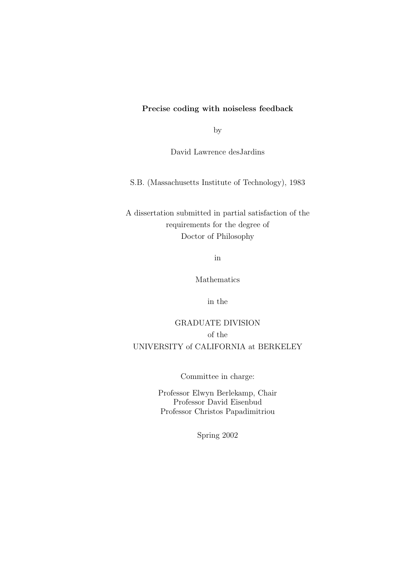#### Precise coding with noiseless feedback

by

David Lawrence desJardins

S.B. (Massachusetts Institute of Technology), 1983

A dissertation submitted in partial satisfaction of the requirements for the degree of Doctor of Philosophy

in

Mathematics

in the

GRADUATE DIVISION of the UNIVERSITY of CALIFORNIA at BERKELEY

Committee in charge:

Professor Elwyn Berlekamp, Chair Professor David Eisenbud Professor Christos Papadimitriou

Spring 2002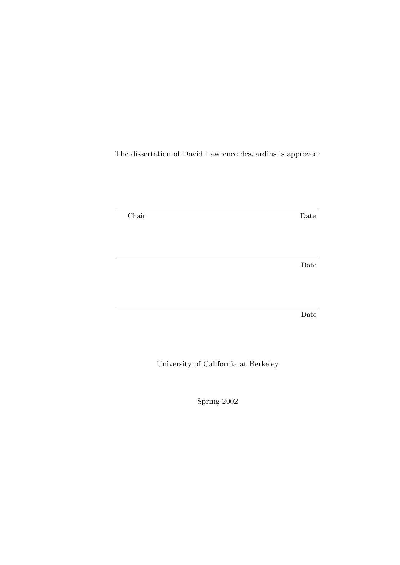The dissertation of David Lawrence desJardins is approved:

Chair Date

Date

Date

University of California at Berkeley

Spring 2002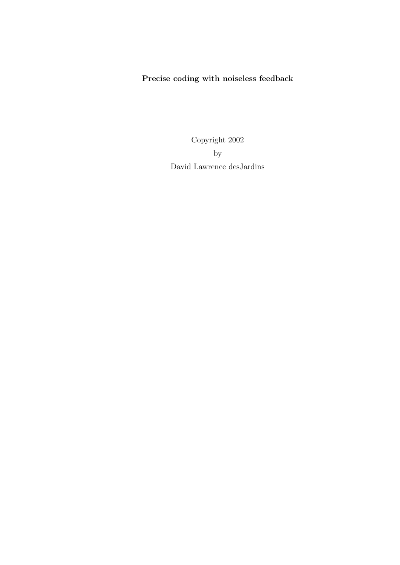#### Precise coding with noiseless feedback

Copyright 2002 by David Lawrence desJardins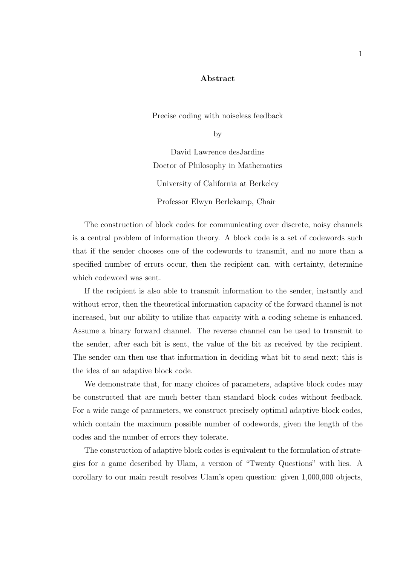#### Abstract

Precise coding with noiseless feedback

by

David Lawrence desJardins Doctor of Philosophy in Mathematics University of California at Berkeley Professor Elwyn Berlekamp, Chair

The construction of block codes for communicating over discrete, noisy channels is a central problem of information theory. A block code is a set of codewords such that if the sender chooses one of the codewords to transmit, and no more than a specified number of errors occur, then the recipient can, with certainty, determine which codeword was sent.

If the recipient is also able to transmit information to the sender, instantly and without error, then the theoretical information capacity of the forward channel is not increased, but our ability to utilize that capacity with a coding scheme is enhanced. Assume a binary forward channel. The reverse channel can be used to transmit to the sender, after each bit is sent, the value of the bit as received by the recipient. The sender can then use that information in deciding what bit to send next; this is the idea of an adaptive block code.

We demonstrate that, for many choices of parameters, adaptive block codes may be constructed that are much better than standard block codes without feedback. For a wide range of parameters, we construct precisely optimal adaptive block codes, which contain the maximum possible number of codewords, given the length of the codes and the number of errors they tolerate.

The construction of adaptive block codes is equivalent to the formulation of strategies for a game described by Ulam, a version of "Twenty Questions" with lies. A corollary to our main result resolves Ulam's open question: given 1,000,000 objects,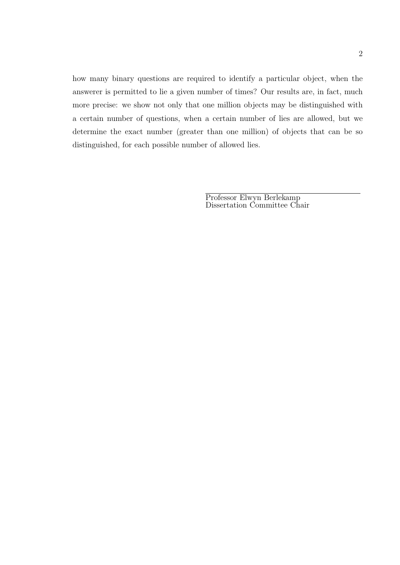how many binary questions are required to identify a particular object, when the answerer is permitted to lie a given number of times? Our results are, in fact, much more precise: we show not only that one million objects may be distinguished with a certain number of questions, when a certain number of lies are allowed, but we determine the exact number (greater than one million) of objects that can be so distinguished, for each possible number of allowed lies.

> Professor Elwyn Berlekamp Dissertation Committee Chair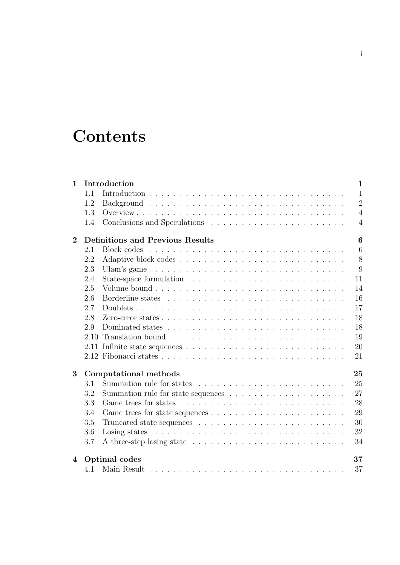# **Contents**

| $\mathbf 1$      | $\mathbf{1}$<br>Introduction                 |                                                                                                                                                                                                                               |                |  |  |  |  |
|------------------|----------------------------------------------|-------------------------------------------------------------------------------------------------------------------------------------------------------------------------------------------------------------------------------|----------------|--|--|--|--|
|                  | 1.1                                          |                                                                                                                                                                                                                               | $\mathbf{1}$   |  |  |  |  |
|                  | 1.2                                          |                                                                                                                                                                                                                               | $\overline{2}$ |  |  |  |  |
|                  | 1.3                                          |                                                                                                                                                                                                                               | $\overline{4}$ |  |  |  |  |
|                  | 1.4                                          |                                                                                                                                                                                                                               | $\overline{4}$ |  |  |  |  |
| $\mathbf{2}$     | <b>Definitions and Previous Results</b><br>6 |                                                                                                                                                                                                                               |                |  |  |  |  |
|                  | 2.1                                          | Block codes                                                                                                                                                                                                                   | 6              |  |  |  |  |
|                  | 2.2                                          |                                                                                                                                                                                                                               | 8              |  |  |  |  |
|                  | 2.3                                          | Ulam's game                                                                                                                                                                                                                   | 9              |  |  |  |  |
|                  | 2.4                                          |                                                                                                                                                                                                                               | 11             |  |  |  |  |
|                  | 2.5                                          |                                                                                                                                                                                                                               | 14             |  |  |  |  |
|                  | 2.6                                          |                                                                                                                                                                                                                               | 16             |  |  |  |  |
|                  | 2.7                                          |                                                                                                                                                                                                                               | 17             |  |  |  |  |
|                  | 2.8                                          |                                                                                                                                                                                                                               | 18             |  |  |  |  |
|                  | 2.9                                          |                                                                                                                                                                                                                               | 18             |  |  |  |  |
|                  | 2.10                                         |                                                                                                                                                                                                                               | 19             |  |  |  |  |
|                  |                                              |                                                                                                                                                                                                                               | 20             |  |  |  |  |
|                  |                                              |                                                                                                                                                                                                                               | 21             |  |  |  |  |
| 3                | Computational methods<br>25                  |                                                                                                                                                                                                                               |                |  |  |  |  |
|                  | 3.1                                          |                                                                                                                                                                                                                               | 25             |  |  |  |  |
|                  | 3.2                                          |                                                                                                                                                                                                                               | 27             |  |  |  |  |
|                  | 3.3                                          | Game trees for states $\ldots \ldots \ldots \ldots \ldots \ldots \ldots \ldots \ldots \ldots$                                                                                                                                 | 28             |  |  |  |  |
|                  | 3.4                                          |                                                                                                                                                                                                                               | 29             |  |  |  |  |
|                  | 3.5                                          |                                                                                                                                                                                                                               | 30             |  |  |  |  |
|                  | 3.6                                          | Losing states resources in the set of the set of the set of the set of the set of the set of the set of the set of the set of the set of the set of the set of the set of the set of the set of the set of the set of the set | 32             |  |  |  |  |
|                  | 3.7                                          |                                                                                                                                                                                                                               | 34             |  |  |  |  |
| $\boldsymbol{4}$ | Optimal codes<br>37                          |                                                                                                                                                                                                                               |                |  |  |  |  |
|                  | 4.1                                          |                                                                                                                                                                                                                               | 37             |  |  |  |  |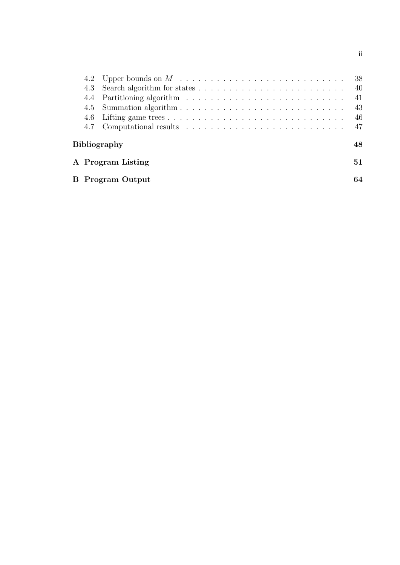|                         |  | - 38 |  |  |  |  |  |  |  |
|-------------------------|--|------|--|--|--|--|--|--|--|
|                         |  |      |  |  |  |  |  |  |  |
|                         |  | -41  |  |  |  |  |  |  |  |
|                         |  | 43   |  |  |  |  |  |  |  |
|                         |  | 46   |  |  |  |  |  |  |  |
|                         |  | -47  |  |  |  |  |  |  |  |
| Bibliography            |  |      |  |  |  |  |  |  |  |
| A Program Listing       |  |      |  |  |  |  |  |  |  |
| <b>B</b> Program Output |  |      |  |  |  |  |  |  |  |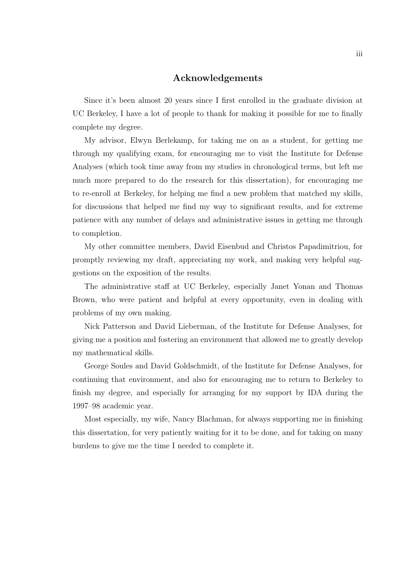#### Acknowledgements

Since it's been almost 20 years since I first enrolled in the graduate division at UC Berkeley, I have a lot of people to thank for making it possible for me to finally complete my degree.

My advisor, Elwyn Berlekamp, for taking me on as a student, for getting me through my qualifying exam, for encouraging me to visit the Institute for Defense Analyses (which took time away from my studies in chronological terms, but left me much more prepared to do the research for this dissertation), for encouraging me to re-enroll at Berkeley, for helping me find a new problem that matched my skills, for discussions that helped me find my way to significant results, and for extreme patience with any number of delays and administrative issues in getting me through to completion.

My other committee members, David Eisenbud and Christos Papadimitriou, for promptly reviewing my draft, appreciating my work, and making very helpful suggestions on the exposition of the results.

The administrative staff at UC Berkeley, especially Janet Yonan and Thomas Brown, who were patient and helpful at every opportunity, even in dealing with problems of my own making.

Nick Patterson and David Lieberman, of the Institute for Defense Analyses, for giving me a position and fostering an environment that allowed me to greatly develop my mathematical skills.

George Soules and David Goldschmidt, of the Institute for Defense Analyses, for continuing that environment, and also for encouraging me to return to Berkeley to finish my degree, and especially for arranging for my support by IDA during the 1997–98 academic year.

Most especially, my wife, Nancy Blachman, for always supporting me in finishing this dissertation, for very patiently waiting for it to be done, and for taking on many burdens to give me the time I needed to complete it.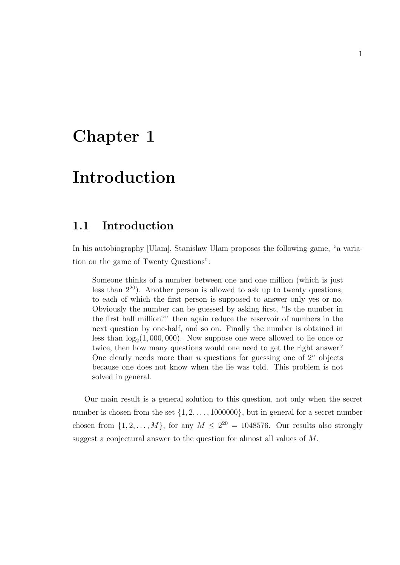## Chapter 1

## Introduction

### 1.1 Introduction

In his autobiography [Ulam], Stanislaw Ulam proposes the following game, "a variation on the game of Twenty Questions":

Someone thinks of a number between one and one million (which is just less than  $2^{20}$ ). Another person is allowed to ask up to twenty questions, to each of which the first person is supposed to answer only yes or no. Obviously the number can be guessed by asking first, "Is the number in the first half million?" then again reduce the reservoir of numbers in the next question by one-half, and so on. Finally the number is obtained in less than  $log_2(1,000,000)$ . Now suppose one were allowed to lie once or twice, then how many questions would one need to get the right answer? One clearly needs more than n questions for guessing one of  $2^n$  objects because one does not know when the lie was told. This problem is not solved in general.

Our main result is a general solution to this question, not only when the secret number is chosen from the set  $\{1, 2, \ldots, 1000000\}$ , but in general for a secret number chosen from  $\{1, 2, ..., M\}$ , for any  $M \leq 2^{20} = 1048576$ . Our results also strongly suggest a conjectural answer to the question for almost all values of M.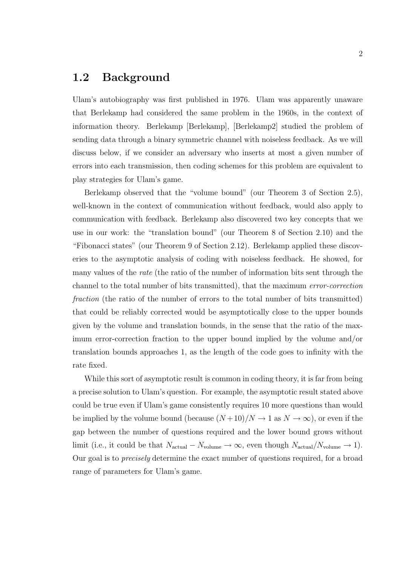#### 1.2 Background

Ulam's autobiography was first published in 1976. Ulam was apparently unaware that Berlekamp had considered the same problem in the 1960s, in the context of information theory. Berlekamp [Berlekamp], [Berlekamp2] studied the problem of sending data through a binary symmetric channel with noiseless feedback. As we will discuss below, if we consider an adversary who inserts at most a given number of errors into each transmission, then coding schemes for this problem are equivalent to play strategies for Ulam's game.

Berlekamp observed that the "volume bound" (our Theorem 3 of Section 2.5), well-known in the context of communication without feedback, would also apply to communication with feedback. Berlekamp also discovered two key concepts that we use in our work: the "translation bound" (our Theorem 8 of Section 2.10) and the "Fibonacci states" (our Theorem 9 of Section 2.12). Berlekamp applied these discoveries to the asymptotic analysis of coding with noiseless feedback. He showed, for many values of the *rate* (the ratio of the number of information bits sent through the channel to the total number of bits transmitted), that the maximum error-correction fraction (the ratio of the number of errors to the total number of bits transmitted) that could be reliably corrected would be asymptotically close to the upper bounds given by the volume and translation bounds, in the sense that the ratio of the maximum error-correction fraction to the upper bound implied by the volume and/or translation bounds approaches 1, as the length of the code goes to infinity with the rate fixed.

While this sort of asymptotic result is common in coding theory, it is far from being a precise solution to Ulam's question. For example, the asymptotic result stated above could be true even if Ulam's game consistently requires 10 more questions than would be implied by the volume bound (because  $(N+10)/N \rightarrow 1$  as  $N \rightarrow \infty$ ), or even if the gap between the number of questions required and the lower bound grows without limit (i.e., it could be that  $N_{\text{actual}} - N_{\text{volume}} \rightarrow \infty$ , even though  $N_{\text{actual}}/N_{\text{volume}} \rightarrow 1$ ). Our goal is to precisely determine the exact number of questions required, for a broad range of parameters for Ulam's game.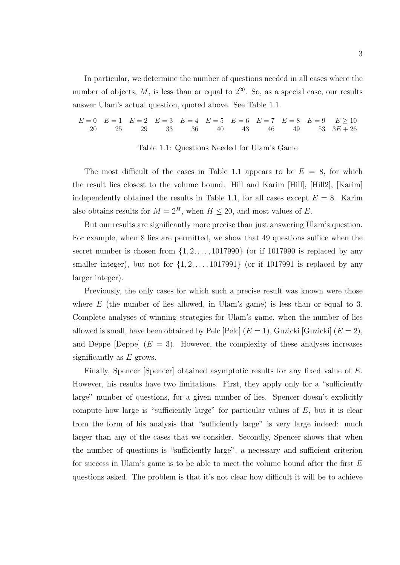In particular, we determine the number of questions needed in all cases where the number of objects,  $M$ , is less than or equal to  $2^{20}$ . So, as a special case, our results answer Ulam's actual question, quoted above. See Table 1.1.

 $E = 0$   $E = 1$   $E = 2$   $E = 3$   $E = 4$   $E = 5$   $E = 6$   $E = 7$   $E = 8$   $E = 9$   $E \ge 10$ 20 25 29 33 36 40 43 46 49 53  $3E + 26$ 

#### Table 1.1: Questions Needed for Ulam's Game

The most difficult of the cases in Table 1.1 appears to be  $E = 8$ , for which the result lies closest to the volume bound. Hill and Karim [Hill], [Hill2], [Karim] independently obtained the results in Table 1.1, for all cases except  $E = 8$ . Karim also obtains results for  $M = 2<sup>H</sup>$ , when  $H \le 20$ , and most values of E.

But our results are significantly more precise than just answering Ulam's question. For example, when 8 lies are permitted, we show that 49 questions suffice when the secret number is chosen from  $\{1, 2, \ldots, 1017990\}$  (or if 1017990 is replaced by any smaller integer), but not for  $\{1, 2, \ldots, 1017991\}$  (or if 1017991 is replaced by any larger integer).

Previously, the only cases for which such a precise result was known were those where  $E$  (the number of lies allowed, in Ulam's game) is less than or equal to 3. Complete analyses of winning strategies for Ulam's game, when the number of lies allowed is small, have been obtained by Pelc  $|Pe|$   $(E = 1)$ , Guzicki  $|Guzicki|$   $(E = 2)$ , and Deppe [Deppe]  $(E = 3)$ . However, the complexity of these analyses increases significantly as  $E$  grows.

Finally, Spencer [Spencer] obtained asymptotic results for any fixed value of E. However, his results have two limitations. First, they apply only for a "sufficiently large" number of questions, for a given number of lies. Spencer doesn't explicitly compute how large is "sufficiently large" for particular values of  $E$ , but it is clear from the form of his analysis that "sufficiently large" is very large indeed: much larger than any of the cases that we consider. Secondly, Spencer shows that when the number of questions is "sufficiently large", a necessary and sufficient criterion for success in Ulam's game is to be able to meet the volume bound after the first E questions asked. The problem is that it's not clear how difficult it will be to achieve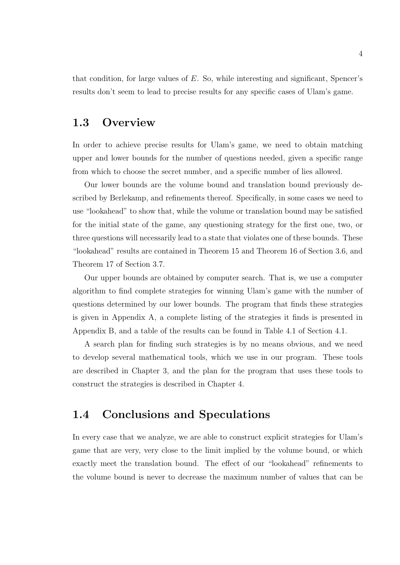that condition, for large values of  $E$ . So, while interesting and significant, Spencer's results don't seem to lead to precise results for any specific cases of Ulam's game.

#### 1.3 Overview

In order to achieve precise results for Ulam's game, we need to obtain matching upper and lower bounds for the number of questions needed, given a specific range from which to choose the secret number, and a specific number of lies allowed.

Our lower bounds are the volume bound and translation bound previously described by Berlekamp, and refinements thereof. Specifically, in some cases we need to use "lookahead" to show that, while the volume or translation bound may be satisfied for the initial state of the game, any questioning strategy for the first one, two, or three questions will necessarily lead to a state that violates one of these bounds. These "lookahead" results are contained in Theorem 15 and Theorem 16 of Section 3.6, and Theorem 17 of Section 3.7.

Our upper bounds are obtained by computer search. That is, we use a computer algorithm to find complete strategies for winning Ulam's game with the number of questions determined by our lower bounds. The program that finds these strategies is given in Appendix A, a complete listing of the strategies it finds is presented in Appendix B, and a table of the results can be found in Table 4.1 of Section 4.1.

A search plan for finding such strategies is by no means obvious, and we need to develop several mathematical tools, which we use in our program. These tools are described in Chapter 3, and the plan for the program that uses these tools to construct the strategies is described in Chapter 4.

#### 1.4 Conclusions and Speculations

In every case that we analyze, we are able to construct explicit strategies for Ulam's game that are very, very close to the limit implied by the volume bound, or which exactly meet the translation bound. The effect of our "lookahead" refinements to the volume bound is never to decrease the maximum number of values that can be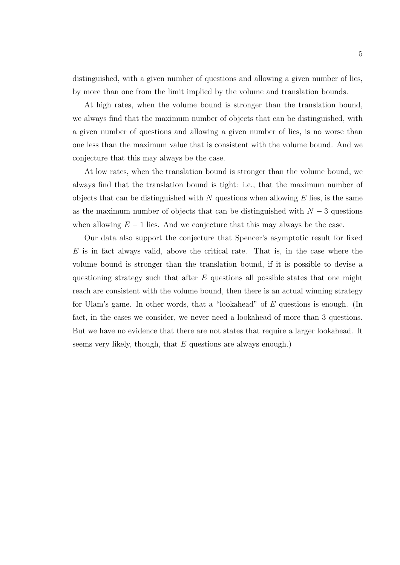distinguished, with a given number of questions and allowing a given number of lies, by more than one from the limit implied by the volume and translation bounds.

At high rates, when the volume bound is stronger than the translation bound, we always find that the maximum number of objects that can be distinguished, with a given number of questions and allowing a given number of lies, is no worse than one less than the maximum value that is consistent with the volume bound. And we conjecture that this may always be the case.

At low rates, when the translation bound is stronger than the volume bound, we always find that the translation bound is tight: i.e., that the maximum number of objects that can be distinguished with  $N$  questions when allowing  $E$  lies, is the same as the maximum number of objects that can be distinguished with  $N-3$  questions when allowing  $E - 1$  lies. And we conjecture that this may always be the case.

Our data also support the conjecture that Spencer's asymptotic result for fixed  $E$  is in fact always valid, above the critical rate. That is, in the case where the volume bound is stronger than the translation bound, if it is possible to devise a questioning strategy such that after  $E$  questions all possible states that one might reach are consistent with the volume bound, then there is an actual winning strategy for Ulam's game. In other words, that a "lookahead" of E questions is enough. (In fact, in the cases we consider, we never need a lookahead of more than 3 questions. But we have no evidence that there are not states that require a larger lookahead. It seems very likely, though, that  $E$  questions are always enough.)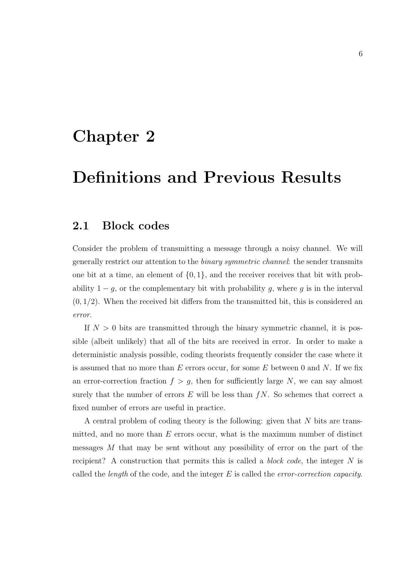## Chapter 2

# Definitions and Previous Results

### 2.1 Block codes

Consider the problem of transmitting a message through a noisy channel. We will generally restrict our attention to the binary symmetric channel: the sender transmits one bit at a time, an element of  $\{0, 1\}$ , and the receiver receives that bit with probability  $1 - g$ , or the complementary bit with probability g, where g is in the interval  $(0, 1/2)$ . When the received bit differs from the transmitted bit, this is considered an error.

If  $N > 0$  bits are transmitted through the binary symmetric channel, it is possible (albeit unlikely) that all of the bits are received in error. In order to make a deterministic analysis possible, coding theorists frequently consider the case where it is assumed that no more than  $E$  errors occur, for some  $E$  between 0 and  $N$ . If we fix an error-correction fraction  $f > g$ , then for sufficiently large N, we can say almost surely that the number of errors  $E$  will be less than  $fN$ . So schemes that correct a fixed number of errors are useful in practice.

A central problem of coding theory is the following: given that N bits are transmitted, and no more than  $E$  errors occur, what is the maximum number of distinct messages M that may be sent without any possibility of error on the part of the recipient? A construction that permits this is called a *block code*, the integer  $N$  is called the *length* of the code, and the integer  $E$  is called the *error-correction capacity*.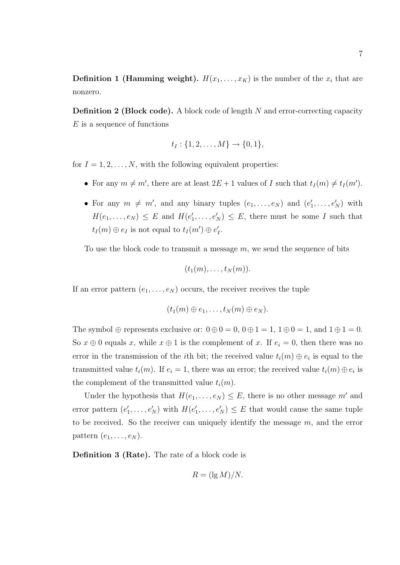**Definition 1 (Hamming weight).**  $H(x_1, \ldots, x_K)$  is the number of the  $x_i$  that are nonzero.

**Definition 2 (Block code).** A block code of length  $N$  and error-correcting capacity  $E$  is a sequence of functions

$$
t_I: \{1, 2, \ldots, M\} \to \{0, 1\},\
$$

for  $I = 1, 2, \ldots, N$ , with the following equivalent properties:

- For any  $m \neq m'$ , there are at least  $2E + 1$  values of I such that  $t<sub>I</sub>(m) \neq t<sub>I</sub>(m')$ .
- For any  $m \neq m'$ , and any binary tuples  $(e_1, \ldots, e_N)$  and  $(e'_1, \ldots, e_N)$  $i_1', \ldots, e'_N$  with  $H(e_1,\ldots,e_N) \leq E$  and  $H(e'_1)$  $P'_1, \ldots, P'_N$   $\leq E$ , there must be some I such that  $t_I(m) \oplus e_I$  is not equal to  $t_I(m') \oplus e_I'$  $_I^\prime$ .

To use the block code to transmit a message  $m$ , we send the sequence of bits

$$
(t_1(m),\ldots,t_N(m)).
$$

If an error pattern  $(e_1, \ldots, e_N)$  occurs, the receiver receives the tuple

$$
(t_1(m) \oplus e_1, \ldots, t_N(m) \oplus e_N).
$$

The symbol  $\oplus$  represents exclusive or:  $0 \oplus 0 = 0$ ,  $0 \oplus 1 = 1$ ,  $1 \oplus 0 = 1$ , and  $1 \oplus 1 = 0$ . So  $x \oplus 0$  equals x, while  $x \oplus 1$  is the complement of x. If  $e_i = 0$ , then there was no error in the transmission of the *i*<sup>th</sup> bit; the received value  $t_i(m) \oplus e_i$  is equal to the transmitted value  $t_i(m)$ . If  $e_i = 1$ , there was an error; the received value  $t_i(m) \oplus e_i$  is the complement of the transmitted value  $t_i(m)$ .

Under the hypothesis that  $H(e_1, \ldots, e_N) \leq E$ , there is no other message m' and error pattern  $(e_1)$  $f_1',\ldots,e_N'$ ) with  $H(e_1')$  $P'_1, \ldots, P'_N$   $\leq E$  that would cause the same tuple to be received. So the receiver can uniquely identify the message  $m$ , and the error pattern  $(e_1, \ldots, e_N)$ .

Definition 3 (Rate). The rate of a block code is

$$
R = (\lg M) / N.
$$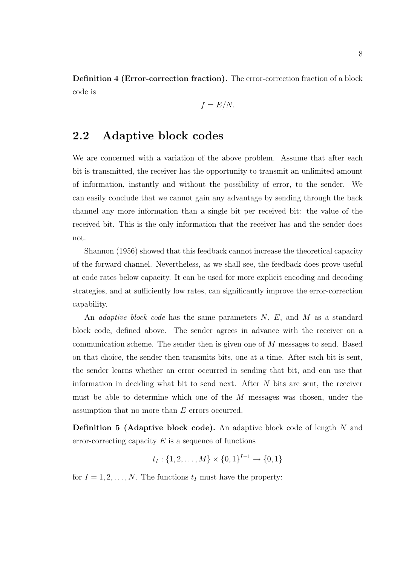Definition 4 (Error-correction fraction). The error-correction fraction of a block code is

$$
f = E/N.
$$

### 2.2 Adaptive block codes

We are concerned with a variation of the above problem. Assume that after each bit is transmitted, the receiver has the opportunity to transmit an unlimited amount of information, instantly and without the possibility of error, to the sender. We can easily conclude that we cannot gain any advantage by sending through the back channel any more information than a single bit per received bit: the value of the received bit. This is the only information that the receiver has and the sender does not.

Shannon (1956) showed that this feedback cannot increase the theoretical capacity of the forward channel. Nevertheless, as we shall see, the feedback does prove useful at code rates below capacity. It can be used for more explicit encoding and decoding strategies, and at sufficiently low rates, can significantly improve the error-correction capability.

An *adaptive block code* has the same parameters N, E, and M as a standard block code, defined above. The sender agrees in advance with the receiver on a communication scheme. The sender then is given one of M messages to send. Based on that choice, the sender then transmits bits, one at a time. After each bit is sent, the sender learns whether an error occurred in sending that bit, and can use that information in deciding what bit to send next. After N bits are sent, the receiver must be able to determine which one of the M messages was chosen, under the assumption that no more than E errors occurred.

Definition 5 (Adaptive block code). An adaptive block code of length N and error-correcting capacity  $E$  is a sequence of functions

$$
t_I: \{1, 2, \dots, M\} \times \{0, 1\}^{I-1} \to \{0, 1\}
$$

for  $I = 1, 2, ..., N$ . The functions  $t_I$  must have the property: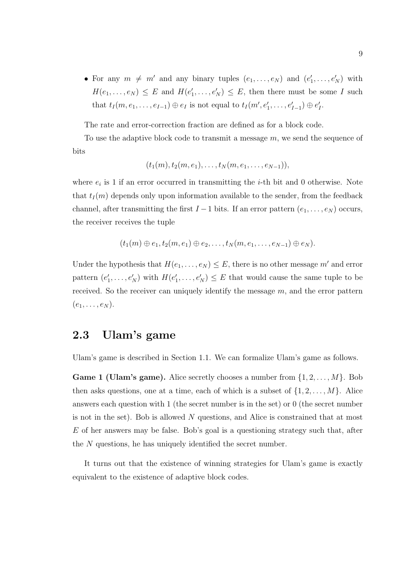• For any  $m \neq m'$  and any binary tuples  $(e_1, \ldots, e_N)$  and  $(e'_1, \ldots, e_N)$  $e'_1, \ldots, e'_N$  with  $H(e_1,\ldots,e_N) \leq E$  and  $H(e_1)$  $P_1, \ldots, P_N \leq E$ , then there must be some I such that  $t_I(m, e_1, \ldots, e_{I-1}) \oplus e_I$  is not equal to  $t_I(m', e'_1, \ldots, e'_{I-1}) \oplus e'_I$  $I\cdot$ 

The rate and error-correction fraction are defined as for a block code.

To use the adaptive block code to transmit a message  $m$ , we send the sequence of bits

$$
(t_1(m), t_2(m, e_1), \ldots, t_N(m, e_1, \ldots, e_{N-1})),
$$

where  $e_i$  is 1 if an error occurred in transmitting the *i*-th bit and 0 otherwise. Note that  $t_I(m)$  depends only upon information available to the sender, from the feedback channel, after transmitting the first  $I - 1$  bits. If an error pattern  $(e_1, \ldots, e_N)$  occurs, the receiver receives the tuple

$$
(t_1(m) \oplus e_1, t_2(m, e_1) \oplus e_2, \ldots, t_N(m, e_1, \ldots, e_{N-1}) \oplus e_N).
$$

Under the hypothesis that  $H(e_1, \ldots, e_N) \leq E$ , there is no other message m' and error pattern  $(e_1)$  $f_1',\ldots,e_N')$  with  $H(e_1')$  $P_1, \ldots, P_N' \leq E$  that would cause the same tuple to be received. So the receiver can uniquely identify the message  $m$ , and the error pattern  $(e_1, \ldots, e_N)$ .

### 2.3 Ulam's game

Ulam's game is described in Section 1.1. We can formalize Ulam's game as follows.

**Game 1 (Ulam's game).** Alice secretly chooses a number from  $\{1, 2, \ldots, M\}$ . Bob then asks questions, one at a time, each of which is a subset of  $\{1, 2, \ldots, M\}$ . Alice answers each question with 1 (the secret number is in the set) or 0 (the secret number is not in the set). Bob is allowed N questions, and Alice is constrained that at most E of her answers may be false. Bob's goal is a questioning strategy such that, after the N questions, he has uniquely identified the secret number.

It turns out that the existence of winning strategies for Ulam's game is exactly equivalent to the existence of adaptive block codes.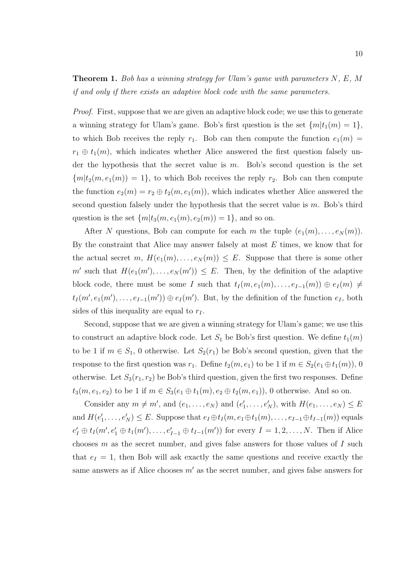#### **Theorem 1.** Bob has a winning strategy for Ulam's game with parameters  $N, E, M$ if and only if there exists an adaptive block code with the same parameters.

Proof. First, suppose that we are given an adaptive block code; we use this to generate a winning strategy for Ulam's game. Bob's first question is the set  $\{m|t_1(m) = 1\}$ , to which Bob receives the reply  $r_1$ . Bob can then compute the function  $e_1(m)$  =  $r_1 \oplus t_1(m)$ , which indicates whether Alice answered the first question falsely under the hypothesis that the secret value is  $m$ . Bob's second question is the set  ${m[t_2(m, e_1(m)) = 1},$  to which Bob receives the reply  $r_2$ . Bob can then compute the function  $e_2(m) = r_2 \oplus t_2(m, e_1(m))$ , which indicates whether Alice answered the second question falsely under the hypothesis that the secret value is  $m$ . Bob's third question is the set  $\{m|t_3(m, e_1(m), e_2(m)) = 1\}$ , and so on.

After N questions, Bob can compute for each m the tuple  $(e_1(m), \ldots, e_N(m))$ . By the constraint that Alice may answer falsely at most  $E$  times, we know that for the actual secret m,  $H(e_1(m), \ldots, e_N(m)) \leq E$ . Suppose that there is some other m' such that  $H(e_1(m'), \ldots, e_N(m')) \leq E$ . Then, by the definition of the adaptive block code, there must be some I such that  $t_1(m, e_1(m), \ldots, e_{I-1}(m)) \oplus e_I(m) \neq$  $t_I(m', e_1(m'), \ldots, e_{I-1}(m')) \oplus e_I(m')$ . But, by the definition of the function  $e_I$ , both sides of this inequality are equal to  $r_I$ .

Second, suppose that we are given a winning strategy for Ulam's game; we use this to construct an adaptive block code. Let  $S_1$  be Bob's first question. We define  $t_1(m)$ to be 1 if  $m \in S_1$ , 0 otherwise. Let  $S_2(r_1)$  be Bob's second question, given that the response to the first question was  $r_1$ . Define  $t_2(m, e_1)$  to be 1 if  $m \in S_2(e_1 \oplus t_1(m))$ , 0 otherwise. Let  $S_3(r_1, r_2)$  be Bob's third question, given the first two responses. Define  $t_3(m, e_1, e_2)$  to be 1 if  $m \in S_3(e_1 \oplus t_1(m), e_2 \oplus t_2(m, e_1)),$  0 otherwise. And so on.

Consider any  $m \neq m'$ , and  $(e_1, \ldots, e_N)$  and  $(e'_1)$  $P'_1, \ldots, e'_N$ , with  $H(e_1, \ldots, e_N) \leq E$ and  $H(e_1)$  $\mathcal{H}_1, \ldots, e'_N \leq E$ . Suppose that  $e_I \oplus t_I(m, e_1 \oplus t_1(m), \ldots, e_{I-1} \oplus t_{I-1}(m))$  equals  $e'_I \oplus t_I(m', e'_1 \oplus t_I(m'), \ldots, e'_{I-1} \oplus t_{I-1}(m'))$  for every  $I = 1, 2, \ldots, N$ . Then if Alice chooses  $m$  as the secret number, and gives false answers for those values of  $I$  such that  $e_I = 1$ , then Bob will ask exactly the same questions and receive exactly the same answers as if Alice chooses  $m'$  as the secret number, and gives false answers for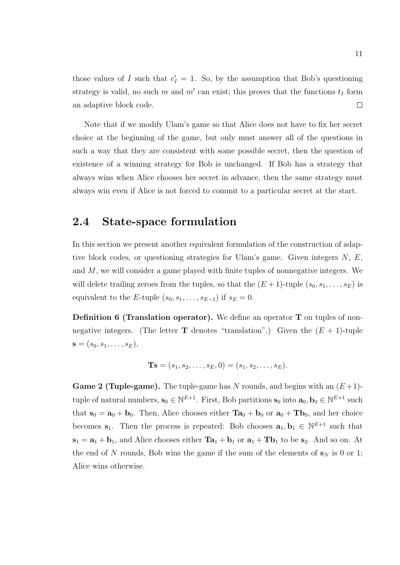those values of I such that  $e'_I = 1$ . So, by the assumption that Bob's questioning strategy is valid, no such m and m' can exist; this proves that the functions  $t_I$  form  $\Box$ an adaptive block code.

Note that if we modify Ulam's game so that Alice does not have to fix her secret choice at the beginning of the game, but only must answer all of the questions in such a way that they are consistent with some possible secret, then the question of existence of a winning strategy for Bob is unchanged. If Bob has a strategy that always wins when Alice chooses her secret in advance, then the same strategy must always win even if Alice is not forced to commit to a particular secret at the start.

#### 2.4 State-space formulation

In this section we present another equivalent formulation of the construction of adaptive block codes, or questioning strategies for Ulam's game. Given integers  $N, E$ , and M, we will consider a game played with finite tuples of nonnegative integers. We will delete trailing zeroes from the tuples, so that the  $(E+1)$ -tuple  $(s_0, s_1, \ldots, s_E)$  is equivalent to the E-tuple  $(s_0, s_1, \ldots, s_{E-1})$  if  $s_E = 0$ .

Definition 6 (Translation operator). We define an operator T on tuples of nonnegative integers. (The letter **T** denotes "translation".) Given the  $(E + 1)$ -tuple  $s = (s_0, s_1, \ldots, s_E),$ 

$$
Ts = (s_1, s_2, \ldots, s_E, 0) = (s_1, s_2, \ldots, s_E).
$$

**Game 2 (Tuple-game).** The tuple-game has N rounds, and begins with an  $(E+1)$ tuple of natural numbers,  $\mathbf{s}_0 \in \mathbb{N}^{E+1}$ . First, Bob partitions  $\mathbf{s}_0$  into  $\mathbf{a}_0, \mathbf{b}_0 \in \mathbb{N}^{E+1}$  such that  $s_0 = a_0 + b_0$ . Then, Alice chooses either  $Ta_0 + b_0$  or  $a_0 + Tb_0$ , and her choice becomes  $s_1$ . Then the process is repeated: Bob chooses  $a_1, b_1 \in \mathbb{N}^{E+1}$  such that  $s_1 = a_1 + b_1$ , and Alice chooses either  $Ta_1 + b_1$  or  $a_1 + Tb_1$  to be  $s_2$ . And so on. At the end of N rounds, Bob wins the game if the sum of the elements of  $s_N$  is 0 or 1; Alice wins otherwise.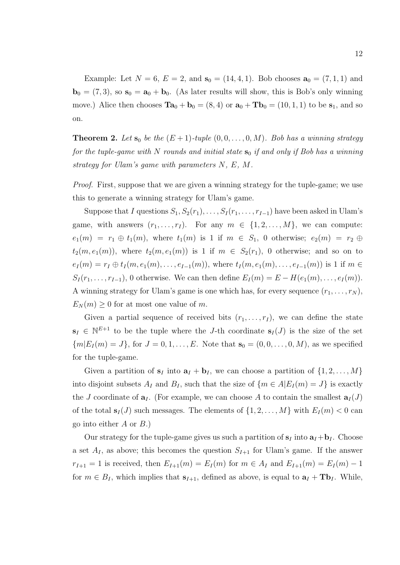Example: Let  $N = 6$ ,  $E = 2$ , and  $s_0 = (14, 4, 1)$ . Bob chooses  $a_0 = (7, 1, 1)$  and  $\mathbf{b}_0 = (7, 3)$ , so  $\mathbf{s}_0 = \mathbf{a}_0 + \mathbf{b}_0$ . (As later results will show, this is Bob's only winning move.) Alice then chooses  $\mathbf{Ta}_0 + \mathbf{b}_0 = (8, 4)$  or  $\mathbf{a}_0 + \mathbf{Tb}_0 = (10, 1, 1)$  to be  $\mathbf{s}_1$ , and so on.

**Theorem 2.** Let  $s_0$  be the  $(E + 1)$ -tuple  $(0, 0, \ldots, 0, M)$ . Bob has a winning strategy for the tuple-game with N rounds and initial state  $s_0$  if and only if Bob has a winning strategy for Ulam's game with parameters N, E, M.

Proof. First, suppose that we are given a winning strategy for the tuple-game; we use this to generate a winning strategy for Ulam's game.

Suppose that I questions  $S_1, S_2(r_1), \ldots, S_I(r_1, \ldots, r_{I-1})$  have been asked in Ulam's game, with answers  $(r_1, \ldots, r_I)$ . For any  $m \in \{1, 2, \ldots, M\}$ , we can compute:  $e_1(m) = r_1 \oplus t_1(m)$ , where  $t_1(m)$  is 1 if  $m \in S_1$ , 0 otherwise;  $e_2(m) = r_2 \oplus$  $t_2(m, e_1(m))$ , where  $t_2(m, e_1(m))$  is 1 if  $m \in S_2(r_1)$ , 0 otherwise; and so on to  $e_I(m) = r_I \oplus t_I(m, e_1(m), \ldots, e_{I-1}(m)),$  where  $t_I(m, e_1(m), \ldots, e_{I-1}(m))$  is 1 if  $m \in$  $S_I(r_1,\ldots,r_{I-1}),$  0 otherwise. We can then define  $E_I(m) = E - H(e_1(m),\ldots,e_I(m)).$ A winning strategy for Ulam's game is one which has, for every sequence  $(r_1, \ldots, r_N)$ ,  $E_N(m) \geq 0$  for at most one value of m.

Given a partial sequence of received bits  $(r_1, \ldots, r_I)$ , we can define the state  $s_I \in \mathbb{N}^{E+1}$  to be the tuple where the J-th coordinate  $s_I(J)$  is the size of the set  ${m|E_I (m) = J}$ , for  $J = 0, 1, ..., E$ . Note that  $s_0 = (0, 0, ..., 0, M)$ , as we specified for the tuple-game.

Given a partition of  $s_I$  into  $a_I + b_I$ , we can choose a partition of  $\{1, 2, \ldots, M\}$ into disjoint subsets  $A_I$  and  $B_I$ , such that the size of  $\{m \in A | E_I(m) = J\}$  is exactly the J coordinate of  $a_I$ . (For example, we can choose A to contain the smallest  $a_I(J)$ of the total  $s_I(J)$  such messages. The elements of  $\{1, 2, ..., M\}$  with  $E_I(m) < 0$  can go into either  $A$  or  $B$ .)

Our strategy for the tuple-game gives us such a partition of  $s_I$  into  $a_I + b_I$ . Choose a set  $A_I$ , as above; this becomes the question  $S_{I+1}$  for Ulam's game. If the answer  $r_{I+1} = 1$  is received, then  $E_{I+1}(m) = E_I(m)$  for  $m \in A_I$  and  $E_{I+1}(m) = E_I(m) - 1$ for  $m \in B_I$ , which implies that  $s_{I+1}$ , defined as above, is equal to  $a_I + Tb_I$ . While,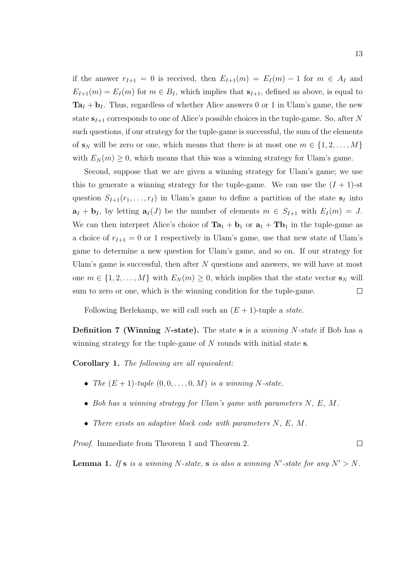if the answer  $r_{I+1} = 0$  is received, then  $E_{I+1}(m) = E_I(m) - 1$  for  $m \in A_I$  and  $E_{I+1}(m) = E_I(m)$  for  $m \in B_I$ , which implies that  $s_{I+1}$ , defined as above, is equal to  $Ta_I + b_I$ . Thus, regardless of whether Alice answers 0 or 1 in Ulam's game, the new state  $s_{I+1}$  corresponds to one of Alice's possible choices in the tuple-game. So, after N such questions, if our strategy for the tuple-game is successful, the sum of the elements of  $\mathbf{s}_N$  will be zero or one, which means that there is at most one  $m \in \{1, 2, \ldots, M\}$ with  $E_N(m) \geq 0$ , which means that this was a winning strategy for Ulam's game.

Second, suppose that we are given a winning strategy for Ulam's game; we use this to generate a winning strategy for the tuple-game. We can use the  $(I + 1)$ -st question  $S_{I+1}(r_1,\ldots,r_I)$  in Ulam's game to define a partition of the state  $s_I$  into  $\mathbf{a}_I + \mathbf{b}_I$ , by letting  $\mathbf{a}_I(J)$  be the number of elements  $m \in S_{I+1}$  with  $E_I(m) = J$ . We can then interpret Alice's choice of  $Ta_1 + b_1$  or  $a_1 + Tb_1$  in the tuple-game as a choice of  $r_{I+1} = 0$  or 1 respectively in Ulam's game, use that new state of Ulam's game to determine a new question for Ulam's game, and so on. If our strategy for Ulam's game is successful, then after  $N$  questions and answers, we will have at most one  $m \in \{1, 2, ..., M\}$  with  $E_N(m) \geq 0$ , which implies that the state vector  $\mathbf{s}_N$  will sum to zero or one, which is the winning condition for the tuple-game.  $\Box$ 

Following Berlekamp, we will call such an  $(E + 1)$ -tuple a *state*.

**Definition 7 (Winning N-state).** The state s is a *winning N-state* if Bob has a winning strategy for the tuple-game of  $N$  rounds with initial state s.

Corollary 1. The following are all equivalent:

- The  $(E + 1)$ -tuple  $(0, 0, \ldots, 0, M)$  is a winning N-state.
- Bob has a winning strategy for Ulam's game with parameters N, E, M.
- There exists an adaptive block code with parameters N, E, M.

Proof. Immediate from Theorem 1 and Theorem 2.

**Lemma 1.** If **s** is a winning N-state, **s** is also a winning N'-state for any  $N' > N$ .

 $\Box$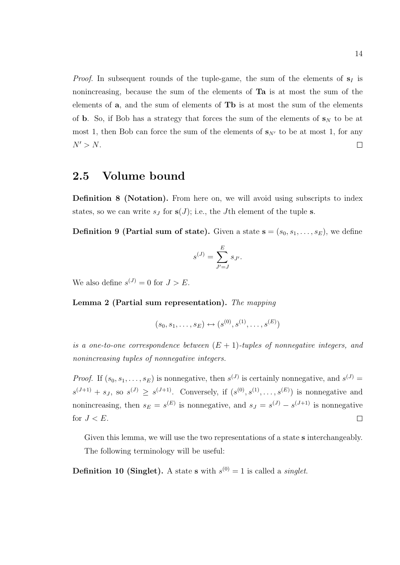*Proof.* In subsequent rounds of the tuple-game, the sum of the elements of  $s<sub>I</sub>$  is nonincreasing, because the sum of the elements of Ta is at most the sum of the elements of a, and the sum of elements of Tb is at most the sum of the elements of **b**. So, if Bob has a strategy that forces the sum of the elements of  $s_N$  to be at most 1, then Bob can force the sum of the elements of  $s_{N'}$  to be at most 1, for any  $N' > N$ .  $\Box$ 

### 2.5 Volume bound

Definition 8 (Notation). From here on, we will avoid using subscripts to index states, so we can write  $s_j$  for  $s(J)$ ; i.e., the Jth element of the tuple s.

**Definition 9 (Partial sum of state).** Given a state  $\mathbf{s} = (s_0, s_1, \ldots, s_E)$ , we define

$$
s^{(J)} = \sum_{J'=J}^{E} s_{J'}.
$$

We also define  $s^{(J)} = 0$  for  $J > E$ .

Lemma 2 (Partial sum representation). The mapping

$$
(s_0, s_1, \ldots, s_E) \leftrightarrow (s^{(0)}, s^{(1)}, \ldots, s^{(E)})
$$

is a one-to-one correspondence between  $(E + 1)$ -tuples of nonnegative integers, and nonincreasing tuples of nonnegative integers.

*Proof.* If  $(s_0, s_1, \ldots, s_E)$  is nonnegative, then  $s^{(J)}$  is certainly nonnegative, and  $s^{(J)}$  $s^{(J+1)} + s_J$ , so  $s^{(J)} \geq s^{(J+1)}$ . Conversely, if  $(s^{(0)}, s^{(1)}, \ldots, s^{(E)})$  is nonnegative and nonincreasing, then  $s_E = s^{(E)}$  is nonnegative, and  $s_J = s^{(J)} - s^{(J+1)}$  is nonnegative for  $J < E$ .  $\Box$ 

Given this lemma, we will use the two representations of a state **s** interchangeably. The following terminology will be useful:

**Definition 10 (Singlet).** A state **s** with  $s^{(0)} = 1$  is called a *singlet*.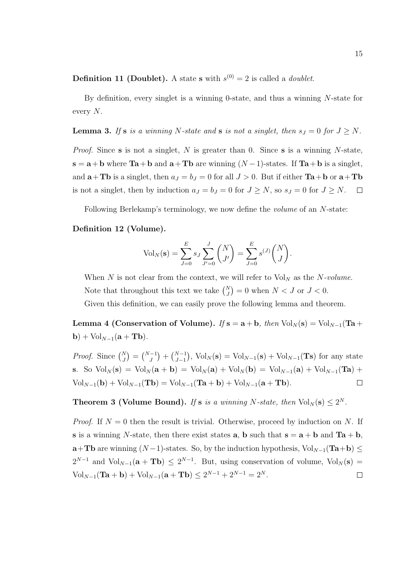**Definition 11 (Doublet).** A state **s** with  $s^{(0)} = 2$  is called a *doublet*.

By definition, every singlet is a winning 0-state, and thus a winning N-state for every N.

**Lemma 3.** If **s** is a winning N-state and **s** is not a singlet, then  $s<sub>J</sub> = 0$  for  $J \ge N$ .

*Proof.* Since s is not a singlet, N is greater than 0. Since s is a winning N-state,  $s = a + b$  where Ta + b and  $a + Tb$  are winning  $(N - 1)$ -states. If Ta + b is a singlet, and  $\mathbf{a} + \mathbf{T} \mathbf{b}$  is a singlet, then  $a_J = b_J = 0$  for all  $J > 0$ . But if either  $\mathbf{T} \mathbf{a} + \mathbf{b}$  or  $\mathbf{a} + \mathbf{T} \mathbf{b}$ is not a singlet, then by induction  $a_J = b_J = 0$  for  $J \geq N$ , so  $s_J = 0$  for  $J \geq N$ .  $\Box$ 

Following Berlekamp's terminology, we now define the volume of an N-state:

#### Definition 12 (Volume).

$$
Vol_N(\mathbf{s}) = \sum_{J=0}^{E} s_J \sum_{J'=0}^{J} {N \choose J'} = \sum_{J=0}^{E} s^{(J)} {N \choose J}.
$$

When N is not clear from the context, we will refer to  $Vol_N$  as the N-volume. Note that throughout this text we take  $\binom{N}{J} = 0$  when  $N < J$  or  $J < 0$ . Given this definition, we can easily prove the following lemma and theorem.

Lemma 4 (Conservation of Volume). If  $s = a + b$ , then Vol<sub>N</sub>(s) = Vol<sub>N-1</sub>(Ta +  $\mathbf{b}) + \text{Vol}_{N-1}(\mathbf{a} + \mathbf{Tb}).$ 

*Proof.* Since  $\binom{N}{J} = \binom{N-1}{J} + \binom{N-1}{J-1}$ ,  $\text{Vol}_N(\mathbf{s}) = \text{Vol}_{N-1}(\mathbf{s}) + \text{Vol}_{N-1}(\mathbf{Ts})$  for any state s. So  $Vol_N(s) = Vol_N(a + b) = Vol_N(a) + Vol_N(b) = Vol_{N-1}(a) + Vol_{N-1}(Ta) +$  $Vol_{N-1}({\bf b}) + Vol_{N-1}({\bf Tb}) = Vol_{N-1}({\bf Ta} + {\bf b}) + Vol_{N-1}({\bf a} + {\bf Tb}).$  $\Box$ 

**Theorem 3 (Volume Bound).** If **s** is a winning N-state, then  $Vol_N(s) \leq 2^N$ .

*Proof.* If  $N = 0$  then the result is trivial. Otherwise, proceed by induction on N. If s is a winning N-state, then there exist states **a**, **b** such that  $\mathbf{s} = \mathbf{a} + \mathbf{b}$  and  $\mathbf{Ta} + \mathbf{b}$ ,  $\mathbf{a}+\mathbf{Tb}$  are winning  $(N-1)$ -states. So, by the induction hypothesis, Vol<sub>N-1</sub>(Ta+b)  $\leq$  $2^{N-1}$  and  $Vol_{N-1}({\bf a}+{\bf Tb}) \leq 2^{N-1}$ . But, using conservation of volume,  $Vol_N({\bf s}) =$  $\text{Vol}_{N-1}(\textbf{Ta} + \textbf{b}) + \text{Vol}_{N-1}(\textbf{a} + \textbf{Tb}) \leq 2^{N-1} + 2^{N-1} = 2^N.$  $\Box$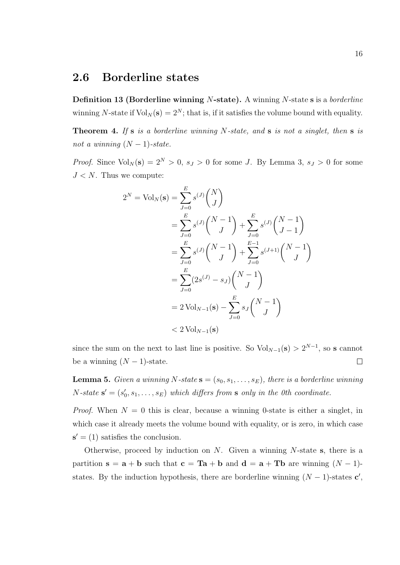#### 2.6 Borderline states

Definition 13 (Borderline winning N-state). A winning N-state s is a borderline winning N-state if  $Vol_N(s) = 2^N$ ; that is, if it satisfies the volume bound with equality.

**Theorem 4.** If  $s$  is a borderline winning N-state, and  $s$  is not a singlet, then  $s$  is not a winning  $(N-1)$ -state.

*Proof.* Since  $Vol_N(s) = 2^N > 0$ ,  $s_j > 0$  for some J. By Lemma 3,  $s_j > 0$  for some  $J < N$ . Thus we compute:

$$
2^{N} = \text{Vol}_{N}(\mathbf{s}) = \sum_{J=0}^{E} s^{(J)} {N \choose J}
$$
  
=  $\sum_{J=0}^{E} s^{(J)} {N-1 \choose J} + \sum_{J=0}^{E} s^{(J)} {N-1 \choose J-1}$   
=  $\sum_{J=0}^{E} s^{(J)} {N-1 \choose J} + \sum_{J=0}^{E-1} s^{(J+1)} {N-1 \choose J}$   
=  $\sum_{J=0}^{E} (2s^{(J)} - s_{J}) {N-1 \choose J}$   
=  $2 \text{Vol}_{N-1}(\mathbf{s}) - \sum_{J=0}^{E} s_{J} {N-1 \choose J}$   
<  $2 \text{Vol}_{N-1}(\mathbf{s})$ 

since the sum on the next to last line is positive. So  $Vol_{N-1}(s) > 2^{N-1}$ , so s cannot  $\Box$ be a winning  $(N-1)$ -state.

**Lemma 5.** Given a winning N-state  $\mathbf{s} = (s_0, s_1, \ldots, s_E)$ , there is a borderline winning  $N\text{-}state\ \mathbf{s}' = (s_0')$  $\mathcal{L}_0, s_1, \ldots, s_E$ ) which differs from s only in the 0th coordinate.

*Proof.* When  $N = 0$  this is clear, because a winning 0-state is either a singlet, in which case it already meets the volume bound with equality, or is zero, in which case  $s' = (1)$  satisfies the conclusion.

Otherwise, proceed by induction on  $N$ . Given a winning  $N$ -state s, there is a partition  $s = a + b$  such that  $c = Ta + b$  and  $d = a + Tb$  are winning  $(N - 1)$ states. By the induction hypothesis, there are borderline winning  $(N-1)$ -states  $\mathbf{c}'$ ,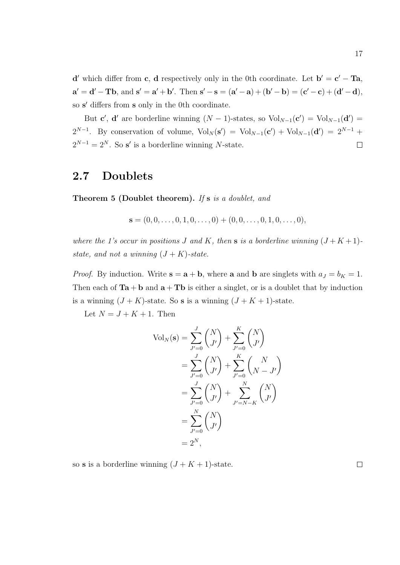**d'** which differ from **c**, **d** respectively only in the 0th coordinate. Let  $\mathbf{b}' = \mathbf{c}' - \mathbf{T}\mathbf{a}$ ,  $\mathbf{a}' = \mathbf{d}' - \mathbf{T}\mathbf{b}$ , and  $\mathbf{s}' = \mathbf{a}' + \mathbf{b}'$ . Then  $\mathbf{s}' - \mathbf{s} = (\mathbf{a}' - \mathbf{a}) + (\mathbf{b}' - \mathbf{b}) = (\mathbf{c}' - \mathbf{c}) + (\mathbf{d}' - \mathbf{d})$ ,

so s' differs from s only in the 0th coordinate. But **c'**, **d'** are borderline winning  $(N-1)$ -states, so  $Vol_{N-1}(\mathbf{c}') = Vol_{N-1}(\mathbf{d}') =$  $2^{N-1}$ . By conservation of volume,  $Vol_N(\mathbf{s}') = Vol_{N-1}(\mathbf{c}') + Vol_{N-1}(\mathbf{d}') = 2^{N-1} +$ 

 $2^{N-1} = 2^N$ . So s' is a borderline winning N-state.  $\Box$ 

### 2.7 Doublets

Theorem 5 (Doublet theorem). If s is a doublet, and

$$
\mathbf{s} = (0, 0, \dots, 0, 1, 0, \dots, 0) + (0, 0, \dots, 0, 1, 0, \dots, 0),
$$

where the 1's occur in positions J and K, then s is a borderline winning  $(J+K+1)$ state, and not a winning  $(J + K)$ -state.

*Proof.* By induction. Write  $\mathbf{s} = \mathbf{a} + \mathbf{b}$ , where  $\mathbf{a}$  and  $\mathbf{b}$  are singlets with  $a_J = b_K = 1$ . Then each of  $Ta + b$  and  $a + Tb$  is either a singlet, or is a doublet that by induction is a winning  $(J + K)$ -state. So **s** is a winning  $(J + K + 1)$ -state.

Let  $N = J + K + 1$ . Then

$$
Vol_N(\mathbf{s}) = \sum_{J'=0}^{J} {N \choose J'} + \sum_{J'=0}^{K} {N \choose J'}
$$
  
=  $\sum_{J'=0}^{J} {N \choose J'} + \sum_{J'=0}^{K} {N \choose N - J'}$   
=  $\sum_{J'=0}^{J} {N \choose J'} + \sum_{J'=N-K}^{N} {N \choose J'}$   
=  $\sum_{J'=0}^{N} {N \choose J'}$   
=  $2^{N}$ ,

so **s** is a borderline winning  $(J + K + 1)$ -state.

 $\Box$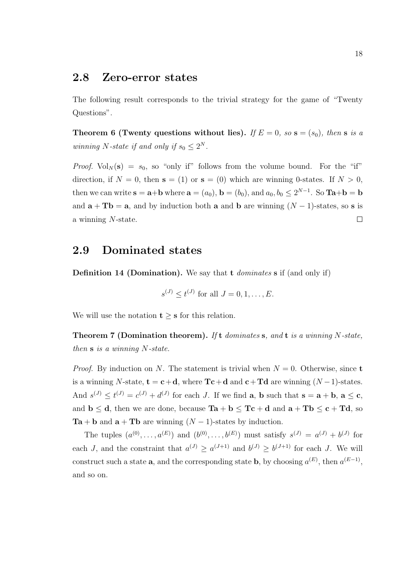#### 2.8 Zero-error states

The following result corresponds to the trivial strategy for the game of "Twenty Questions".

Theorem 6 (Twenty questions without lies). If  $E = 0$ , so  $s = (s_0)$ , then s is a winning N-state if and only if  $s_0 \leq 2^N$ .

*Proof.*  $Vol_N(s) = s_0$ , so "only if" follows from the volume bound. For the "if" direction, if  $N = 0$ , then  $s = (1)$  or  $s = (0)$  which are winning 0-states. If  $N > 0$ , then we can write  $\mathbf{s} = \mathbf{a} + \mathbf{b}$  where  $\mathbf{a} = (a_0)$ ,  $\mathbf{b} = (b_0)$ , and  $a_0, b_0 \leq 2^{N-1}$ . So  $\mathbf{Ta} + \mathbf{b} = \mathbf{b}$ and  $\mathbf{a} + \mathbf{T}\mathbf{b} = \mathbf{a}$ , and by induction both  $\mathbf{a}$  and  $\mathbf{b}$  are winning  $(N-1)$ -states, so s is a winning N-state.  $\Box$ 

#### 2.9 Dominated states

Definition 14 (Domination). We say that t *dominates* s if (and only if)

$$
s^{(J)} \le t^{(J)}
$$
 for all  $J = 0, 1, ..., E$ .

We will use the notation  $t \geq s$  for this relation.

**Theorem 7 (Domination theorem).** If t dominates s, and t is a winning N-state, then s is a winning N-state.

*Proof.* By induction on N. The statement is trivial when  $N = 0$ . Otherwise, since **t** is a winning N-state,  $\mathbf{t} = \mathbf{c} + \mathbf{d}$ , where  $\mathbf{Tc} + \mathbf{d}$  and  $\mathbf{c} + \mathbf{Td}$  are winning  $(N-1)$ -states. And  $s^{(J)} \le t^{(J)} = c^{(J)} + d^{(J)}$  for each J. If we find **a**, **b** such that  $s = a + b$ ,  $a \le c$ , and  $b \le d$ , then we are done, because  $Ta + b \le Tc + d$  and  $a + Tb \le c + Td$ , so  $Ta + b$  and  $a + Tb$  are winning  $(N - 1)$ -states by induction.

The tuples  $(a^{(0)},...,a^{(E)})$  and  $(b^{(0)},...,b^{(E)})$  must satisfy  $s^{(J)} = a^{(J)} + b^{(J)}$  for each J, and the constraint that  $a^{(J)} \ge a^{(J+1)}$  and  $b^{(J)} \ge b^{(J+1)}$  for each J. We will construct such a state **a**, and the corresponding state **b**, by choosing  $a^{(E)}$ , then  $a^{(E-1)}$ , and so on.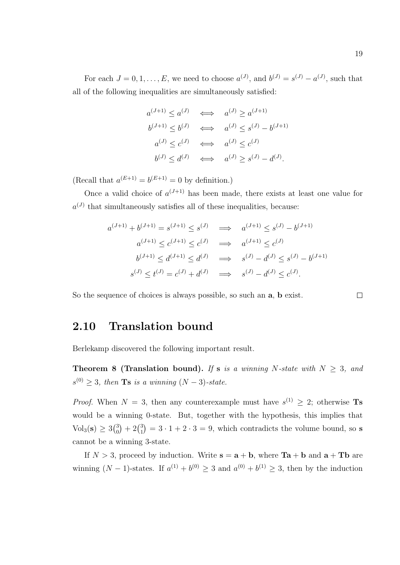For each  $J = 0, 1, \ldots, E$ , we need to choose  $a^{(J)}$ , and  $b^{(J)} = s^{(J)} - a^{(J)}$ , such that all of the following inequalities are simultaneously satisfied:

$$
a^{(J+1)} \le a^{(J)} \iff a^{(J)} \ge a^{(J+1)}
$$
  
\n
$$
b^{(J+1)} \le b^{(J)} \iff a^{(J)} \le s^{(J)} - b^{(J+1)}
$$
  
\n
$$
a^{(J)} \le c^{(J)} \iff a^{(J)} \le c^{(J)}
$$
  
\n
$$
b^{(J)} \le d^{(J)} \iff a^{(J)} \ge s^{(J)} - d^{(J)}.
$$

(Recall that  $a^{(E+1)} = b^{(E+1)} = 0$  by definition.)

Once a valid choice of  $a^{(J+1)}$  has been made, there exists at least one value for  $a^{(J)}$  that simultaneously satisfies all of these inequalities, because:

$$
a^{(J+1)} + b^{(J+1)} = s^{(J+1)} \le s^{(J)} \implies a^{(J+1)} \le s^{(J)} - b^{(J+1)}
$$
  
\n
$$
a^{(J+1)} \le c^{(J+1)} \le c^{(J)} \implies a^{(J+1)} \le c^{(J)}
$$
  
\n
$$
b^{(J+1)} \le d^{(J+1)} \le d^{(J)} \implies s^{(J)} - d^{(J)} \le s^{(J)} - b^{(J+1)}
$$
  
\n
$$
s^{(J)} \le t^{(J)} = c^{(J)} + d^{(J)} \implies s^{(J)} - d^{(J)} \le c^{(J)}.
$$

So the sequence of choices is always possible, so such an a, b exist.

□

#### 2.10 Translation bound

Berlekamp discovered the following important result.

Theorem 8 (Translation bound). If s is a winning N-state with  $N \geq 3$ , and  $s^{(0)} \geq 3$ , then **Ts** is a winning  $(N-3)$ -state.

*Proof.* When  $N = 3$ , then any counterexample must have  $s^{(1)} \geq 2$ ; otherwise **Ts** would be a winning 0-state. But, together with the hypothesis, this implies that  $Vol_3(s) \geq 3\binom{3}{0}$  $_0^3$  + 2 $\binom{3}{1}$  $\binom{3}{1} = 3 \cdot 1 + 2 \cdot 3 = 9$ , which contradicts the volume bound, so s cannot be a winning 3-state.

If  $N > 3$ , proceed by induction. Write  $s = a + b$ , where  $Ta + b$  and  $a + Tb$  are winning  $(N-1)$ -states. If  $a^{(1)} + b^{(0)} \geq 3$  and  $a^{(0)} + b^{(1)} \geq 3$ , then by the induction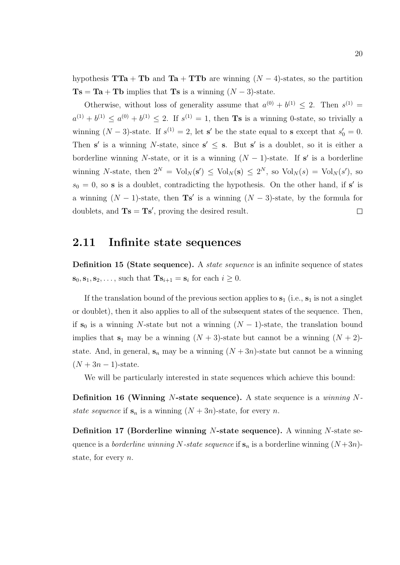hypothesis  $TTa + Tb$  and  $Ta + TTD$  are winning  $(N - 4)$ -states, so the partition  $\text{Ts} = \text{Ta} + \text{Tb}$  implies that  $\text{Ts}$  is a winning  $(N-3)$ -state.

Otherwise, without loss of generality assume that  $a^{(0)} + b^{(1)} \leq 2$ . Then  $s^{(1)} =$  $a^{(1)} + b^{(1)} \le a^{(0)} + b^{(1)} \le 2$ . If  $s^{(1)} = 1$ , then **Ts** is a winning 0-state, so trivially a winning  $(N-3)$ -state. If  $s^{(1)} = 2$ , let s' be the state equal to s except that  $s'_0 = 0$ . Then s' is a winning N-state, since  $s' \leq s$ . But s' is a doublet, so it is either a borderline winning N-state, or it is a winning  $(N-1)$ -state. If s' is a borderline winning N-state, then  $2^N = \text{Vol}_N(\mathbf{s}') \leq \text{Vol}_N(\mathbf{s}) \leq 2^N$ , so  $\text{Vol}_N(s) = \text{Vol}_N(s')$ , so  $s_0 = 0$ , so **s** is a doublet, contradicting the hypothesis. On the other hand, if **s'** is a winning  $(N-1)$ -state, then **Ts'** is a winning  $(N-3)$ -state, by the formula for doublets, and  $\mathbf{Ts} = \mathbf{Ts}'$ , proving the desired result.  $\Box$ 

#### 2.11 Infinite state sequences

Definition 15 (State sequence). A *state sequence* is an infinite sequence of states  $\mathbf{s}_0, \mathbf{s}_1, \mathbf{s}_2, \ldots$ , such that  $\mathbf{Ts}_{i+1} = \mathbf{s}_i$  for each  $i \geq 0$ .

If the translation bound of the previous section applies to  $s_1$  (i.e.,  $s_1$  is not a singlet or doublet), then it also applies to all of the subsequent states of the sequence. Then, if  $s_0$  is a winning N-state but not a winning  $(N-1)$ -state, the translation bound implies that  $s_1$  may be a winning  $(N + 3)$ -state but cannot be a winning  $(N + 2)$ state. And, in general,  $s_n$  may be a winning  $(N+3n)$ -state but cannot be a winning  $(N+3n-1)$ -state.

We will be particularly interested in state sequences which achieve this bound:

**Definition 16 (Winning N-state sequence).** A state sequence is a winning Nstate sequence if  $s_n$  is a winning  $(N+3n)$ -state, for every n.

**Definition 17 (Borderline winning N-state sequence).** A winning N-state sequence is a *borderline winning* N-state sequence if  $\mathbf{s}_n$  is a borderline winning  $(N+3n)$ state, for every n.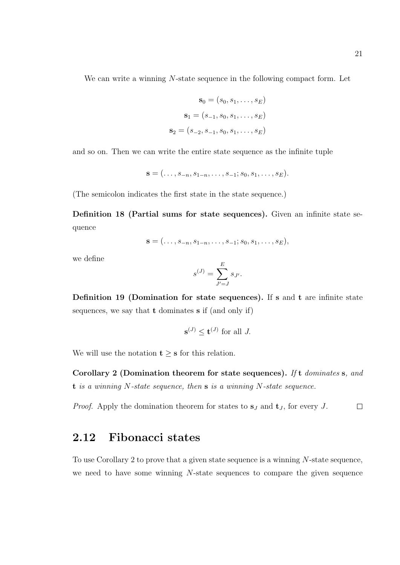We can write a winning N-state sequence in the following compact form. Let

$$
\mathbf{s}_0 = (s_0, s_1, \dots, s_E)
$$

$$
\mathbf{s}_1 = (s_{-1}, s_0, s_1, \dots, s_E)
$$

$$
\mathbf{s}_2 = (s_{-2}, s_{-1}, s_0, s_1, \dots, s_E)
$$

and so on. Then we can write the entire state sequence as the infinite tuple

$$
\mathbf{s}=(\ldots,s_{-n},s_{1-n},\ldots,s_{-1};s_0,s_1,\ldots,s_E).
$$

(The semicolon indicates the first state in the state sequence.)

Definition 18 (Partial sums for state sequences). Given an infinite state sequence

$$
\mathbf{s}=(\ldots,s_{-n},s_{1-n},\ldots,s_{-1};s_0,s_1,\ldots,s_E),
$$

we define

$$
s^{(J)} = \sum_{J'=J}^{E} s_{J'}.
$$

Definition 19 (Domination for state sequences). If s and t are infinite state sequences, we say that t dominates s if (and only if)

$$
\mathbf{s}^{(J)} \le \mathbf{t}^{(J)} \text{ for all } J.
$$

We will use the notation  $t \geq s$  for this relation.

Corollary 2 (Domination theorem for state sequences). If t dominates s, and  $t$  is a winning N-state sequence, then  $s$  is a winning N-state sequence.

*Proof.* Apply the domination theorem for states to  $s_J$  and  $t_J$ , for every J.  $\Box$ 

#### 2.12 Fibonacci states

To use Corollary 2 to prove that a given state sequence is a winning N-state sequence, we need to have some winning N-state sequences to compare the given sequence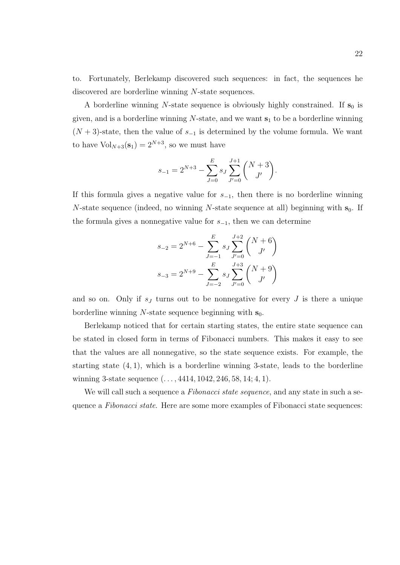to. Fortunately, Berlekamp discovered such sequences: in fact, the sequences he discovered are borderline winning N-state sequences.

A borderline winning N-state sequence is obviously highly constrained. If  $s_0$  is given, and is a borderline winning  $N$ -state, and we want  $s<sub>1</sub>$  to be a borderline winning  $(N+3)$ -state, then the value of  $s_{-1}$  is determined by the volume formula. We want to have  $\text{Vol}_{N+3}(\mathbf{s}_1) = 2^{N+3}$ , so we must have

$$
s_{-1} = 2^{N+3} - \sum_{J=0}^{E} s_J \sum_{J'=0}^{J+1} {N+3 \choose J'}.
$$

If this formula gives a negative value for  $s_{-1}$ , then there is no borderline winning N-state sequence (indeed, no winning N-state sequence at all) beginning with  $s_0$ . If the formula gives a nonnegative value for  $s_{-1}$ , then we can determine

$$
s_{-2} = 2^{N+6} - \sum_{J=-1}^{E} s_J \sum_{J'=0}^{J+2} {N+6 \choose J'}
$$

$$
s_{-3} = 2^{N+9} - \sum_{J=-2}^{E} s_J \sum_{J'=0}^{J+3} {N+9 \choose J'}
$$

and so on. Only if  $s_j$  turns out to be nonnegative for every  $J$  is there a unique borderline winning N-state sequence beginning with  $s_0$ .

Berlekamp noticed that for certain starting states, the entire state sequence can be stated in closed form in terms of Fibonacci numbers. This makes it easy to see that the values are all nonnegative, so the state sequence exists. For example, the starting state  $(4, 1)$ , which is a borderline winning 3-state, leads to the borderline winning 3-state sequence  $(\ldots, 4414, 1042, 246, 58, 14; 4, 1)$ .

We will call such a sequence a Fibonacci state sequence, and any state in such a sequence a Fibonacci state. Here are some more examples of Fibonacci state sequences: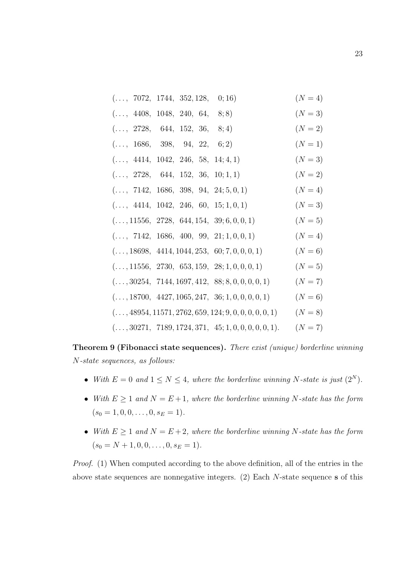| (, 7072, 1744, 352, 128, )                      | 0; 16)                                                  | $(N = 4)$ |
|-------------------------------------------------|---------------------------------------------------------|-----------|
| (, 4408, 1048, 240, 64, )                       | 8; 8)                                                   | $(N = 3)$ |
| (, 2728, 644, 152, 36,                          | 8; 4)                                                   | $(N = 2)$ |
| (, 1686, 398, 94, 22, )                         | 6; 2)                                                   | $(N = 1)$ |
| (, 4414, 1042, 246, 58, 14; 4, 1)               |                                                         | $(N = 3)$ |
| (, 2728, 644, 152, 36, 10; 1, 1)                |                                                         | $(N = 2)$ |
| $(, 7142, 1686, 398, 94, 24; 5, 0, 1)$          |                                                         | $(N = 4)$ |
| $(, 4414, 1042, 246, 60, 15; 1, 0, 1)$          |                                                         | $(N = 3)$ |
| $(, 11556, 2728, 644, 154, 39; 6, 0, 0, 1)$     |                                                         | $(N = 5)$ |
| $(, 7142, 1686, 400, 99, 21; 1, 0, 0, 1)$       |                                                         | $(N = 4)$ |
| $(, 18698, 4414, 1044, 253, 60; 7, 0, 0, 0, 1)$ |                                                         | $(N = 6)$ |
| $(, 11556, 2730, 653, 159, 28; 1, 0, 0, 0, 1)$  |                                                         | $(N = 5)$ |
|                                                 | $(, 30254, 7144, 1697, 412, 88; 8, 0, 0, 0, 0, 1)$      | $(N = 7)$ |
|                                                 | $(, 18700, 4427, 1065, 247, 36; 1, 0, 0, 0, 0, 1)$      | $(N = 6)$ |
|                                                 | $(, 48954, 11571, 2762, 659, 124; 9, 0, 0, 0, 0, 0, 1)$ | $(N = 8)$ |
|                                                 | $(, 30271, 7189, 1724, 371, 45; 1, 0, 0, 0, 0, 0, 1).$  | $(N = 7)$ |

Theorem 9 (Fibonacci state sequences). There exist (unique) borderline winning N-state sequences, as follows:

- With  $E = 0$  and  $1 \leq N \leq 4$ , where the borderline winning N-state is just  $(2^N)$ .
- With  $E \geq 1$  and  $N = E + 1$ , where the borderline winning N-state has the form  $(s_0 = 1, 0, 0, \ldots, 0, s_E = 1).$
- With  $E \geq 1$  and  $N = E + 2$ , where the borderline winning N-state has the form  $(s_0 = N + 1, 0, 0, \ldots, 0, s_E = 1).$

Proof. (1) When computed according to the above definition, all of the entries in the above state sequences are nonnegative integers. (2) Each N-state sequence s of this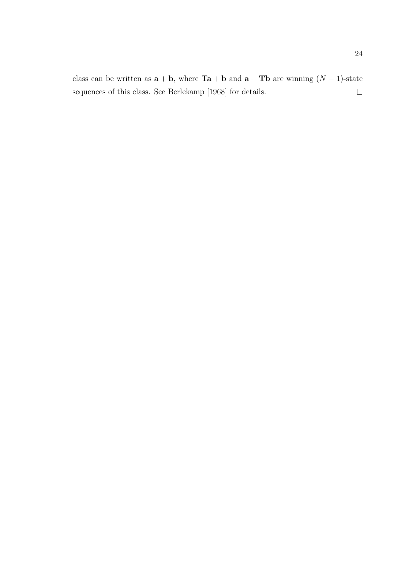class can be written as  $\mathbf{a} + \mathbf{b}$ , where  $\mathbf{Ta} + \mathbf{b}$  and  $\mathbf{a} + \mathbf{Tb}$  are winning  $(N - 1)$ -state  $\Box$ sequences of this class. See Berlekamp [1968] for details.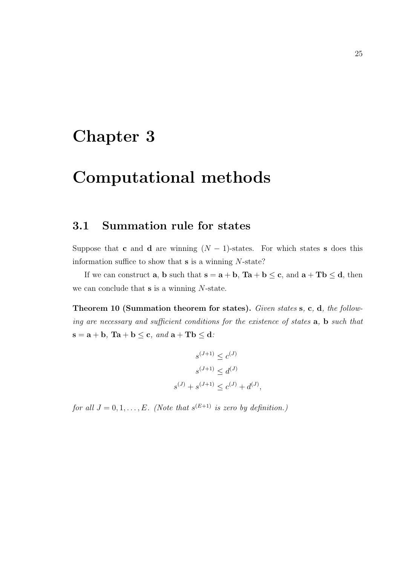## Chapter 3

## Computational methods

### 3.1 Summation rule for states

Suppose that c and d are winning  $(N - 1)$ -states. For which states s does this information suffice to show that  $s$  is a winning  $N$ -state?

If we can construct **a**, **b** such that  $\mathbf{s} = \mathbf{a} + \mathbf{b}$ ,  $\mathbf{Ta} + \mathbf{b} \leq \mathbf{c}$ , and  $\mathbf{a} + \mathbf{Tb} \leq \mathbf{d}$ , then we can conclude that  $s$  is a winning  $N$ -state.

Theorem 10 (Summation theorem for states). Given states s, c, d, the following are necessary and sufficient conditions for the existence of states a, b such that  $s = a + b$ ,  $Ta + b \leq c$ , and  $a + Tb \leq d$ .

$$
s^{(J+1)} \le c^{(J)}
$$
  

$$
s^{(J+1)} \le d^{(J)}
$$
  

$$
s^{(J)} + s^{(J+1)} \le c^{(J)} + d^{(J)},
$$

for all  $J = 0, 1, ..., E$ . (Note that  $s^{(E+1)}$  is zero by definition.)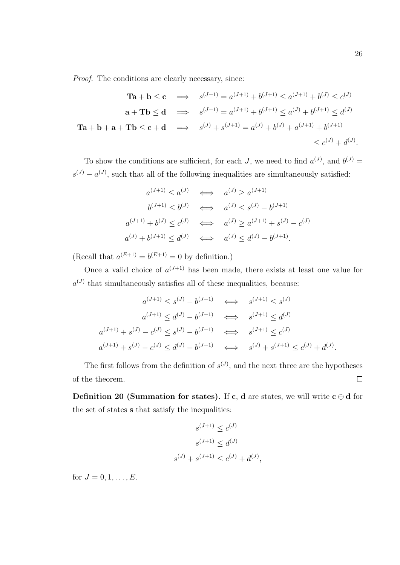Proof. The conditions are clearly necessary, since:

$$
\begin{aligned}\n\mathbf{T}\mathbf{a} + \mathbf{b} &\leq \mathbf{c} \implies s^{(J+1)} = a^{(J+1)} + b^{(J+1)} \leq a^{(J+1)} + b^{(J)} \leq c^{(J)} \\
\mathbf{a} + \mathbf{T}\mathbf{b} &\leq \mathbf{d} \implies s^{(J+1)} = a^{(J+1)} + b^{(J+1)} \leq a^{(J)} + b^{(J+1)} \leq d^{(J)} \\
\mathbf{T}\mathbf{a} + \mathbf{b} + \mathbf{a} + \mathbf{T}\mathbf{b} &\leq \mathbf{c} + \mathbf{d} \implies s^{(J)} + s^{(J+1)} = a^{(J)} + b^{(J)} + a^{(J+1)} + b^{(J+1)} \\
&\leq c^{(J)} + d^{(J)}.\n\end{aligned}
$$

To show the conditions are sufficient, for each J, we need to find  $a^{(J)}$ , and  $b^{(J)}$  =  $s^{(J)} - a^{(J)}$ , such that all of the following inequalities are simultaneously satisfied:

$$
a^{(J+1)} \le a^{(J)} \iff a^{(J)} \ge a^{(J+1)}
$$
  
\n
$$
b^{(J+1)} \le b^{(J)} \iff a^{(J)} \le s^{(J)} - b^{(J+1)}
$$
  
\n
$$
a^{(J+1)} + b^{(J)} \le c^{(J)} \iff a^{(J)} \ge a^{(J+1)} + s^{(J)} - c^{(J)}
$$
  
\n
$$
a^{(J)} + b^{(J+1)} \le d^{(J)} \iff a^{(J)} \le d^{(J)} - b^{(J+1)}.
$$

(Recall that  $a^{(E+1)} = b^{(E+1)} = 0$  by definition.)

Once a valid choice of  $a^{(J+1)}$  has been made, there exists at least one value for  $a^{(J)}$  that simultaneously satisfies all of these inequalities, because:

$$
a^{(J+1)} \le s^{(J)} - b^{(J+1)} \iff s^{(J+1)} \le s^{(J)}
$$
  
\n
$$
a^{(J+1)} \le d^{(J)} - b^{(J+1)} \iff s^{(J+1)} \le d^{(J)}
$$
  
\n
$$
a^{(J+1)} + s^{(J)} - c^{(J)} \le s^{(J)} - b^{(J+1)} \iff s^{(J+1)} \le c^{(J)}
$$
  
\n
$$
a^{(J+1)} + s^{(J)} - c^{(J)} \le d^{(J)} - b^{(J+1)} \iff s^{(J)} + s^{(J+1)} \le c^{(J)} + d^{(J)}.
$$

The first follows from the definition of  $s^{(J)}$ , and the next three are the hypotheses of the theorem.  $\Box$ 

Definition 20 (Summation for states). If c, d are states, we will write  $c \oplus d$  for the set of states s that satisfy the inequalities:

$$
s^{(J+1)} \le c^{(J)}
$$
  

$$
s^{(J+1)} \le d^{(J)}
$$
  

$$
s^{(J)} + s^{(J+1)} \le c^{(J)} + d^{(J)},
$$

for  $J = 0, 1, ..., E$ .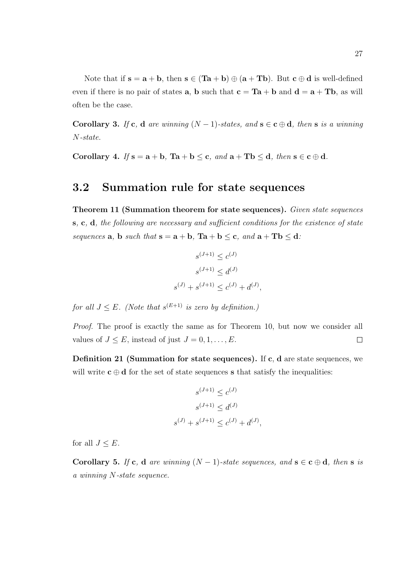Note that if  $s = a + b$ , then  $s \in (Ta + b) \oplus (a + Tb)$ . But  $c \oplus d$  is well-defined even if there is no pair of states **a**, **b** such that  $c = Ta + b$  and  $d = a + Tb$ , as will often be the case.

Corollary 3. If c, d are winning  $(N-1)$ -states, and  $s \in c \oplus d$ , then s is a winning N-state.

Corollary 4. If  $s = a + b$ ,  $Ta + b \leq c$ , and  $a + Tb \leq d$ , then  $s \in c \oplus d$ .

#### 3.2 Summation rule for state sequences

Theorem 11 (Summation theorem for state sequences). Given state sequences s, c, d, the following are necessary and sufficient conditions for the existence of state sequences **a**, **b** such that  $\mathbf{s} = \mathbf{a} + \mathbf{b}$ ,  $\mathbf{T}\mathbf{a} + \mathbf{b} \leq \mathbf{c}$ , and  $\mathbf{a} + \mathbf{T}\mathbf{b} \leq \mathbf{d}$ .

$$
s^{(J+1)} \le c^{(J)}
$$
  

$$
s^{(J+1)} \le d^{(J)}
$$
  

$$
s^{(J)} + s^{(J+1)} \le c^{(J)} + d^{(J)},
$$

for all  $J \leq E$ . (Note that  $s^{(E+1)}$  is zero by definition.)

Proof. The proof is exactly the same as for Theorem 10, but now we consider all values of  $J \leq E$ , instead of just  $J = 0, 1, \ldots, E$ . □

Definition 21 (Summation for state sequences). If c, d are state sequences, we will write  $c \oplus d$  for the set of state sequences s that satisfy the inequalities:

$$
s^{(J+1)} \le c^{(J)}
$$
  

$$
s^{(J+1)} \le d^{(J)}
$$
  

$$
s^{(J)} + s^{(J+1)} \le c^{(J)} + d^{(J)},
$$

for all  $J \leq E$ .

Corollary 5. If c, d are winning  $(N-1)$ -state sequences, and  $s \in c \oplus d$ , then s is a winning N-state sequence.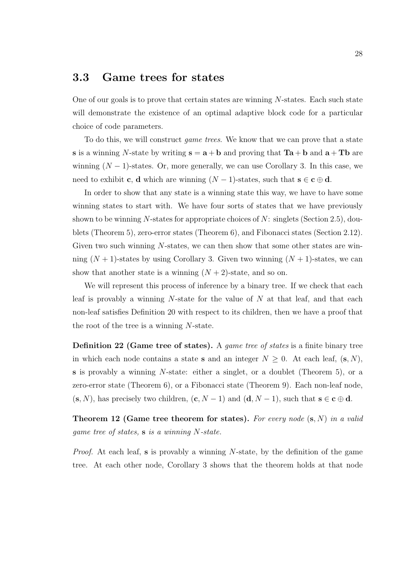#### 3.3 Game trees for states

One of our goals is to prove that certain states are winning N-states. Each such state will demonstrate the existence of an optimal adaptive block code for a particular choice of code parameters.

To do this, we will construct game trees. We know that we can prove that a state s is a winning N-state by writing  $s = a + b$  and proving that  $Ta + b$  and  $a + Tb$  are winning  $(N-1)$ -states. Or, more generally, we can use Corollary 3. In this case, we need to exhibit **c**, **d** which are winning  $(N-1)$ -states, such that  $s \in c \oplus d$ .

In order to show that any state is a winning state this way, we have to have some winning states to start with. We have four sorts of states that we have previously shown to be winning N-states for appropriate choices of N: singlets (Section 2.5), doublets (Theorem 5), zero-error states (Theorem 6), and Fibonacci states (Section 2.12). Given two such winning N-states, we can then show that some other states are winning  $(N + 1)$ -states by using Corollary 3. Given two winning  $(N + 1)$ -states, we can show that another state is a winning  $(N+2)$ -state, and so on.

We will represent this process of inference by a binary tree. If we check that each leaf is provably a winning  $N$ -state for the value of  $N$  at that leaf, and that each non-leaf satisfies Definition 20 with respect to its children, then we have a proof that the root of the tree is a winning N-state.

Definition 22 (Game tree of states). A game tree of states is a finite binary tree in which each node contains a state **s** and an integer  $N \geq 0$ . At each leaf,  $(\mathbf{s}, N)$ , s is provably a winning N-state: either a singlet, or a doublet (Theorem 5), or a zero-error state (Theorem 6), or a Fibonacci state (Theorem 9). Each non-leaf node,  $(s, N)$ , has precisely two children,  $(c, N - 1)$  and  $(d, N - 1)$ , such that  $s \in c \oplus d$ .

**Theorem 12 (Game tree theorem for states).** For every node  $(s, N)$  in a valid game tree of states,  $s$  is a winning N-state.

Proof. At each leaf, s is provably a winning N-state, by the definition of the game tree. At each other node, Corollary 3 shows that the theorem holds at that node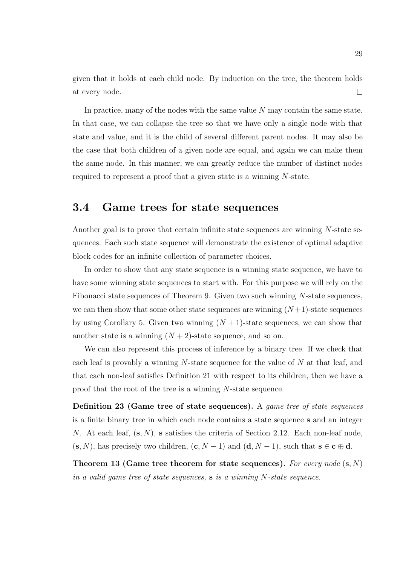given that it holds at each child node. By induction on the tree, the theorem holds at every node.  $\Box$ 

In practice, many of the nodes with the same value N may contain the same state. In that case, we can collapse the tree so that we have only a single node with that state and value, and it is the child of several different parent nodes. It may also be the case that both children of a given node are equal, and again we can make them the same node. In this manner, we can greatly reduce the number of distinct nodes required to represent a proof that a given state is a winning N-state.

## 3.4 Game trees for state sequences

Another goal is to prove that certain infinite state sequences are winning N-state sequences. Each such state sequence will demonstrate the existence of optimal adaptive block codes for an infinite collection of parameter choices.

In order to show that any state sequence is a winning state sequence, we have to have some winning state sequences to start with. For this purpose we will rely on the Fibonacci state sequences of Theorem 9. Given two such winning N-state sequences, we can then show that some other state sequences are winning  $(N+1)$ -state sequences by using Corollary 5. Given two winning  $(N + 1)$ -state sequences, we can show that another state is a winning  $(N + 2)$ -state sequence, and so on.

We can also represent this process of inference by a binary tree. If we check that each leaf is provably a winning  $N$ -state sequence for the value of  $N$  at that leaf, and that each non-leaf satisfies Definition 21 with respect to its children, then we have a proof that the root of the tree is a winning N-state sequence.

Definition 23 (Game tree of state sequences). A game tree of state sequences is a finite binary tree in which each node contains a state sequence s and an integer N. At each leaf,  $(s, N)$ , s satisfies the criteria of Section 2.12. Each non-leaf node,  $(s, N)$ , has precisely two children,  $(c, N - 1)$  and  $(d, N - 1)$ , such that  $s \in c \oplus d$ .

Theorem 13 (Game tree theorem for state sequences). For every node  $(s, N)$ in a valid game tree of state sequences,  $s$  is a winning N-state sequence.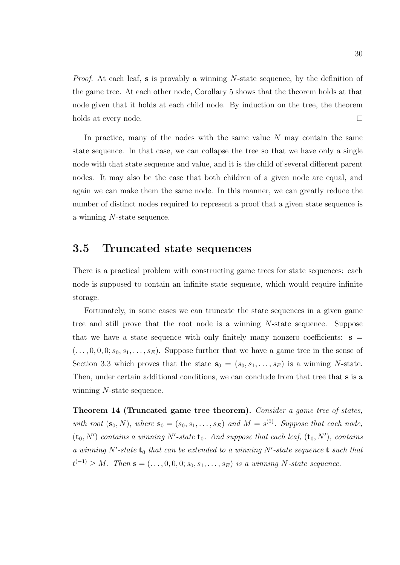*Proof.* At each leaf, s is provably a winning  $N$ -state sequence, by the definition of the game tree. At each other node, Corollary 5 shows that the theorem holds at that node given that it holds at each child node. By induction on the tree, the theorem holds at every node.  $\Box$ 

In practice, many of the nodes with the same value  $N$  may contain the same state sequence. In that case, we can collapse the tree so that we have only a single node with that state sequence and value, and it is the child of several different parent nodes. It may also be the case that both children of a given node are equal, and again we can make them the same node. In this manner, we can greatly reduce the number of distinct nodes required to represent a proof that a given state sequence is a winning N-state sequence.

## 3.5 Truncated state sequences

There is a practical problem with constructing game trees for state sequences: each node is supposed to contain an infinite state sequence, which would require infinite storage.

Fortunately, in some cases we can truncate the state sequences in a given game tree and still prove that the root node is a winning N-state sequence. Suppose that we have a state sequence with only finitely many nonzero coefficients:  $s =$  $(\ldots, 0, 0, 0; s_0, s_1, \ldots, s_E)$ . Suppose further that we have a game tree in the sense of Section 3.3 which proves that the state  $s_0 = (s_0, s_1, \ldots, s_E)$  is a winning N-state. Then, under certain additional conditions, we can conclude from that tree that s is a winning N-state sequence.

Theorem 14 (Truncated game tree theorem). Consider a game tree of states, with root  $(\mathbf{s}_0, N)$ , where  $\mathbf{s}_0 = (s_0, s_1, \ldots, s_E)$  and  $M = s^{(0)}$ . Suppose that each node,  $(\mathbf{t}_0, N')$  contains a winning N'-state  $\mathbf{t}_0$ . And suppose that each leaf,  $(\mathbf{t}_0, N')$ , contains a winning N'-state  $t_0$  that can be extended to a winning N'-state sequence  $t$  such that  $t^{(-1)} \geq M$ . Then  $\mathbf{s} = (\ldots, 0, 0, 0; s_0, s_1, \ldots, s_E)$  is a winning N-state sequence.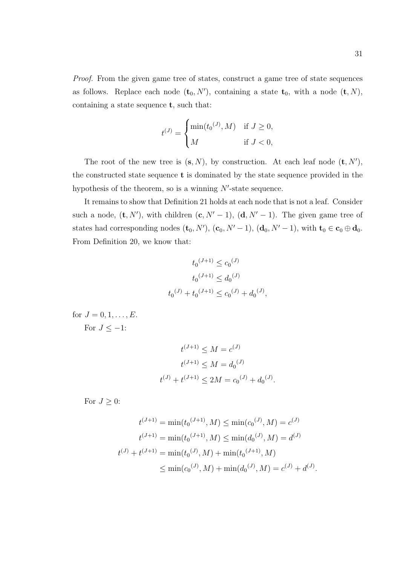Proof. From the given game tree of states, construct a game tree of state sequences as follows. Replace each node  $(\mathbf{t}_0, N')$ , containing a state  $\mathbf{t}_0$ , with a node  $(\mathbf{t}, N)$ , containing a state sequence t, such that:

$$
t^{(J)} = \begin{cases} \min(t_0^{(J)}, M) & \text{if } J \ge 0, \\ M & \text{if } J < 0, \end{cases}
$$

The root of the new tree is  $(s, N)$ , by construction. At each leaf node  $(t, N')$ , the constructed state sequence  $t$  is dominated by the state sequence provided in the hypothesis of the theorem, so is a winning  $N'$ -state sequence.

It remains to show that Definition 21 holds at each node that is not a leaf. Consider such a node,  $(\mathbf{t}, N')$ , with children  $(\mathbf{c}, N' - 1)$ ,  $(\mathbf{d}, N' - 1)$ . The given game tree of states had corresponding nodes  $(\mathbf{t}_0, N')$ ,  $(\mathbf{c}_0, N' - 1)$ ,  $(\mathbf{d}_0, N' - 1)$ , with  $\mathbf{t}_0 \in \mathbf{c}_0 \oplus \mathbf{d}_0$ . From Definition 20, we know that:

$$
t_0^{(J+1)} \le c_0^{(J)}
$$
  

$$
t_0^{(J+1)} \le d_0^{(J)}
$$
  

$$
t_0^{(J)} + t_0^{(J+1)} \le c_0^{(J)} + d_0^{(J)},
$$

for  $J = 0, 1, ..., E$ . For  $J \leq -1$ :

$$
t^{(J+1)} \le M = c^{(J)}
$$

$$
t^{(J+1)} \le M = d_0^{(J)}
$$

$$
t^{(J)} + t^{(J+1)} \le 2M = c_0^{(J)} + d_0^{(J)}.
$$

For  $J \geq 0$ :

$$
t^{(J+1)} = \min(t_0^{(J+1)}, M) \le \min(c_0^{(J)}, M) = c^{(J)}
$$

$$
t^{(J+1)} = \min(t_0^{(J+1)}, M) \le \min(d_0^{(J)}, M) = d^{(J)}
$$

$$
t^{(J)} + t^{(J+1)} = \min(t_0^{(J)}, M) + \min(t_0^{(J+1)}, M)
$$

$$
\le \min(c_0^{(J)}, M) + \min(d_0^{(J)}, M) = c^{(J)} + d^{(J)}.
$$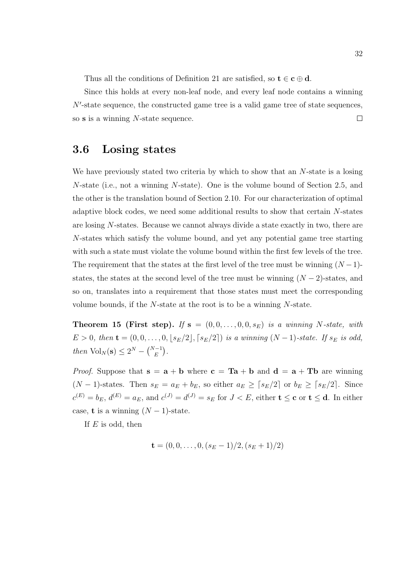Thus all the conditions of Definition 21 are satisfied, so  $t \in c \oplus d$ .

Since this holds at every non-leaf node, and every leaf node contains a winning  $N'$ -state sequence, the constructed game tree is a valid game tree of state sequences, so s is a winning N-state sequence.  $\Box$ 

### 3.6 Losing states

We have previously stated two criteria by which to show that an N-state is a losing N-state (i.e., not a winning N-state). One is the volume bound of Section 2.5, and the other is the translation bound of Section 2.10. For our characterization of optimal adaptive block codes, we need some additional results to show that certain N-states are losing N-states. Because we cannot always divide a state exactly in two, there are N-states which satisfy the volume bound, and yet any potential game tree starting with such a state must violate the volume bound within the first few levels of the tree. The requirement that the states at the first level of the tree must be winning  $(N-1)$ states, the states at the second level of the tree must be winning  $(N-2)$ -states, and so on, translates into a requirement that those states must meet the corresponding volume bounds, if the N-state at the root is to be a winning N-state.

**Theorem 15 (First step).** If  $s = (0, 0, \ldots, 0, 0, s_E)$  is a winning N-state, with  $E > 0$ , then  $\mathbf{t} = (0, 0, \ldots, 0, \lfloor s_E/2 \rfloor, \lceil s_E/2 \rceil)$  is a winning  $(N-1)$ -state. If  $s_E$  is odd, then  $\text{Vol}_N(\mathbf{s}) \leq 2^N - {N-1 \choose E}.$ 

*Proof.* Suppose that  $s = a + b$  where  $c = Ta + b$  and  $d = a + Tb$  are winning  $(N-1)$ -states. Then  $s_E = a_E + b_E$ , so either  $a_E \geq \lceil s_E/2 \rceil$  or  $b_E \geq \lceil s_E/2 \rceil$ . Since  $c^{(E)} = b_E$ ,  $d^{(E)} = a_E$ , and  $c^{(J)} = d^{(J)} = s_E$  for  $J < E$ , either  $\mathbf{t} \leq \mathbf{c}$  or  $\mathbf{t} \leq \mathbf{d}$ . In either case, **t** is a winning  $(N-1)$ -state.

If  $E$  is odd, then

$$
\mathbf{t} = (0, 0, \dots, 0, (s_E - 1)/2, (s_E + 1)/2)
$$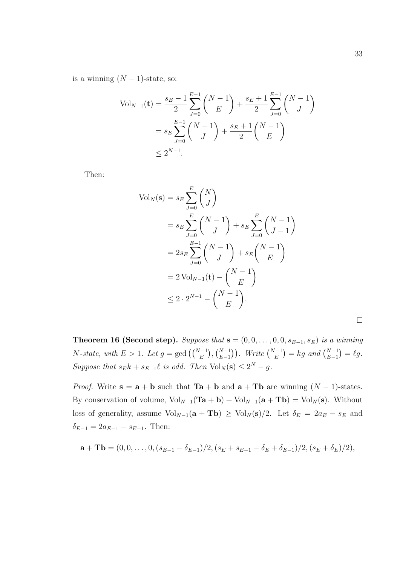is a winning  $(N - 1)$ -state, so:

$$
\text{Vol}_{N-1}(\mathbf{t}) = \frac{s_E - 1}{2} \sum_{J=0}^{E-1} {N-1 \choose E} + \frac{s_E + 1}{2} \sum_{J=0}^{E-1} {N-1 \choose J}
$$

$$
= s_E \sum_{J=0}^{E-1} {N-1 \choose J} + \frac{s_E + 1}{2} {N-1 \choose E}
$$

$$
\leq 2^{N-1}.
$$

Then:

$$
\text{Vol}_N(\mathbf{s}) = s_E \sum_{J=0}^E {N \choose J} \n= s_E \sum_{J=0}^E {N-1 \choose J} + s_E \sum_{J=0}^E {N-1 \choose J-1} \n= 2s_E \sum_{J=0}^{E-1} {N-1 \choose J} + s_E {N-1 \choose E} \n= 2 \text{Vol}_{N-1}(\mathbf{t}) - {N-1 \choose E} \n\le 2 \cdot 2^{N-1} - {N-1 \choose E}.
$$

 $\Box$ 

Theorem 16 (Second step). Suppose that  $\mathbf{s} = (0, 0, \ldots, 0, 0, s_{E-1}, s_E)$  is a winning N-state, with  $E > 1$ . Let  $g = \gcd\left(\binom{N-1}{E}, \binom{N-1}{E-1}\right)$ . Write  $\binom{N-1}{E} = kg$  and  $\binom{N-1}{E-1} = \ell g$ . Suppose that  $s_E k + s_{E-1} \ell$  is odd. Then  $Vol_N(\mathbf{s}) \leq 2^N - g$ .

*Proof.* Write  $s = a + b$  such that  $Ta + b$  and  $a + Tb$  are winning  $(N - 1)$ -states. By conservation of volume,  $Vol_{N-1}(\mathbf{Ta} + \mathbf{b}) + Vol_{N-1}(\mathbf{a} + \mathbf{Tb}) = Vol_N(\mathbf{s})$ . Without loss of generality, assume  $\text{Vol}_{N-1}(\mathbf{a} + \mathbf{Tb}) \geq \text{Vol}_N(\mathbf{s})/2$ . Let  $\delta_E = 2a_E - s_E$  and  $\delta_{E-1} = 2a_{E-1} - s_{E-1}$ . Then:

$$
\mathbf{a} + \mathbf{T} \mathbf{b} = (0, 0, \dots, 0, (s_{E-1} - \delta_{E-1})/2, (s_E + s_{E-1} - \delta_E + \delta_{E-1})/2, (s_E + \delta_E)/2),
$$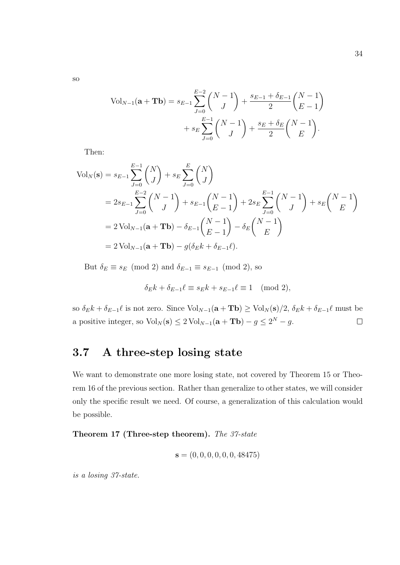$$
\text{Vol}_{N-1}(\mathbf{a} + \mathbf{T}\mathbf{b}) = s_{E-1} \sum_{J=0}^{E-2} {N-1 \choose J} + \frac{s_{E-1} + \delta_{E-1}}{2} {N-1 \choose E-1} + s_E \sum_{J=0}^{E-1} {N-1 \choose J} + \frac{s_E + \delta_E}{2} {N-1 \choose E}.
$$

Then:

$$
\text{Vol}_N(\mathbf{s}) = s_{E-1} \sum_{J=0}^{E-1} {N \choose J} + s_E \sum_{J=0}^E {N \choose J} \n= 2s_{E-1} \sum_{J=0}^{E-2} {N-1 \choose J} + s_{E-1} {N-1 \choose E-1} + 2s_E \sum_{J=0}^{E-1} {N-1 \choose J} + s_E {N-1 \choose E} \n= 2 \text{Vol}_{N-1}(\mathbf{a} + \mathbf{T}\mathbf{b}) - \delta_{E-1} {N-1 \choose E-1} - \delta_E {N-1 \choose E} \n= 2 \text{Vol}_{N-1}(\mathbf{a} + \mathbf{T}\mathbf{b}) - g(\delta_E k + \delta_{E-1} \ell).
$$

But  $\delta_E \equiv s_E \pmod{2}$  and  $\delta_{E-1} \equiv s_{E-1} \pmod{2}$ , so

$$
\delta_E k + \delta_{E-1} \ell \equiv s_E k + s_{E-1} \ell \equiv 1 \pmod{2},
$$

so  $\delta_E k + \delta_{E-1}\ell$  is not zero. Since  $Vol_{N-1}({\bf a} + {\bf Tb}) \geq Vol_N({\bf s})/2$ ,  $\delta_E k + \delta_{E-1}\ell$  must be a positive integer, so  $\text{Vol}_N(\mathbf{s}) \leq 2 \text{Vol}_{N-1}(\mathbf{a} + \mathbf{Tb}) - g \leq 2^N - g$ .  $\Box$ 

## 3.7 A three-step losing state

We want to demonstrate one more losing state, not covered by Theorem 15 or Theorem 16 of the previous section. Rather than generalize to other states, we will consider only the specific result we need. Of course, a generalization of this calculation would be possible.

Theorem 17 (Three-step theorem). The 37-state

$$
\mathbf{s} = (0, 0, 0, 0, 0, 0, 48475)
$$

is a losing 37-state.

so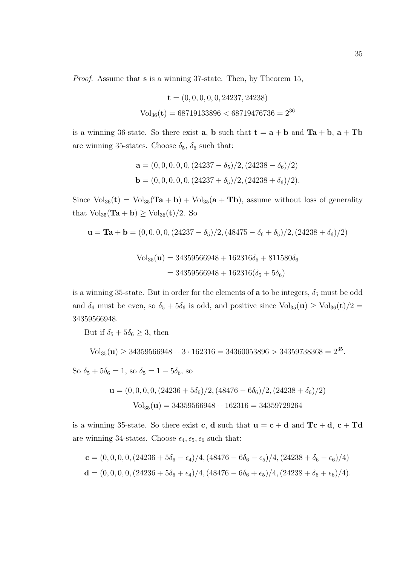Proof. Assume that s is a winning 37-state. Then, by Theorem 15,

$$
\mathbf{t} = (0, 0, 0, 0, 0, 24237, 24238)
$$
  
Vol<sub>36</sub>( $\mathbf{t}$ ) = 68719133896 < 68719476736 = 2<sup>36</sup>

is a winning 36-state. So there exist **a**, **b** such that  $t = a + b$  and  $Ta + b$ ,  $a + Tb$ are winning 35-states. Choose  $\delta_5$ ,  $\delta_6$  such that:

$$
\mathbf{a} = (0, 0, 0, 0, 0, (24237 - \delta_5)/2, (24238 - \delta_6)/2)
$$
  

$$
\mathbf{b} = (0, 0, 0, 0, 0, (24237 + \delta_5)/2, (24238 + \delta_6)/2).
$$

Since  $\text{Vol}_{36}(\mathbf{t}) = \text{Vol}_{35}(\mathbf{Ta} + \mathbf{b}) + \text{Vol}_{35}(\mathbf{a} + \mathbf{Tb})$ , assume without loss of generality that  $\text{Vol}_{35}(\text{Ta} + \text{b}) \geq \text{Vol}_{36}(\text{t})/2$ . So

$$
\mathbf{u} = \mathbf{Ta} + \mathbf{b} = (0, 0, 0, 0, (24237 - \delta_5)/2, (48475 - \delta_6 + \delta_5)/2, (24238 + \delta_6)/2)
$$

$$
Vol_{35}(\mathbf{u}) = 34359566948 + 162316\delta_5 + 811580\delta_6
$$
  
= 34359566948 + 162316(\delta\_5 + 5\delta\_6)

is a winning 35-state. But in order for the elements of  $a$  to be integers,  $\delta_5$  must be odd and  $\delta_6$  must be even, so  $\delta_5 + 5\delta_6$  is odd, and positive since  $Vol_{35}(\mathbf{u}) \geq Vol_{36}(\mathbf{t})/2 =$ 34359566948.

But if  $\delta_5 + 5\delta_6 \geq 3$ , then

$$
Vol_{35}(\mathbf{u}) \ge 34359566948 + 3 \cdot 162316 = 34360053896 > 34359738368 = 2^{35}.
$$

So  $\delta_5 + 5\delta_6 = 1$ , so  $\delta_5 = 1 - 5\delta_6$ , so

$$
\mathbf{u} = (0, 0, 0, 0, (24236 + 5\delta_6)/2, (48476 - 6\delta_6)/2, (24238 + \delta_6)/2)
$$
  
Vol<sub>35</sub>(**u**) = 34359566948 + 162316 = 34359729264

is a winning 35-state. So there exist c, d such that  $u = c + d$  and  $Tc + d$ ,  $c + Td$ are winning 34-states. Choose  $\epsilon_4, \epsilon_5, \epsilon_6$  such that:

$$
\mathbf{c} = (0, 0, 0, 0, (24236 + 5\delta_6 - \epsilon_4)/4, (48476 - 6\delta_6 - \epsilon_5)/4, (24238 + \delta_6 - \epsilon_6)/4)
$$
  

$$
\mathbf{d} = (0, 0, 0, 0, (24236 + 5\delta_6 + \epsilon_4)/4, (48476 - 6\delta_6 + \epsilon_5)/4, (24238 + \delta_6 + \epsilon_6)/4).
$$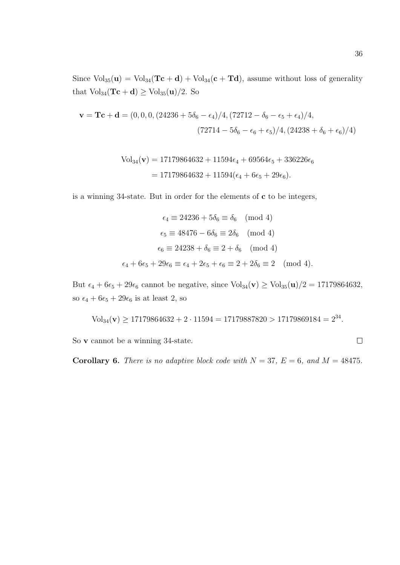Since  $Vol_{35}(u) = Vol_{34}(Tc + d) + Vol_{34}(c + Td)$ , assume without loss of generality that  $\text{Vol}_{34}(\text{Tc} + \text{d}) \geq \text{Vol}_{35}(\text{u})/2$ . So

$$
\mathbf{v} = \mathbf{T}\mathbf{c} + \mathbf{d} = (0, 0, 0, (24236 + 5\delta_6 - \epsilon_4)/4, (72712 - \delta_6 - \epsilon_5 + \epsilon_4)/4,
$$
  

$$
(72714 - 5\delta_6 - \epsilon_6 + \epsilon_5)/4, (24238 + \delta_6 + \epsilon_6)/4)
$$

$$
Vol_{34}(\mathbf{v}) = 17179864632 + 11594\epsilon_4 + 69564\epsilon_5 + 336226\epsilon_6
$$
  
= 17179864632 + 11594(\epsilon\_4 + 6\epsilon\_5 + 29\epsilon\_6).

is a winning 34-state. But in order for the elements of c to be integers,

$$
\epsilon_4 \equiv 24236 + 5\delta_6 \equiv \delta_6 \pmod{4}
$$

$$
\epsilon_5 \equiv 48476 - 6\delta_6 \equiv 2\delta_6 \pmod{4}
$$

$$
\epsilon_6 \equiv 24238 + \delta_6 \equiv 2 + \delta_6 \pmod{4}
$$

$$
\epsilon_4 + 6\epsilon_5 + 29\epsilon_6 \equiv \epsilon_4 + 2\epsilon_5 + \epsilon_6 \equiv 2 + 2\delta_6 \equiv 2 \pmod{4}.
$$

But  $\epsilon_4 + 6\epsilon_5 + 29\epsilon_6$  cannot be negative, since  $Vol_{34}(\mathbf{v}) \geq Vol_{35}(\mathbf{u})/2 = 17179864632$ , so  $\epsilon_4 + 6\epsilon_5 + 29\epsilon_6$  is at least 2, so

$$
Vol_{34}(\mathbf{v}) \ge 17179864632 + 2 \cdot 11594 = 17179887820 > 17179869184 = 2^{34}.
$$

So v cannot be a winning 34-state.

**Corollary 6.** There is no adaptive block code with  $N = 37$ ,  $E = 6$ , and  $M = 48475$ .

$$
\Box
$$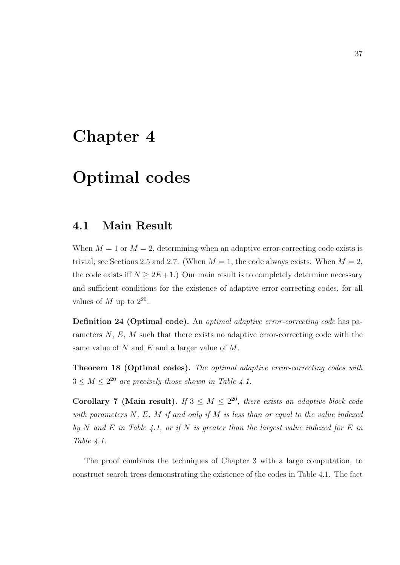## Chapter 4

# Optimal codes

## 4.1 Main Result

When  $M = 1$  or  $M = 2$ , determining when an adaptive error-correcting code exists is trivial; see Sections 2.5 and 2.7. (When  $M = 1$ , the code always exists. When  $M = 2$ , the code exists iff  $N \geq 2E+1$ .) Our main result is to completely determine necessary and sufficient conditions for the existence of adaptive error-correcting codes, for all values of  $M$  up to  $2^{20}$ .

Definition 24 (Optimal code). An optimal adaptive error-correcting code has parameters  $N, E, M$  such that there exists no adaptive error-correcting code with the same value of N and E and a larger value of  $M$ .

Theorem 18 (Optimal codes). The optimal adaptive error-correcting codes with  $3 \leq M \leq 2^{20}$  are precisely those shown in Table 4.1.

Corollary 7 (Main result). If  $3 \leq M \leq 2^{20}$ , there exists an adaptive block code with parameters  $N, E, M$  if and only if  $M$  is less than or equal to the value indexed by N and E in Table 4.1, or if N is greater than the largest value indexed for E in Table 4.1.

The proof combines the techniques of Chapter 3 with a large computation, to construct search trees demonstrating the existence of the codes in Table 4.1. The fact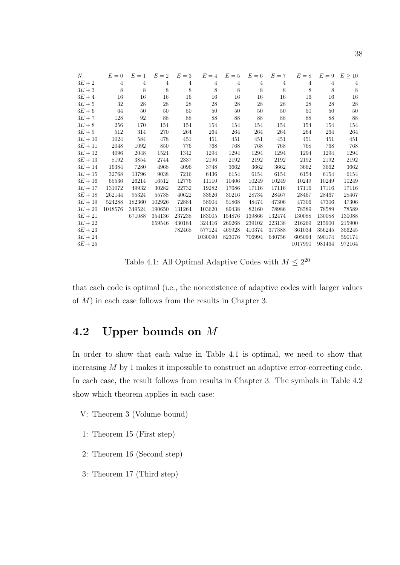| N         | $E=0$          | $E=1$          | $E=2$          | $E=3$          | $E=4$ $E=5$    |                | $E=6$          | $E=7$          | $E=8$   | $E=9$          | $E \geq 10$    |
|-----------|----------------|----------------|----------------|----------------|----------------|----------------|----------------|----------------|---------|----------------|----------------|
| $3E+2$    | $\overline{4}$ | $\overline{4}$ | $\overline{4}$ | $\overline{4}$ | $\overline{4}$ | $\overline{4}$ | $\overline{4}$ | $\overline{4}$ | 4       | $\overline{4}$ | $\overline{4}$ |
| $3E+3$    | 8              | 8              | 8              | 8              | 8              | 8              | 8              | 8              | 8       | 8              | 8              |
| $3E+4$    | 16             | 16             | 16             | 16             | 16             | 16             | 16             | 16             | 16      | 16             | 16             |
| $3E+5$    | 32             | 28             | 28             | 28             | 28             | 28             | 28             | 28             | 28      | 28             | 28             |
| $3E+6$    | 64             | 50             | 50             | 50             | 50             | 50             | 50             | 50             | 50      | 50             | 50             |
| $3E+7$    | 128            | 92             | 88             | 88             | 88             | 88             | 88             | 88             | 88      | 88             | 88             |
| $3E+8$    | 256            | 170            | 154            | 154            | 154            | 154            | 154            | 154            | 154     | 154            | 154            |
| $3E+9$    | 512            | 314            | 270            | 264            | 264            | 264            | 264            | 264            | 264     | 264            | 264            |
| $3E + 10$ | 1024           | 584            | 478            | 451            | 451            | 451            | 451            | 451            | 451     | 451            | 451            |
| $3E + 11$ | 2048           | 1092           | 850            | 776            | 768            | 768            | 768            | 768            | 768     | 768            | 768            |
| $3E + 12$ | 4096           | 2048           | 1524           | 1342           | 1294           | 1294           | 1294           | 1294           | 1294    | 1294           | 1294           |
| $3E + 13$ | 8192           | 3854           | 2744           | 2337           | 2196           | 2192           | 2192           | 2192           | 2192    | 2192           | 2192           |
| $3E + 14$ | 16384          | 7280           | 4968           | 4096           | 3748           | 3662           | 3662           | 3662           | 3662    | 3662           | 3662           |
| $3E + 15$ | 32768          | 13796          | 9038           | 7216           | 6436           | 6154           | 6154           | 6154           | 6154    | 6154           | 6154           |
| $3E+16$   | 65536          | 26214          | 16512          | 12776          | 11110          | 10406          | 10249          | 10249          | 10249   | 10249          | 10249          |
| $3E + 17$ | 131072         | 49932          | 30282          | 22732          | 19282          | 17686          | 17116          | 17116          | 17116   | 17116          | 17116          |
| $3E+18$   | 262144         | 95324          | 55738          | 40622          | 33626          | 30216          | 28734          | 28467          | 28467   | 28467          | 28467          |
| $3E + 19$ | 524288         | 182360         | 102926         | 72884          | 58904          | 51868          | 48474          | 47306          | 47306   | 47306          | 47306          |
| $3E + 20$ | 1048576        | 349524         | 190650         | 131264         | 103620         | 89438          | 82160          | 78986          | 78589   | 78589          | 78589          |
| $3E + 21$ |                | 671088         | 354136         | 237238         | 183005         | 154876         | 139866         | 132474         | 130088  | 130088         | 130088         |
| $3E + 22$ |                |                | 659546         | 430184         | 324416         | 269268         | 239102         | 223138         | 216269  | 215900         | 215900         |
| $3E + 23$ |                |                |                | 782468         | 577124         | 469928         | 410374         | 377388         | 361034  | 356245         | 356245         |
| $3E + 24$ |                |                |                |                | 1030090        | 823076         | 706994         | 640756         | 605094  | 590174         | 590174         |
| $3E + 25$ |                |                |                |                |                |                |                |                | 1017990 | 981464         | 972164         |

Table 4.1: All Optimal Adaptive Codes with  $M \leq 2^{20}$ 

that each code is optimal (i.e., the nonexistence of adaptive codes with larger values of M) in each case follows from the results in Chapter 3.

## 4.2 Upper bounds on M

In order to show that each value in Table 4.1 is optimal, we need to show that increasing M by 1 makes it impossible to construct an adaptive error-correcting code. In each case, the result follows from results in Chapter 3. The symbols in Table 4.2 show which theorem applies in each case:

- V: Theorem 3 (Volume bound)
- 1: Theorem 15 (First step)
- 2: Theorem 16 (Second step)
- 3: Theorem 17 (Third step)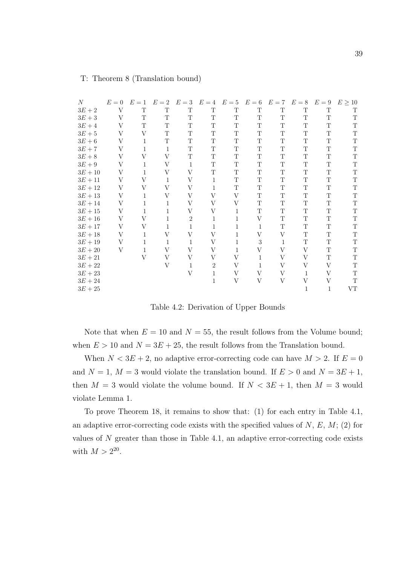| $\boldsymbol{N}$ | $E=0$ | $E=1$        | $E=2$        | $E=3$          | $E=4$          | $E=5$        | $E=6$        | $E=7$       | $E=8$       | $E=9$       | $E \geq 10$ |
|------------------|-------|--------------|--------------|----------------|----------------|--------------|--------------|-------------|-------------|-------------|-------------|
| $3E+2$           | V     | T            | T            | T              | $\mathbf T$    | $\mathbf T$  | $\mathbf T$  | $\mathbf T$ | $\mathbf T$ | $\mathbf T$ | T           |
| $3E+3$           | V     | T            | T            | T              | T              | $\mathbf T$  | $\mathbf T$  | T           | $\mathbf T$ | $\mathbf T$ | $\mathbf T$ |
| $3E+4$           | V     | T            | T            | T              | T              | $\mathbf T$  | T            | T           | $\mathbf T$ | T           | $\mathbf T$ |
| $3E+5$           | V     | V            | T            | T              | $\mathbf T$    | T            | T            | T           | $\mathbf T$ | $\mathbf T$ | $\mathbf T$ |
| $3E+6$           | V     | 1            | T            | T              | $\mathbf T$    | $\mathbf T$  | T            | T           | $\mathbf T$ | $\mathbf T$ | $\mathbf T$ |
| $3E+7$           | V     | 1            | $\mathbf{1}$ | T              | $\mathbf T$    | $\mathbf T$  | T            | T           | $\mathbf T$ | $\mathbf T$ | $\mathbf T$ |
| $3E+8$           | V     | V            | V            | T              | T              | $\mathbf T$  | T            | $\mathbf T$ | $\mathbf T$ | $\mathbf T$ | $\mathbf T$ |
| $3E+9$           | V     | 1            | V            | $\mathbf{1}$   | $\mathbf T$    | $\mathbf T$  | T            | T           | $\mathbf T$ | $\mathbf T$ | $\mathbf T$ |
| $3E+10$          | V     | 1            | V            | V              | T              | T            | T            | T           | T           | $\mathbf T$ | T           |
| $3E+11$          | V     | V            | 1            | V              | $\mathbf{1}$   | $\mathbf T$  | T            | $\mathbf T$ | $\mathbf T$ | $\mathbf T$ | $\mathbf T$ |
| $3E+12$          | V     | V            | V            | V              | 1              | $\mathbf T$  | $\mathbf T$  | $\mathbf T$ | $\mathbf T$ | $\mathbf T$ | $\mathbf T$ |
| $3E + 13$        | V     | 1            | V            | V              | V              | V            | $\mathbf T$  | $\mathbf T$ | $\mathbf T$ | $\mathbf T$ | $\mathbf T$ |
| $3E+14$          | V     | 1            | 1            | V              | V              | V            | T            | $\mathbf T$ | $\mathbf T$ | $\mathbf T$ | $\mathbf T$ |
| $3E+15$          | V     | $\mathbf{1}$ | 1            | V              | V              | $\mathbf{1}$ | $\mathbf T$  | $\mathbf T$ | $\mathbf T$ | T           | $\mathbf T$ |
| $3E+16$          | V     | V            | 1            | $\overline{2}$ | 1              | $\mathbf{1}$ | V            | $\mathbf T$ | $\mathbf T$ | $\mathbf T$ | $\mathbf T$ |
| $3E+17$          | V     | V            | 1            | 1              | 1              | 1            | $\mathbf{1}$ | $\mathbf T$ | $\mathbf T$ | $\mathbf T$ | $\mathbf T$ |
| $3E + 18$        | V     | 1            | V            | V              | V              | 1            | V            | V           | $\mathbf T$ | $\mathbf T$ | $\mathbf T$ |
| $3E+19$          | V     | $\mathbf{1}$ | 1            | 1              | V              | 1            | 3            | 1           | $\mathbf T$ | T           | $\mathbf T$ |
| $3E+20\,$        | V     | 1            | V            | V              | V              | $\mathbf{1}$ | V            | V           | V           | $\mathbf T$ | $\mathbf T$ |
| $3E+21$          |       | V            | V            | V              | V              | V            | 1            | V           | V           | $\mathbf T$ | $\mathbf T$ |
| $3E+22$          |       |              | V            | 1              | $\overline{2}$ | V            | $\mathbf{1}$ | V           | V           | V           | $\mathbf T$ |
| $3E+23$          |       |              |              | V              | 1              | $\rm V$      | V            | V           | 1           | V           | $\mathbf T$ |
| $3E + 24$        |       |              |              |                | $\mathbf{1}$   | V            | V            | V           | V           | V           | $\mathbf T$ |
| $3E+25$          |       |              |              |                |                |              |              |             | 1           | 1           | <b>VT</b>   |

#### T: Theorem 8 (Translation bound)

Table 4.2: Derivation of Upper Bounds

Note that when  $E = 10$  and  $N = 55$ , the result follows from the Volume bound; when  $E > 10$  and  $N = 3E + 25$ , the result follows from the Translation bound.

When  $N < 3E + 2$ , no adaptive error-correcting code can have  $M > 2$ . If  $E = 0$ and  $N = 1, M = 3$  would violate the translation bound. If  $E > 0$  and  $N = 3E + 1$ , then  $M = 3$  would violate the volume bound. If  $N < 3E + 1$ , then  $M = 3$  would violate Lemma 1.

To prove Theorem 18, it remains to show that: (1) for each entry in Table 4.1, an adaptive error-correcting code exists with the specified values of  $N, E, M$ ; (2) for values of  $N$  greater than those in Table 4.1, an adaptive error-correcting code exists with  $M > 2^{20}$ .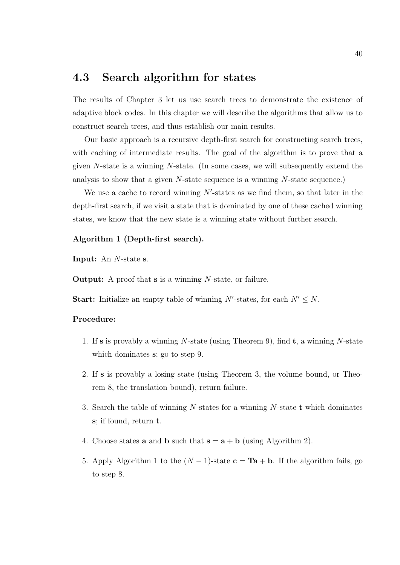## 4.3 Search algorithm for states

The results of Chapter 3 let us use search trees to demonstrate the existence of adaptive block codes. In this chapter we will describe the algorithms that allow us to construct search trees, and thus establish our main results.

Our basic approach is a recursive depth-first search for constructing search trees, with caching of intermediate results. The goal of the algorithm is to prove that a given N-state is a winning N-state. (In some cases, we will subsequently extend the analysis to show that a given  $N$ -state sequence is a winning  $N$ -state sequence.)

We use a cache to record winning  $N'$ -states as we find them, so that later in the depth-first search, if we visit a state that is dominated by one of these cached winning states, we know that the new state is a winning state without further search.

#### Algorithm 1 (Depth-first search).

Input: An N-state s.

Output: A proof that s is a winning N-state, or failure.

**Start:** Initialize an empty table of winning N'-states, for each  $N' \leq N$ .

#### Procedure:

- 1. If s is provably a winning N-state (using Theorem 9), find  $t$ , a winning N-state which dominates s; go to step 9.
- 2. If s is provably a losing state (using Theorem 3, the volume bound, or Theorem 8, the translation bound), return failure.
- 3. Search the table of winning  $N$ -states for a winning  $N$ -state  $t$  which dominates s; if found, return t.
- 4. Choose states **a** and **b** such that  $\mathbf{s} = \mathbf{a} + \mathbf{b}$  (using Algorithm 2).
- 5. Apply Algorithm 1 to the  $(N-1)$ -state  $c = Ta + b$ . If the algorithm fails, go to step 8.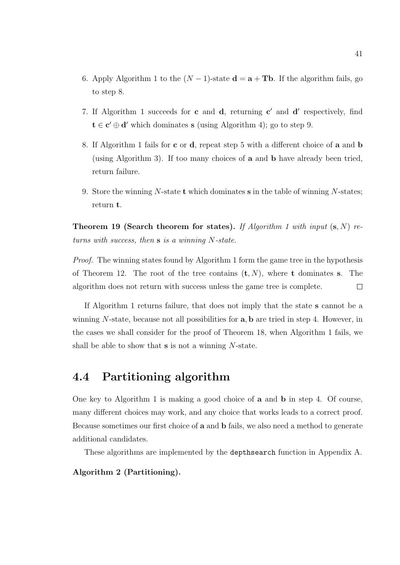- 6. Apply Algorithm 1 to the  $(N-1)$ -state  $\mathbf{d} = \mathbf{a} + \mathbf{T} \mathbf{b}$ . If the algorithm fails, go to step 8.
- 7. If Algorithm 1 succeeds for  $c$  and  $d$ , returning  $c'$  and  $d'$  respectively, find  $t \in c' \oplus d'$  which dominates s (using Algorithm 4); go to step 9.
- 8. If Algorithm 1 fails for c or d, repeat step 5 with a different choice of a and b (using Algorithm 3). If too many choices of a and b have already been tried, return failure.
- 9. Store the winning N-state t which dominates s in the table of winning N-states; return t.

**Theorem 19 (Search theorem for states).** If Algorithm 1 with input  $(s, N)$  returns with success, then  $s$  is a winning N-state.

Proof. The winning states found by Algorithm 1 form the game tree in the hypothesis of Theorem 12. The root of the tree contains  $(\mathbf{t}, N)$ , where **t** dominates **s**. The algorithm does not return with success unless the game tree is complete.  $\Box$ 

If Algorithm 1 returns failure, that does not imply that the state s cannot be a winning  $N$ -state, because not all possibilities for  $a, b$  are tried in step 4. However, in the cases we shall consider for the proof of Theorem 18, when Algorithm 1 fails, we shall be able to show that **s** is not a winning N-state.

## 4.4 Partitioning algorithm

One key to Algorithm 1 is making a good choice of a and b in step 4. Of course, many different choices may work, and any choice that works leads to a correct proof. Because sometimes our first choice of a and b fails, we also need a method to generate additional candidates.

These algorithms are implemented by the depthsearch function in Appendix A.

Algorithm 2 (Partitioning).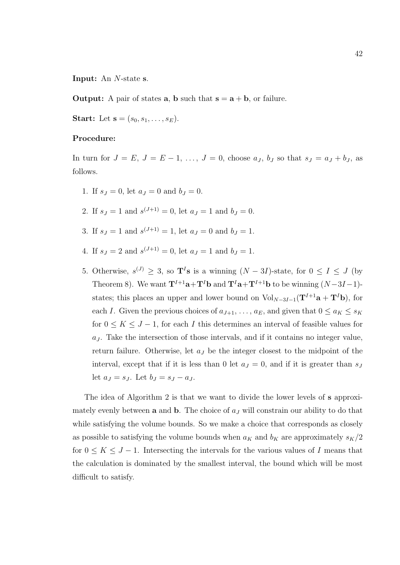Input: An N-state s.

**Output:** A pair of states **a**, **b** such that  $s = a + b$ , or failure.

**Start:** Let  $s = (s_0, s_1, \ldots, s_F)$ .

#### Procedure:

In turn for  $J = E$ ,  $J = E - 1$ , ...,  $J = 0$ , choose  $a<sub>J</sub>$ ,  $b<sub>J</sub>$  so that  $s<sub>J</sub> = a<sub>J</sub> + b<sub>J</sub>$ , as follows.

- 1. If  $s_J = 0$ , let  $a_J = 0$  and  $b_J = 0$ .
- 2. If  $s_J = 1$  and  $s^{(J+1)} = 0$ , let  $a_J = 1$  and  $b_J = 0$ .
- 3. If  $s_J = 1$  and  $s^{(J+1)} = 1$ , let  $a_J = 0$  and  $b_J = 1$ .
- 4. If  $s_J = 2$  and  $s^{(J+1)} = 0$ , let  $a_J = 1$  and  $b_J = 1$ .
- 5. Otherwise,  $s^{(J)} \geq 3$ , so  $\mathbf{T}^I$ **s** is a winning  $(N-3I)$ -state, for  $0 \leq I \leq J$  (by Theorem 8). We want  $\mathbf{T}^{I+1}\mathbf{a}+\mathbf{T}^{I}\mathbf{b}$  and  $\mathbf{T}^{I}\mathbf{a}+\mathbf{T}^{I+1}\mathbf{b}$  to be winning  $(N-3I-1)$ states; this places an upper and lower bound on  $Vol_{N-3I-1}(\mathbf{T}^{I+1}\mathbf{a} + \mathbf{T}^{I}\mathbf{b})$ , for each I. Given the previous choices of  $a_{J+1}, \ldots, a_E$ , and given that  $0 \le a_K \le s_K$ for  $0 \leq K \leq J-1$ , for each I this determines an interval of feasible values for  $a<sub>J</sub>$ . Take the intersection of those intervals, and if it contains no integer value, return failure. Otherwise, let  $a<sub>J</sub>$  be the integer closest to the midpoint of the interval, except that if it is less than 0 let  $a_J = 0$ , and if it is greater than  $s_J$ let  $a_J = s_J$ . Let  $b_J = s_J - a_J$ .

The idea of Algorithm 2 is that we want to divide the lower levels of s approximately evenly between **a** and **b**. The choice of  $a<sub>J</sub>$  will constrain our ability to do that while satisfying the volume bounds. So we make a choice that corresponds as closely as possible to satisfying the volume bounds when  $a_K$  and  $b_K$  are approximately  $s_K/2$ for  $0 \leq K \leq J - 1$ . Intersecting the intervals for the various values of I means that the calculation is dominated by the smallest interval, the bound which will be most difficult to satisfy.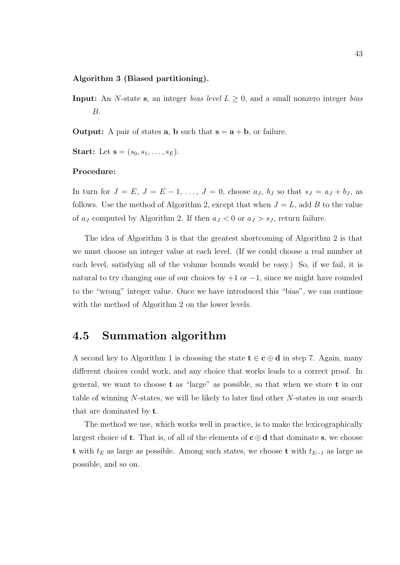#### Algorithm 3 (Biased partitioning).

- **Input:** An N-state s, an integer bias level  $L \geq 0$ , and a small nonzero integer bias B.
- **Output:** A pair of states **a**, **b** such that  $s = a + b$ , or failure.
- **Start:** Let  $s = (s_0, s_1, \ldots, s_E)$ .

#### Procedure:

In turn for  $J = E$ ,  $J = E - 1$ , ...,  $J = 0$ , choose  $a<sub>J</sub>$ ,  $b<sub>J</sub>$  so that  $s<sub>J</sub> = a<sub>J</sub> + b<sub>J</sub>$ , as follows. Use the method of Algorithm 2, except that when  $J = L$ , add B to the value of  $a_j$  computed by Algorithm 2. If then  $a_j < 0$  or  $a_j > s_j$ , return failure.

The idea of Algorithm 3 is that the greatest shortcoming of Algorithm 2 is that we must choose an integer value at each level. (If we could choose a real number at each level, satisfying all of the volume bounds would be easy.) So, if we fail, it is natural to try changing one of our choices by  $+1$  or  $-1$ , since we might have rounded to the "wrong" integer value. Once we have introduced this "bias", we can continue with the method of Algorithm 2 on the lower levels.

## 4.5 Summation algorithm

A second key to Algorithm 1 is choosing the state  $t \in c \oplus d$  in step 7. Again, many different choices could work, and any choice that works leads to a correct proof. In general, we want to choose t as "large" as possible, so that when we store t in our table of winning N-states, we will be likely to later find other N-states in our search that are dominated by t.

The method we use, which works well in practice, is to make the lexicographically largest choice of **t**. That is, of all of the elements of  $c \oplus d$  that dominate s, we choose t with  $t<sub>E</sub>$  as large as possible. Among such states, we choose t with  $t<sub>E−1</sub>$  as large as possible, and so on.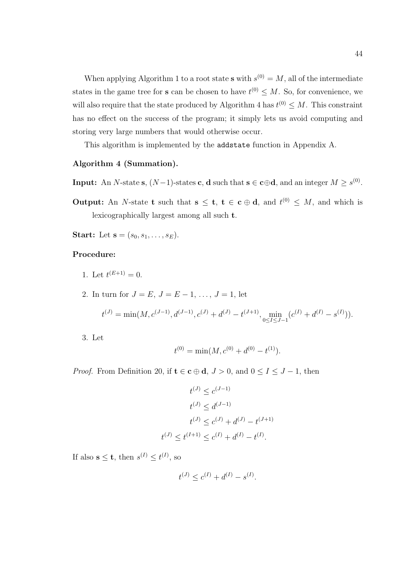When applying Algorithm 1 to a root state **s** with  $s^{(0)} = M$ , all of the intermediate states in the game tree for **s** can be chosen to have  $t^{(0)} \leq M$ . So, for convenience, we will also require that the state produced by Algorithm 4 has  $t^{(0)} \leq M$ . This constraint has no effect on the success of the program; it simply lets us avoid computing and storing very large numbers that would otherwise occur.

This algorithm is implemented by the addstate function in Appendix A.

#### Algorithm 4 (Summation).

- **Input:** An N-state **s**,  $(N-1)$ -states **c**, **d** such that  $\mathbf{s} \in \mathbf{c} \oplus \mathbf{d}$ , and an integer  $M \geq s^{(0)}$ .
- **Output:** An N-state **t** such that  $s \le t$ ,  $t \in c \oplus d$ , and  $t^{(0)} \le M$ , and which is lexicographically largest among all such t.
- **Start:** Let  $s = (s_0, s_1, \ldots, s_E)$ .

#### Procedure:

- 1. Let  $t^{(E+1)} = 0$ .
- 2. In turn for  $J = E, J = E 1, \ldots, J = 1$ , let

$$
t^{(J)} = \min(M, c^{(J-1)}, d^{(J-1)}, c^{(J)} + d^{(J)} - t^{(J+1)}, \min_{0 \le I \le J-1} (c^{(I)} + d^{(I)} - s^{(I)})).
$$

3. Let

$$
t^{(0)} = \min(M, c^{(0)} + d^{(0)} - t^{(1)}).
$$

*Proof.* From Definition 20, if  $t \in \mathbf{c} \oplus \mathbf{d}$ ,  $J > 0$ , and  $0 \le I \le J - 1$ , then

$$
t^{(J)} \le c^{(J-1)}
$$
  
\n
$$
t^{(J)} \le d^{(J-1)}
$$
  
\n
$$
t^{(J)} \le c^{(J)} + d^{(J)} - t^{(J+1)}
$$
  
\n
$$
t^{(J)} \le t^{(I+1)} \le c^{(I)} + d^{(I)} - t^{(I)}.
$$

If also  $\mathbf{s} \leq \mathbf{t}$ , then  $s^{(I)} \leq t^{(I)}$ , so

$$
t^{(J)} \le c^{(I)} + d^{(I)} - s^{(I)}.
$$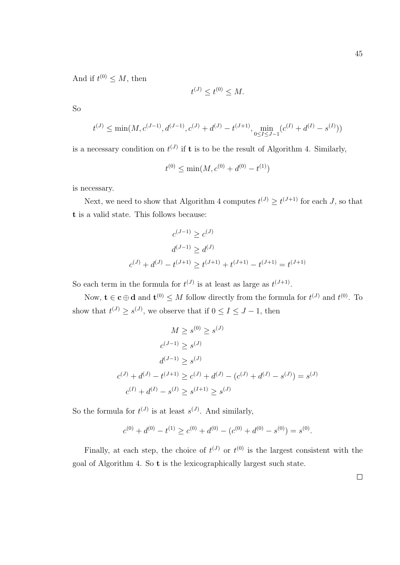And if  $t^{(0)} \leq M$ , then

$$
t^{(J)} \le t^{(0)} \le M.
$$

So

$$
t^{(J)} \le \min(M, c^{(J-1)}, d^{(J-1)}, c^{(J)} + d^{(J)} - t^{(J+1)}, \min_{0 \le I \le J-1} (c^{(I)} + d^{(I)} - s^{(I)}))
$$

is a necessary condition on  $t^{(J)}$  if **t** is to be the result of Algorithm 4. Similarly,

$$
t^{(0)} \le \min(M, c^{(0)} + d^{(0)} - t^{(1)})
$$

is necessary.

Next, we need to show that Algorithm 4 computes  $t^{(J)} \geq t^{(J+1)}$  for each J, so that t is a valid state. This follows because:

$$
c^{(J-1)} \ge c^{(J)}
$$

$$
d^{(J-1)} \ge d^{(J)}
$$

$$
c^{(J)} + d^{(J)} - t^{(J+1)} \ge t^{(J+1)} + t^{(J+1)} - t^{(J+1)} = t^{(J+1)}
$$

So each term in the formula for  $t^{(J)}$  is at least as large as  $t^{(J+1)}$ .

Now,  $\mathbf{t} \in \mathbf{c} \oplus \mathbf{d}$  and  $\mathbf{t}^{(0)} \leq M$  follow directly from the formula for  $t^{(J)}$  and  $t^{(0)}$ . To show that  $t^{(J)} \geq s^{(J)}$ , we observe that if  $0 \leq I \leq J - 1$ , then

$$
M \ge s^{(0)} \ge s^{(J)}
$$
  
\n
$$
c^{(J-1)} \ge s^{(J)}
$$
  
\n
$$
d^{(J-1)} \ge s^{(J)}
$$
  
\n
$$
c^{(J)} + d^{(J)} - t^{(J+1)} \ge c^{(J)} + d^{(J)} - (c^{(J)} + d^{(J)} - s^{(J)}) = s^{(J)}
$$
  
\n
$$
c^{(I)} + d^{(I)} - s^{(I)} \ge s^{(I+1)} \ge s^{(J)}
$$

So the formula for  $t^{(J)}$  is at least  $s^{(J)}$ . And similarly,

$$
c^{(0)} + d^{(0)} - t^{(1)} \ge c^{(0)} + d^{(0)} - (c^{(0)} + d^{(0)} - s^{(0)}) = s^{(0)}.
$$

Finally, at each step, the choice of  $t^{(J)}$  or  $t^{(0)}$  is the largest consistent with the goal of Algorithm 4. So t is the lexicographically largest such state.

 $\Box$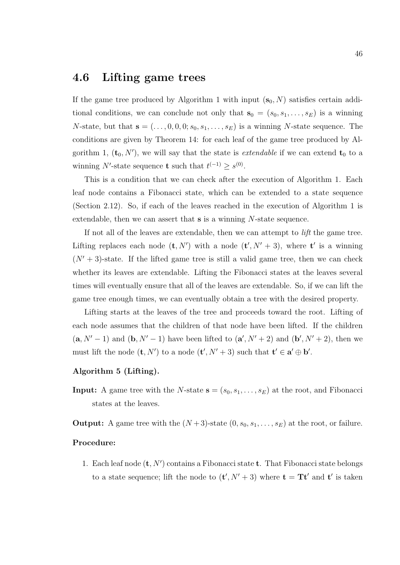## 4.6 Lifting game trees

If the game tree produced by Algorithm 1 with input  $(\mathbf{s}_0, N)$  satisfies certain additional conditions, we can conclude not only that  $s_0 = (s_0, s_1, \ldots, s_E)$  is a winning *N*-state, but that  $\mathbf{s} = (\ldots, 0, 0, 0; s_0, s_1, \ldots, s_E)$  is a winning *N*-state sequence. The conditions are given by Theorem 14: for each leaf of the game tree produced by Algorithm 1,  $(\mathbf{t}_0, N')$ , we will say that the state is *extendable* if we can extend  $\mathbf{t}_0$  to a winning N'-state sequence **t** such that  $t^{(-1)} \geq s^{(0)}$ .

This is a condition that we can check after the execution of Algorithm 1. Each leaf node contains a Fibonacci state, which can be extended to a state sequence (Section 2.12). So, if each of the leaves reached in the execution of Algorithm 1 is extendable, then we can assert that  $s$  is a winning N-state sequence.

If not all of the leaves are extendable, then we can attempt to lift the game tree. Lifting replaces each node  $(\mathbf{t}, N')$  with a node  $(\mathbf{t}', N' + 3)$ , where  $\mathbf{t}'$  is a winning  $(N' + 3)$ -state. If the lifted game tree is still a valid game tree, then we can check whether its leaves are extendable. Lifting the Fibonacci states at the leaves several times will eventually ensure that all of the leaves are extendable. So, if we can lift the game tree enough times, we can eventually obtain a tree with the desired property.

Lifting starts at the leaves of the tree and proceeds toward the root. Lifting of each node assumes that the children of that node have been lifted. If the children  $(a, N' - 1)$  and  $(b, N' - 1)$  have been lifted to  $(a', N' + 2)$  and  $(b', N' + 2)$ , then we must lift the node  $(\mathbf{t}, N')$  to a node  $(\mathbf{t}', N' + 3)$  such that  $\mathbf{t}' \in \mathbf{a}' \oplus \mathbf{b}'$ .

#### Algorithm 5 (Lifting).

**Input:** A game tree with the N-state  $\mathbf{s} = (s_0, s_1, \ldots, s_E)$  at the root, and Fibonacci states at the leaves.

**Output:** A game tree with the  $(N+3)$ -state  $(0, s_0, s_1, \ldots, s_E)$  at the root, or failure.

#### Procedure:

1. Each leaf node  $(\mathbf{t}, N')$  contains a Fibonacci state  $\mathbf{t}$ . That Fibonacci state belongs to a state sequence; lift the node to  $(\mathbf{t}', N' + 3)$  where  $\mathbf{t} = \mathbf{T} \mathbf{t}'$  and  $\mathbf{t}'$  is taken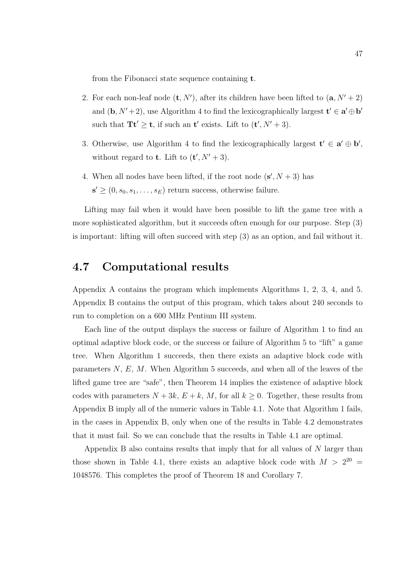from the Fibonacci state sequence containing t.

- 2. For each non-leaf node  $(\mathbf{t}, N')$ , after its children have been lifted to  $(\mathbf{a}, N' + 2)$ and  $(\mathbf{b}, N' + 2)$ , use Algorithm 4 to find the lexicographically largest  $\mathbf{t}' \in \mathbf{a}' \oplus \mathbf{b}'$ such that  $\mathbf{T} \mathbf{t}' \geq \mathbf{t}$ , if such an  $\mathbf{t}'$  exists. Lift to  $(\mathbf{t}', N' + 3)$ .
- 3. Otherwise, use Algorithm 4 to find the lexicographically largest  $\mathbf{t}' \in \mathbf{a}' \oplus \mathbf{b}'$ , without regard to **t**. Lift to  $(t', N' + 3)$ .
- 4. When all nodes have been lifted, if the root node  $(s', N + 3)$  has  $\mathbf{s}' \geq (0, s_0, s_1, \ldots, s_E)$  return success, otherwise failure.

Lifting may fail when it would have been possible to lift the game tree with a more sophisticated algorithm, but it succeeds often enough for our purpose. Step (3) is important: lifting will often succeed with step (3) as an option, and fail without it.

## 4.7 Computational results

Appendix A contains the program which implements Algorithms 1, 2, 3, 4, and 5. Appendix B contains the output of this program, which takes about 240 seconds to run to completion on a 600 MHz Pentium III system.

Each line of the output displays the success or failure of Algorithm 1 to find an optimal adaptive block code, or the success or failure of Algorithm 5 to "lift" a game tree. When Algorithm 1 succeeds, then there exists an adaptive block code with parameters  $N, E, M$ . When Algorithm 5 succeeds, and when all of the leaves of the lifted game tree are "safe", then Theorem 14 implies the existence of adaptive block codes with parameters  $N + 3k$ ,  $E + k$ , M, for all  $k \geq 0$ . Together, these results from Appendix B imply all of the numeric values in Table 4.1. Note that Algorithm 1 fails, in the cases in Appendix B, only when one of the results in Table 4.2 demonstrates that it must fail. So we can conclude that the results in Table 4.1 are optimal.

Appendix B also contains results that imply that for all values of N larger than those shown in Table 4.1, there exists an adaptive block code with  $M > 2^{20} =$ 1048576. This completes the proof of Theorem 18 and Corollary 7.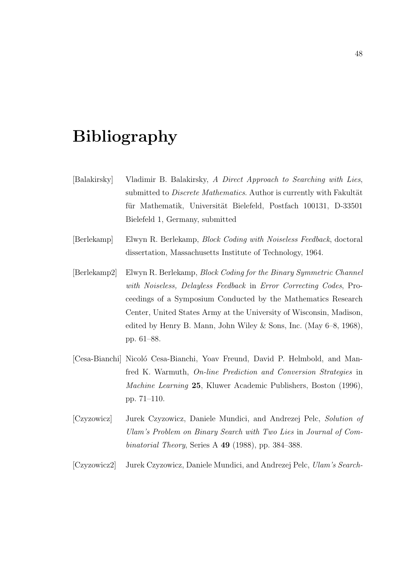## Bibliography

- [Balakirsky] Vladimir B. Balakirsky, A Direct Approach to Searching with Lies, submitted to *Discrete Mathematics*. Author is currently with Fakultät für Mathematik, Universität Bielefeld, Postfach 100131, D-33501 Bielefeld 1, Germany, submitted
- [Berlekamp] Elwyn R. Berlekamp, Block Coding with Noiseless Feedback, doctoral dissertation, Massachusetts Institute of Technology, 1964.
- [Berlekamp2] Elwyn R. Berlekamp, Block Coding for the Binary Symmetric Channel with Noiseless, Delayless Feedback in Error Correcting Codes, Proceedings of a Symposium Conducted by the Mathematics Research Center, United States Army at the University of Wisconsin, Madison, edited by Henry B. Mann, John Wiley & Sons, Inc. (May 6–8, 1968), pp. 61–88.
- [Cesa-Bianchi] Nicoló Cesa-Bianchi, Yoav Freund, David P. Helmbold, and Manfred K. Warmuth, On-line Prediction and Conversion Strategies in Machine Learning 25, Kluwer Academic Publishers, Boston (1996), pp. 71–110.
- [Czyzowicz] Jurek Czyzowicz, Daniele Mundici, and Andrezej Pelc, Solution of Ulam's Problem on Binary Search with Two Lies in Journal of Combinatorial Theory, Series A 49 (1988), pp. 384–388.

[Czyzowicz2] Jurek Czyzowicz, Daniele Mundici, and Andrezej Pelc, Ulam's Search-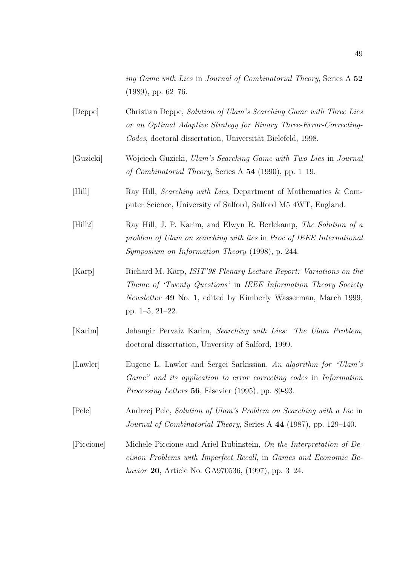ing Game with Lies in Journal of Combinatorial Theory, Series A 52  $(1989)$ , pp. 62–76.

- [Deppe] Christian Deppe, Solution of Ulam's Searching Game with Three Lies or an Optimal Adaptive Strategy for Binary Three-Error-Correcting-Codes, doctoral dissertation, Universität Bielefeld, 1998.
- [Guzicki] Wojciech Guzicki, Ulam's Searching Game with Two Lies in Journal of Combinatorial Theory, Series A 54 (1990), pp. 1–19.
- [Hill] Ray Hill, Searching with Lies, Department of Mathematics & Computer Science, University of Salford, Salford M5 4WT, England.
- [Hill2] Ray Hill, J. P. Karim, and Elwyn R. Berlekamp, The Solution of a problem of Ulam on searching with lies in Proc of IEEE International Symposium on Information Theory (1998), p. 244.
- [Karp] Richard M. Karp, ISIT'98 Plenary Lecture Report: Variations on the Theme of 'Twenty Questions' in IEEE Information Theory Society Newsletter 49 No. 1, edited by Kimberly Wasserman, March 1999, pp. 1–5, 21–22.
- [Karim] Jehangir Pervaiz Karim, Searching with Lies: The Ulam Problem, doctoral dissertation, Unversity of Salford, 1999.
- [Lawler] Eugene L. Lawler and Sergei Sarkissian, An algorithm for "Ulam's Game" and its application to error correcting codes in Information Processing Letters 56, Elsevier (1995), pp. 89-93.
- [Pelc] Andrzej Pelc, Solution of Ulam's Problem on Searching with a Lie in Journal of Combinatorial Theory, Series A 44 (1987), pp. 129–140.
- [Piccione] Michele Piccione and Ariel Rubinstein, On the Interpretation of Decision Problems with Imperfect Recall, in Games and Economic Behavior 20, Article No. GA970536, (1997), pp. 3–24.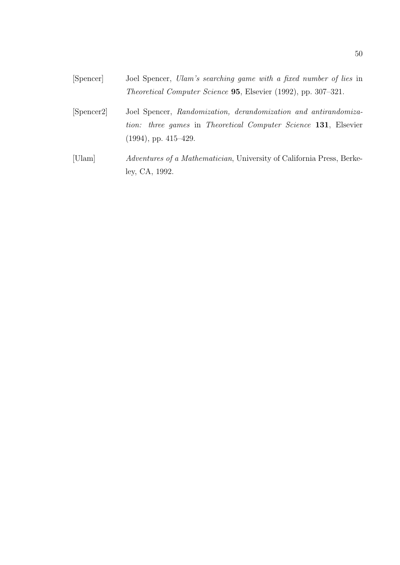- [Spencer] Joel Spencer, Ulam's searching game with a fixed number of lies in Theoretical Computer Science 95, Elsevier (1992), pp. 307–321.
- [Spencer2] Joel Spencer, Randomization, derandomization and antirandomization: three games in Theoretical Computer Science 131, Elsevier (1994), pp. 415–429.
- [Ulam] Adventures of a Mathematician, University of California Press, Berkeley, CA, 1992.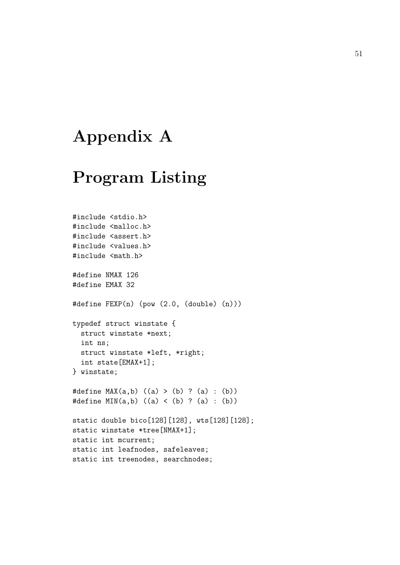# Appendix A

# Program Listing

```
#include <stdio.h>
#include <malloc.h>
#include <assert.h>
#include <values.h>
#include <math.h>
#define NMAX 126
#define EMAX 32
#define FEXP(n) (pow (2.0, (double) (n)))
typedef struct winstate {
  struct winstate *next;
  int ns;
 struct winstate *left, *right;
  int state[EMAX+1];
} winstate;
#define MAX(a,b) ((a) > (b) ? (a) : (b))
#define MIN(a, b) ((a) < (b) ? (a) : (b))static double bico[128][128], wts[128][128];
static winstate *tree[NMAX+1];
static int mcurrent;
static int leafnodes, safeleaves;
static int treenodes, searchnodes;
```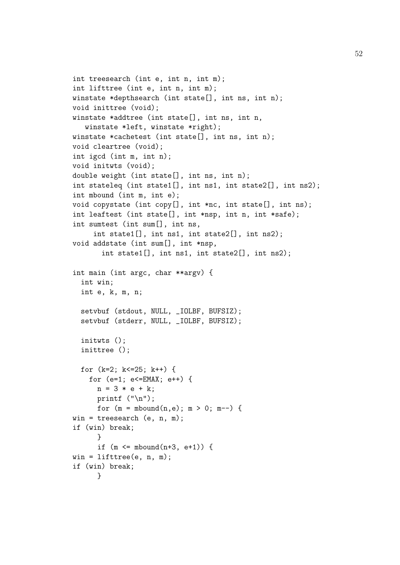```
int treesearch (int e, int n, int m);
int lifttree (int e, int n, int m);
winstate *depthsearch (int state[], int ns, int n);
void inittree (void);
winstate *addtree (int state[], int ns, int n,
   winstate *left, winstate *right);
winstate *cachetest (int state[], int ns, int n);
void cleartree (void);
int igcd (int m, int n);
void initwts (void);
double weight (int state[], int ns, int n);
int stateleq (int state1[], int ns1, int state2[], int ns2);
int mbound (int m, int e);
void copystate (int copy[], int *nc, int state[], int ns);
int leaftest (int state[], int *nsp, int n, int *safe);
int sumtest (int sum[], int ns,
     int state1[], int ns1, int state2[], int ns2);
void addstate (int sum[], int *nsp,
       int state1[], int ns1, int state2[], int ns2);
int main (int argc, char **argv) {
  int win;
  int e, k, m, n;
  setvbuf (stdout, NULL, _IOLBF, BUFSIZ);
  setvbuf (stderr, NULL, _IOLBF, BUFSIZ);
  initwts ();
  inittree ();
  for (k=2; k<=25; k++) {
    for (e=1; e<=EMAX; e++) {
      n = 3 * e + k;
      printf ("n");
      for (m = mbound(n, e); m > 0; m--) {
win = treesearch (e, n, m);
if (win) break;
      }
      if (m \leq m \text{bound}(n+3, e+1)) {
win = lifttree(e, n, m);
if (win) break;
      }
```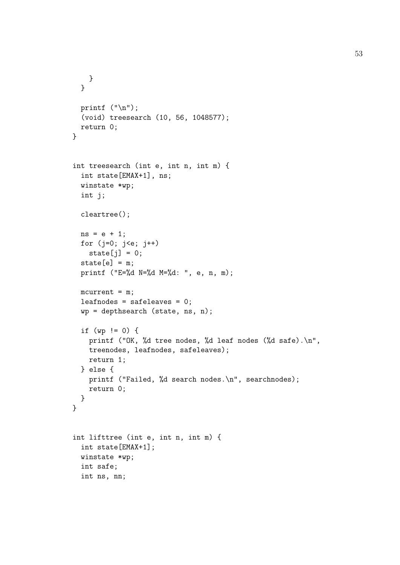```
}
  }
  printf ("n");
  (void) treesearch (10, 56, 1048577);
 return 0;
}
int treesearch (int e, int n, int m) {
  int state[EMAX+1], ns;
  winstate *wp;
  int j;
  cleartree();
  ns = e + 1;for (j=0; j \le e; j++)state[j] = 0;state[e] = m;
  printf ("E=%d N=%d M=%d: ", e, n, m);
  mcurrent = m;leafnodes = safeleaves = 0;
  wp = depthsearch (state, ns, n);
  if (wp != 0) {
    printf ("OK, %d tree nodes, %d leaf nodes (%d safe).\n",
    treenodes, leafnodes, safeleaves);
    return 1;
  } else {
    printf ("Failed, %d search nodes.\n", searchnodes);
    return 0;
  }
}
int lifttree (int e, int n, int m) {
  int state[EMAX+1];
  winstate *wp;
  int safe;
  int ns, nn;
```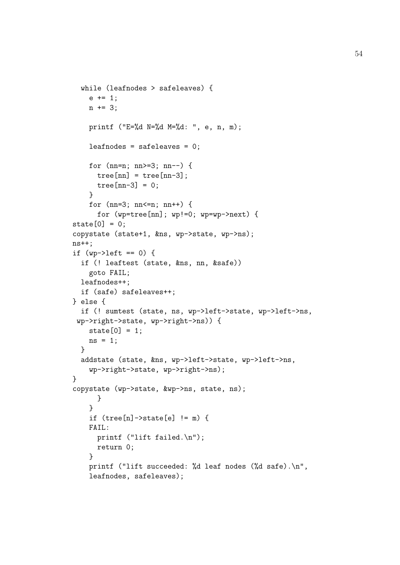```
while (leafnodes > safeleaves) {
    e += 1;
    n += 3;
    printf ("E=%d N=%d M=%d: ", e, n, m);
    leafnodes = safeleaves = 0;
    for (nn=n; nn>=3; nn--) {
      tree[nn] = tree[nn-3];tree[nn-3] = 0;}
    for (nn=3; nn<=n; nn++) {
      for (wp=tree[nn]; wp!=0; wp=wp->next) {
state[0] = 0;copystate (state+1, &ns, wp->state, wp->ns);
ns++;
if (wp-\lambda)eft == 0) {
  if (! leaftest (state, &ns, nn, &safe))
    goto FAIL;
  leafnodes++;
  if (safe) safeleaves++;
} else {
  if (! sumtest (state, ns, wp->left->state, wp->left->ns,
 wp->right->state, wp->right->ns)) {
    state[0] = 1;
    ns = 1;
  }
  addstate (state, &ns, wp->left->state, wp->left->ns,
    wp->right->state, wp->right->ns);
}
copystate (wp->state, &wp->ns, state, ns);
      }
    }
    if (tree[n]-> state[e] != m) {
    FAIL:
      printf ("lift failed.\n");
      return 0;
    }
    printf ("lift succeeded: %d leaf nodes (%d safe).\n",
    leafnodes, safeleaves);
```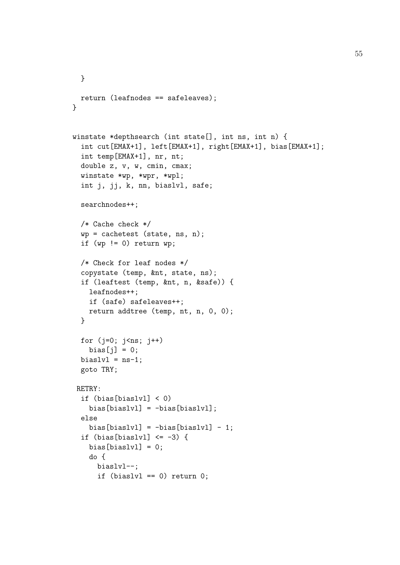```
}
 return (leafnodes == safeleaves);
}
winstate *depthsearch (int state[], int ns, int n) {
 int cut[EMAX+1], left[EMAX+1], right[EMAX+1], bias[EMAX+1];
 int temp[EMAX+1], nr, nt;
 double z, v, w, cmin, cmax;
 winstate *wp, *wpr, *wpl;
 int j, jj, k, nn, biaslvl, safe;
 searchnodes++;
 /* Cache check */
 wp = cachetest (state, ns, n);
 if (wp != 0) return wp;
 /* Check for leaf nodes */
 copystate (temp, &nt, state, ns);
 if (leaftest (temp, &nt, n, &safe)) {
   leafnodes++;
   if (safe) safeleaves++;
   return addtree (temp, nt, n, 0, 0);
 }
 for (j=0; j<ns; j++)bias[j] = 0;bias1v1 = ns-1;goto TRY;
RETRY:
 if (bias[biaslvl] < 0)
   bias[biaslvl] = -bias[biaslvl];
 else
   bias[biaslvl] = -bias[biaslv] - 1;if (bias[biaslvl] \leq -3) {
   bias[biaslv1] = 0;do {
     biaslvl--;
      if (biaslvl == 0) return 0;
```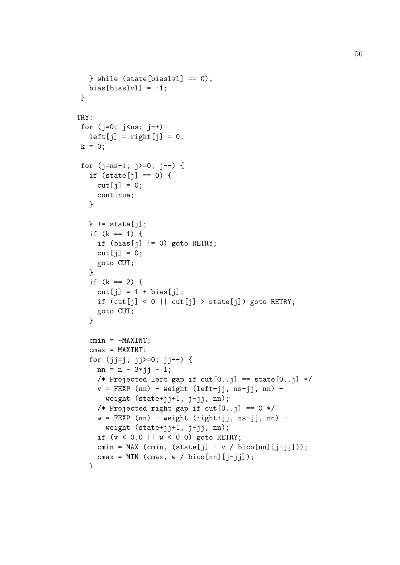```
} while (state[biaslvl] == 0);
  bias[biaslv1] = -1;
 }
TRY:
 for (j=0; j<ns; j++)left[j] = right[j] = 0;k = 0;for (j=ns-1; j>=0; j--) {
   if (\text{state}[j] == 0) {
     cut[j] = 0;continue;
   }
   k \leftarrow state[j];
   if (k == 1) {
     if (bias[j] != 0) goto RETRY;
     cut[j] = 0;goto CUT;
   }
   if (k == 2) {
     cut[j] = 1 + bias[j];if (cut[j] < 0 || cut[j] > state[j]) goto RETRY;
     goto CUT;
   }
   cmin = -MAXINT;cmax = MAXINT;for (jj=j; jj>=0; jj--) {
     nn = n - 3*jj - 1;/* Projected left gap if cut[0..j] == state[0..j] */v = FEXP (nn) - weight (left+jj, ns-jj, nn) -
       weight (state+jj+1, j-jj, nn);
     /* Projected right gap if cut[0..i] == 0 */w = FEXP (nn) - weight (right+jj, ns-jj, nn) -
       weight (state+jj+1, j-jj, nn);
     if (v < 0.0 || w < 0.0) goto RETRY;
     cmin = MAX (cmin, (\text{state}[j] - v / \text{bico}[nn][j-jj]));
     cmax = MIN (cmax, w / bico[nn][j-jjj));}
```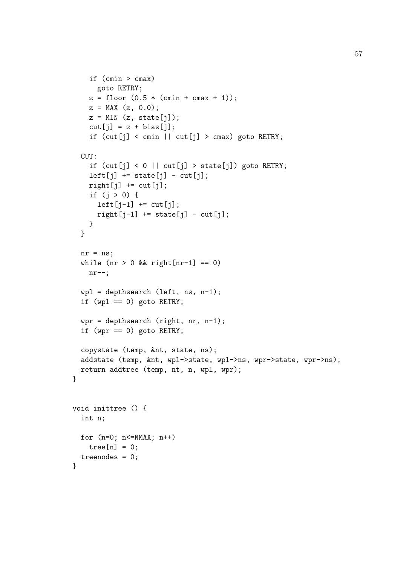```
if (cmin > cmax)
     goto RETRY;
   z = floor (0.5 * (cmin + cmax + 1));z = MAX (z, 0.0);z = MIN(z, state[j]);cut[j] = z + bias[j];if (cut[j] < cmin || cut[j] > cmax) goto RETRY;
 CUT:
    if (cut[j] < 0 || cut[j] > state[j]) goto RETRY;
   left[j] += state[j] - cut[j];
   right[j] += cut[j];if (j > 0) {
     left[j-1] += cut[j];right[j-1] += state[j] - cut[j];}
 }
 nr = ns;while (nr > 0 && right[nr-1] == 0)nr--;wp1 = depthsearch (left, ns, n-1);if (wpl == 0) goto RETRY;
 wpr = depthsearch (right, nr, n-1);
 if (wpr == 0) goto RETRY;
 copystate (temp, &nt, state, ns);
 addstate (temp, &nt, wpl->state, wpl->ns, wpr->state, wpr->ns);
 return addtree (temp, nt, n, wpl, wpr);
}
void inittree () {
 int n;
 for (n=0; n<=NMAX; n++)
   tree[n] = 0;treenodes = 0;
}
```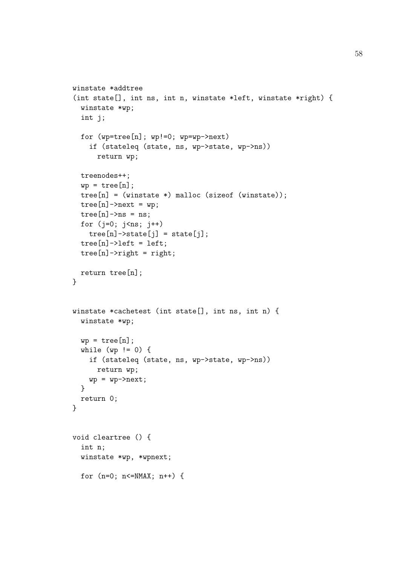```
winstate *addtree
(int state[], int ns, int n, winstate *left, winstate *right) {
  winstate *wp;
  int j;
  for (wp=tree[n]; wp!=0; wp=wp->next)
    if (stateleq (state, ns, wp->state, wp->ns))
      return wp;
  treenodes++;
  wp = tree[n];tree[n] = (winstein*) malloc (sizeof (winstate));
  tree[n]-\text{next} = wp;tree[n]->ns = ns;for (i=0; i<ns; i++)tree[n] \rightarrow state[j] = state[j];tree[n]-\geq left = left;tree[n]-\geq right = right;return tree[n];
}
winstate *cachetest (int state[], int ns, int n) {
  winstate *wp;
  wp = tree[n];
  while (wp != 0) {
    if (stateleq (state, ns, wp->state, wp->ns))
      return wp;
    wp = wp->next;}
  return 0;
}
void cleartree () {
  int n;
  winstate *wp, *wpnext;
  for (n=0; n<=NMAX; n++) {
```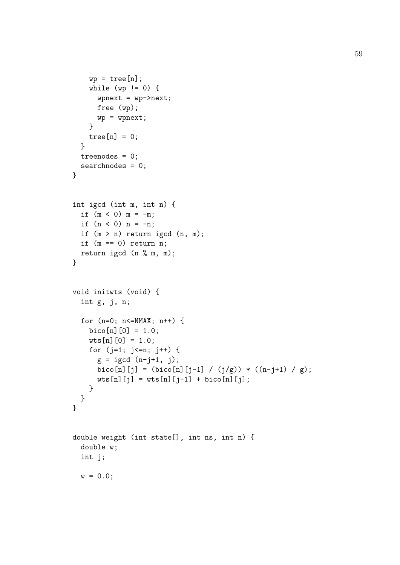```
wp = tree[n];while (wp != 0) {
      wpnext = wp->next;
     free (wp);
     wp = wpnext;}
    tree[n] = 0;}
  treenodes = 0;
  searchnodes = 0;
}
int igcd (int m, int n) {
 if (m < 0) m = -m;
  if (n < 0) n = -n;
  if (m > n) return igcd (n, m);
  if (m == 0) return n;
 return igcd (n % m, m);
}
void initwts (void) {
  int g, j, n;
  for (n=0; n<=NMAX; n++) {
    bico[n][0] = 1.0;wts[n][0] = 1.0;for (j=1; j<=n; j++) {
      g = igcd (n-j+1, j);bico[n][j] = (bico[n][j-1] / (j/g)) * ((n-j+1) / g);
      wts[n][j] = wts[n][j-1] + bico[n][j];}
 }
}
double weight (int state[], int ns, int n) {
  double w;
  int j;
 w = 0.0;
```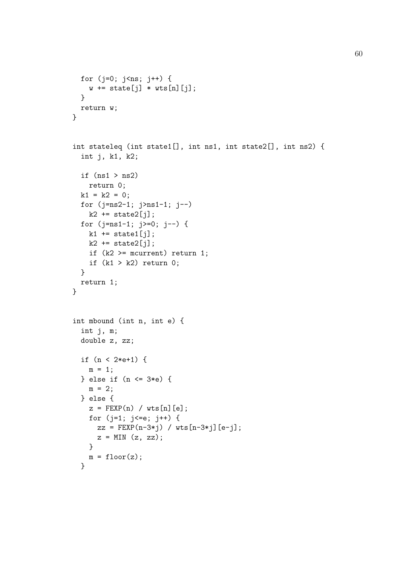```
for (j=0; j<ns; j++) {
    w \leftarrow state[j] * wts[n][j];
  }
 return w;
}
int stateleq (int state1[], int ns1, int state2[], int ns2) {
  int j, k1, k2;
  if (ns1 > ns2)return 0;
 k1 = k2 = 0;for (j=ns2-1; j>ns1-1; j--)
    k2 += state2[j];
 for (j=ns1-1; j>=0; j--) {
   k1 += state1[j];
   k2 == state2[j];if (k2 \geq m \text{ current}) return 1;
    if (k1 > k2) return 0;
 }
 return 1;
}
int mbound (int n, int e) {
  int j, m;
  double z, zz;
  if (n < 2*e+1) {
   m = 1;} else if (n <= 3*e) {
   m = 2;} else {
   z = FEXP(n) / wts[n][e];
    for (j=1; j<=e; j++) {
      zz = FEXP(n-3*j) / wts[n-3*j][e-j];
      z = MIN(z, zz);}
   m = floor(z);
  }
```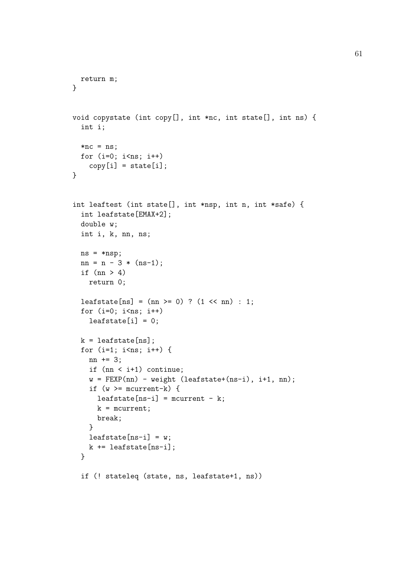```
return m;
}
void copystate (int copy[], int *nc, int state[], int ns) {
  int i;
  *nc = ns;for (i=0; i<ns; i++)copy[i] = state[i];}
int leaftest (int state[], int *nsp, int n, int *safe) {
  int leafstate[EMAX+2];
  double w;
  int i, k, nn, ns;
 ns = *nsp;nn = n - 3 * (ns-1);if (nn > 4)return 0;
  leafstate[ns] = (nn \ge 0) ? (1 \le mn) : 1;
  for (i=0; i<ns; i++)leafstate[i] = 0;k = leafstate[ns];
  for (i=1; i<ns; i++) {
   nn += 3;
    if (nn < i+1) continue;
    w = FEXP(nn) - weight (leafstate+(ns-i), i+1, nn);if (w \ge m mcurrent-k) {
      leafstate[ns-i] = mcurrent - k;k = mcurrent;
      break;
    }
   leafstate[ns-i] = w;k += leafstate[ns-i];
  }
  if (! stateleq (state, ns, leafstate+1, ns))
```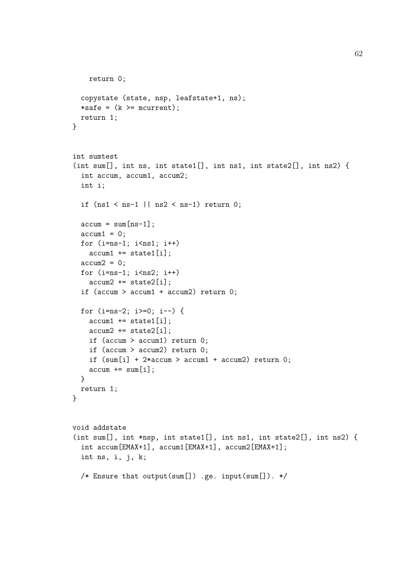```
return 0;
  copystate (state, nsp, leafstate+1, ns);
  *safe = (k \geq = mcurrent);
  return 1;
}
int sumtest
(int sum[], int ns, int state1[], int ns1, int state2[], int ns2) {
  int accum, accum1, accum2;
  int i;
  if (ns1 < ns-1 || ns2 < ns-1) return 0;
  \text{accum} = \text{sum}[ns-1];\text{accum1} = 0;
  for (i=ns-1; i\leq nsl; i++)\text{accum1} += \text{state1[i]};\text{accum2} = 0;
  for (i=ns-1; i<ns2; i++)\text{accum2} += \text{state2[i]};if (accum > accum1 + accum2) return 0;
  for (i=ns-2; i>=0; i--) {
    \text{accum1} += \text{state1[i]};\text{accum2} += \text{state2[i]};
    if (accum > accum1) return 0;
    if (accum > accum2) return 0;
    if (sum[i] + 2*accum > accum1 + accum2) return 0;\text{accum} += \text{sum}[i];}
 return 1;
}
void addstate
(int sum[], int *nsp, int state1[], int ns1, int state2[], int ns2) {
  int accum[EMAX+1], accum1[EMAX+1], accum2[EMAX+1];
  int ns, i, j, k;
  /* Ensure that output(sum[]) .ge. input(sum[]). */
```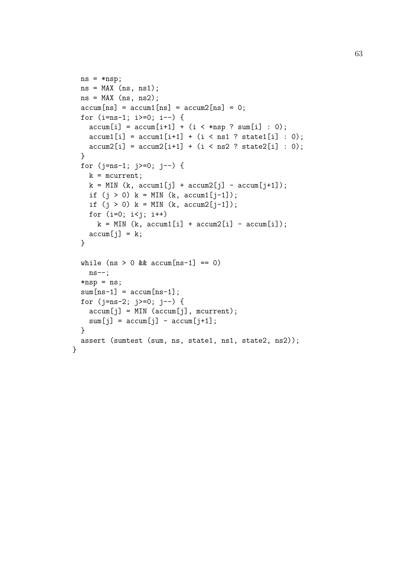```
ns = *nsp;ns = MAX(ns, ns1);ns = MAX (ns, ns2);\text{accum}[ns] = \text{accum}[ns] = \text{accum2}[ns] = 0;for (i=ns-1; i>=0; i--) {
    \text{accum}[i] = \text{accum}[i+1] + (i \lt \text{insp} ? \text{sum}[i] : 0);\text{accum1[i]} = \text{accum1[i+1]} + (i \leq \text{ns1} \text{ ? state1[i]} : 0);\text{accum2}[i] = \text{accum2}[i+1] + (i \leq n s 2 \text{ ? state2}[i] : 0);}
  for (j=ns-1; j>=0; j--) {
    k = mcurrent;
    k = MIN (k, <i>accum1[j] + <i>accum2[j] - <i>accum[j+1]</i>);
    if (j > 0) k = MIN (k, \text{accum1}[j-1]);
    if (j > 0) k = MIN (k, \text{accum2}[j-1]);
    for (i=0; i < j; i++)k = MIN (k, \text{accum1[i]} + \text{accum2[i]} - \text{accum}[i]);\text{accum}[j] = k;}
  while (ns > 0 && accum [ns-1] == 0)ns--;
  *nsp = ns;
  sum[ns-1] = accum[ns-1];for (j=ns-2; j>=0; j--) {
    \text{accum}[j] = \text{MIN} (\text{accum}[j], \text{mcurrent});sum[j] = accum[j] - accum[j+1];}
  assert (sumtest (sum, ns, state1, ns1, state2, ns2));
}
```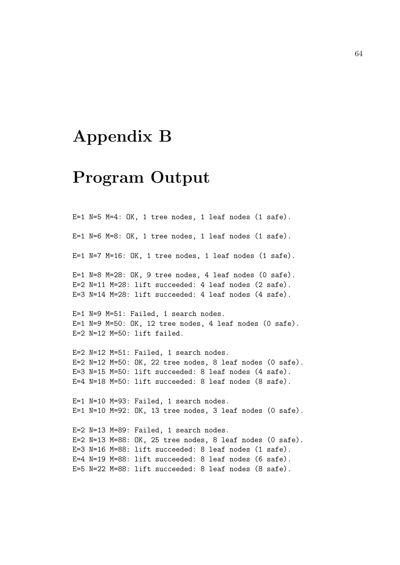# Appendix B

# Program Output

E=1 N=5 M=4: OK, 1 tree nodes, 1 leaf nodes (1 safe). E=1 N=6 M=8: OK, 1 tree nodes, 1 leaf nodes (1 safe). E=1 N=7 M=16: OK, 1 tree nodes, 1 leaf nodes (1 safe). E=1 N=8 M=28: OK, 9 tree nodes, 4 leaf nodes (0 safe). E=2 N=11 M=28: lift succeeded: 4 leaf nodes (2 safe). E=3 N=14 M=28: lift succeeded: 4 leaf nodes (4 safe). E=1 N=9 M=51: Failed, 1 search nodes. E=1 N=9 M=50: OK, 12 tree nodes, 4 leaf nodes (0 safe). E=2 N=12 M=50: lift failed. E=2 N=12 M=51: Failed, 1 search nodes. E=2 N=12 M=50: OK, 22 tree nodes, 8 leaf nodes (0 safe). E=3 N=15 M=50: lift succeeded: 8 leaf nodes (4 safe). E=4 N=18 M=50: lift succeeded: 8 leaf nodes (8 safe). E=1 N=10 M=93: Failed, 1 search nodes. E=1 N=10 M=92: OK, 13 tree nodes, 3 leaf nodes (0 safe). E=2 N=13 M=89: Failed, 1 search nodes. E=2 N=13 M=88: OK, 25 tree nodes, 8 leaf nodes (0 safe). E=3 N=16 M=88: lift succeeded: 8 leaf nodes (1 safe). E=4 N=19 M=88: lift succeeded: 8 leaf nodes (6 safe). E=5 N=22 M=88: lift succeeded: 8 leaf nodes (8 safe).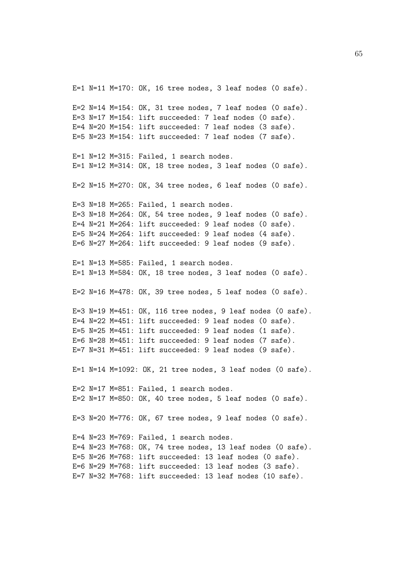E=1  $N=11$   $M=170$ : OK, 16 tree nodes, 3 leaf nodes (0 safe). E=2 N=14 M=154: OK, 31 tree nodes, 7 leaf nodes (0 safe). E=3 N=17 M=154: lift succeeded: 7 leaf nodes (0 safe). E=4 N=20 M=154: lift succeeded: 7 leaf nodes (3 safe). E=5 N=23 M=154: lift succeeded: 7 leaf nodes (7 safe). E=1 N=12 M=315: Failed, 1 search nodes. E=1 N=12 M=314: OK, 18 tree nodes, 3 leaf nodes (0 safe). E=2 N=15 M=270: OK, 34 tree nodes, 6 leaf nodes (0 safe). E=3 N=18 M=265: Failed, 1 search nodes. E=3 N=18 M=264: OK, 54 tree nodes, 9 leaf nodes (0 safe). E=4 N=21 M=264: lift succeeded: 9 leaf nodes (0 safe). E=5 N=24 M=264: lift succeeded: 9 leaf nodes (4 safe). E=6 N=27 M=264: lift succeeded: 9 leaf nodes (9 safe). E=1 N=13 M=585: Failed, 1 search nodes. E=1 N=13 M=584: OK, 18 tree nodes, 3 leaf nodes (0 safe). E=2 N=16 M=478: OK, 39 tree nodes, 5 leaf nodes (0 safe). E=3 N=19 M=451: OK, 116 tree nodes, 9 leaf nodes (0 safe). E=4 N=22 M=451: lift succeeded: 9 leaf nodes (0 safe). E=5 N=25 M=451: lift succeeded: 9 leaf nodes (1 safe). E=6 N=28 M=451: lift succeeded: 9 leaf nodes (7 safe). E=7 N=31 M=451: lift succeeded: 9 leaf nodes (9 safe). E=1 N=14 M=1092: OK, 21 tree nodes, 3 leaf nodes (0 safe). E=2 N=17 M=851: Failed, 1 search nodes. E=2 N=17 M=850: OK, 40 tree nodes, 5 leaf nodes (0 safe). E=3 N=20 M=776: OK, 67 tree nodes, 9 leaf nodes (0 safe). E=4 N=23 M=769: Failed, 1 search nodes. E=4 N=23 M=768: OK, 74 tree nodes, 13 leaf nodes (0 safe). E=5 N=26 M=768: lift succeeded: 13 leaf nodes (0 safe). E=6 N=29 M=768: lift succeeded: 13 leaf nodes (3 safe). E=7 N=32 M=768: lift succeeded: 13 leaf nodes (10 safe).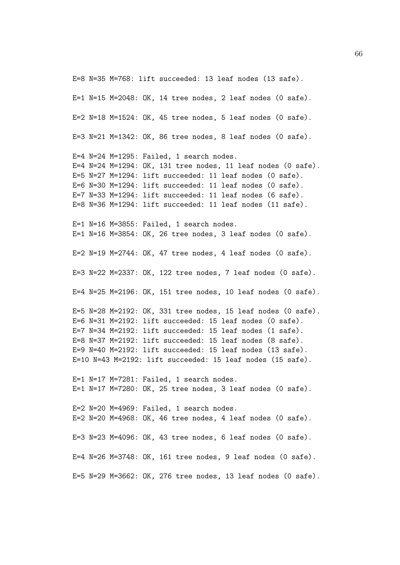E=8 N=35 M=768: lift succeeded: 13 leaf nodes (13 safe). E=1 N=15 M=2048: OK, 14 tree nodes, 2 leaf nodes (0 safe). E=2 N=18 M=1524: OK, 45 tree nodes, 5 leaf nodes (0 safe). E=3 N=21 M=1342: OK, 86 tree nodes, 8 leaf nodes (0 safe). E=4 N=24 M=1295: Failed, 1 search nodes. E=4 N=24 M=1294: OK, 131 tree nodes, 11 leaf nodes (0 safe). E=5 N=27 M=1294: lift succeeded: 11 leaf nodes (0 safe). E=6 N=30 M=1294: lift succeeded: 11 leaf nodes (0 safe). E=7 N=33 M=1294: lift succeeded: 11 leaf nodes (6 safe). E=8 N=36 M=1294: lift succeeded: 11 leaf nodes (11 safe). E=1 N=16 M=3855: Failed, 1 search nodes. E=1 N=16 M=3854: OK, 26 tree nodes, 3 leaf nodes (0 safe). E=2 N=19 M=2744: OK, 47 tree nodes, 4 leaf nodes (0 safe). E=3 N=22 M=2337: OK, 122 tree nodes, 7 leaf nodes (0 safe). E=4 N=25 M=2196: OK, 151 tree nodes, 10 leaf nodes (0 safe). E=5 N=28 M=2192: OK, 331 tree nodes, 15 leaf nodes (0 safe). E=6 N=31 M=2192: lift succeeded: 15 leaf nodes (0 safe). E=7 N=34 M=2192: lift succeeded: 15 leaf nodes (1 safe). E=8 N=37 M=2192: lift succeeded: 15 leaf nodes (8 safe). E=9 N=40 M=2192: lift succeeded: 15 leaf nodes (13 safe). E=10 N=43 M=2192: lift succeeded: 15 leaf nodes (15 safe). E=1 N=17 M=7281: Failed, 1 search nodes. E=1 N=17 M=7280: OK, 25 tree nodes, 3 leaf nodes (0 safe). E=2 N=20 M=4969: Failed, 1 search nodes. E=2 N=20 M=4968: OK, 46 tree nodes, 4 leaf nodes (0 safe). E=3 N=23 M=4096: OK, 43 tree nodes, 6 leaf nodes (0 safe). E=4 N=26 M=3748: OK, 161 tree nodes, 9 leaf nodes (0 safe). E=5 N=29 M=3662: OK, 276 tree nodes, 13 leaf nodes (0 safe).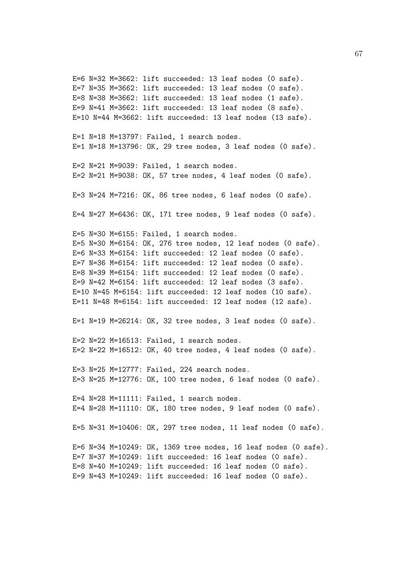E=6 N=32 M=3662: lift succeeded: 13 leaf nodes (0 safe). E=7 N=35 M=3662: lift succeeded: 13 leaf nodes (0 safe). E=8 N=38 M=3662: lift succeeded: 13 leaf nodes (1 safe). E=9 N=41 M=3662: lift succeeded: 13 leaf nodes (8 safe). E=10 N=44 M=3662: lift succeeded: 13 leaf nodes (13 safe). E=1 N=18 M=13797: Failed, 1 search nodes. E=1 N=18 M=13796: OK, 29 tree nodes, 3 leaf nodes (0 safe). E=2 N=21 M=9039: Failed, 1 search nodes. E=2 N=21 M=9038: OK, 57 tree nodes, 4 leaf nodes (0 safe). E=3 N=24 M=7216: OK, 86 tree nodes, 6 leaf nodes (0 safe). E=4 N=27 M=6436: OK, 171 tree nodes, 9 leaf nodes (0 safe). E=5 N=30 M=6155: Failed, 1 search nodes. E=5 N=30 M=6154: OK, 276 tree nodes, 12 leaf nodes (0 safe). E=6 N=33 M=6154: lift succeeded: 12 leaf nodes (0 safe). E=7 N=36 M=6154: lift succeeded: 12 leaf nodes (0 safe). E=8 N=39 M=6154: lift succeeded: 12 leaf nodes (0 safe). E=9 N=42 M=6154: lift succeeded: 12 leaf nodes (3 safe). E=10 N=45 M=6154: lift succeeded: 12 leaf nodes  $(10 \text{ safe})$ . E=11 N=48 M=6154: lift succeeded: 12 leaf nodes (12 safe). E=1 N=19 M=26214: OK, 32 tree nodes, 3 leaf nodes (0 safe). E=2 N=22 M=16513: Failed, 1 search nodes. E=2 N=22 M=16512: OK, 40 tree nodes, 4 leaf nodes (0 safe). E=3 N=25 M=12777: Failed, 224 search nodes. E=3 N=25 M=12776: OK, 100 tree nodes, 6 leaf nodes (0 safe). E=4 N=28 M=11111: Failed, 1 search nodes. E=4 N=28 M=11110: OK, 180 tree nodes, 9 leaf nodes (0 safe). E=5 N=31 M=10406: OK, 297 tree nodes, 11 leaf nodes (0 safe). E=6 N=34 M=10249: OK, 1369 tree nodes, 16 leaf nodes (0 safe). E=7 N=37 M=10249: lift succeeded: 16 leaf nodes (0 safe). E=8 N=40 M=10249: lift succeeded: 16 leaf nodes (0 safe). E=9 N=43 M=10249: lift succeeded: 16 leaf nodes (0 safe).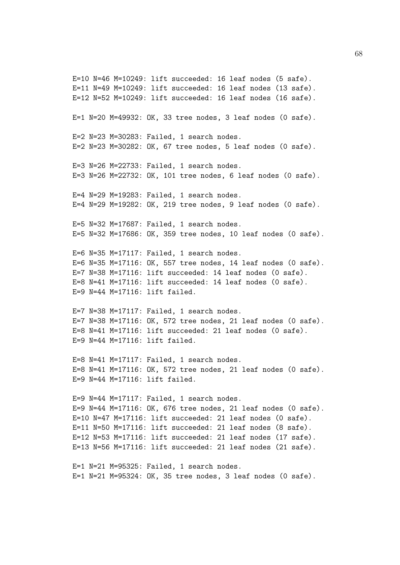E=10  $N=46$   $M=10249$ : lift succeeded: 16 leaf nodes (5 safe).  $E=11$  N=49 M=10249: lift succeeded: 16 leaf nodes (13 safe). E=12 N=52 M=10249: lift succeeded: 16 leaf nodes (16 safe). E=1 N=20 M=49932: OK, 33 tree nodes, 3 leaf nodes (0 safe). E=2 N=23 M=30283: Failed, 1 search nodes. E=2 N=23 M=30282: OK, 67 tree nodes, 5 leaf nodes (0 safe). E=3 N=26 M=22733: Failed, 1 search nodes. E=3 N=26 M=22732: OK, 101 tree nodes, 6 leaf nodes (0 safe). E=4 N=29 M=19283: Failed, 1 search nodes. E=4 N=29 M=19282: OK, 219 tree nodes, 9 leaf nodes (0 safe). E=5 N=32 M=17687: Failed, 1 search nodes. E=5 N=32 M=17686: OK, 359 tree nodes, 10 leaf nodes (0 safe). E=6 N=35 M=17117: Failed, 1 search nodes. E=6 N=35 M=17116: OK, 557 tree nodes, 14 leaf nodes (0 safe). E=7 N=38 M=17116: lift succeeded: 14 leaf nodes (0 safe). E=8 N=41 M=17116: lift succeeded: 14 leaf nodes (0 safe). E=9 N=44 M=17116: lift failed. E=7 N=38 M=17117: Failed, 1 search nodes. E=7 N=38 M=17116: OK, 572 tree nodes, 21 leaf nodes (0 safe). E=8 N=41 M=17116: lift succeeded: 21 leaf nodes (0 safe). E=9 N=44 M=17116: lift failed. E=8 N=41 M=17117: Failed, 1 search nodes. E=8 N=41 M=17116: OK, 572 tree nodes, 21 leaf nodes (0 safe). E=9 N=44 M=17116: lift failed. E=9 N=44 M=17117: Failed, 1 search nodes. E=9 N=44 M=17116: OK, 676 tree nodes, 21 leaf nodes (0 safe). E=10 N=47 M=17116: lift succeeded: 21 leaf nodes (0 safe). E=11 N=50 M=17116: lift succeeded: 21 leaf nodes (8 safe). E=12 N=53 M=17116: lift succeeded: 21 leaf nodes (17 safe). E=13 N=56 M=17116: lift succeeded: 21 leaf nodes (21 safe). E=1 N=21 M=95325: Failed, 1 search nodes. E=1 N=21 M=95324: OK, 35 tree nodes, 3 leaf nodes (0 safe).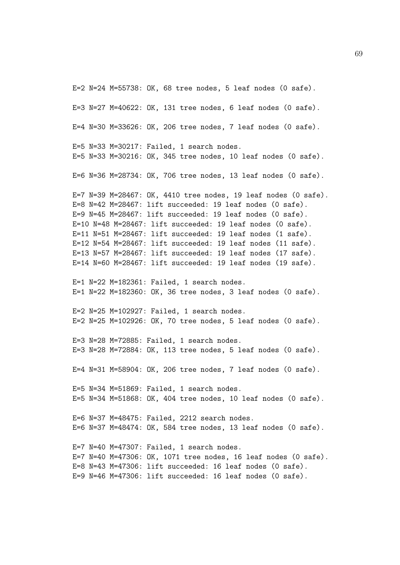E=2  $N=24$   $M=55738$ : OK, 68 tree nodes, 5 leaf nodes (0 safe). E=3 N=27 M=40622: OK, 131 tree nodes, 6 leaf nodes (0 safe). E=4 N=30 M=33626: OK, 206 tree nodes, 7 leaf nodes (0 safe). E=5 N=33 M=30217: Failed, 1 search nodes. E=5 N=33 M=30216: OK, 345 tree nodes, 10 leaf nodes (0 safe). E=6 N=36 M=28734: OK, 706 tree nodes, 13 leaf nodes (0 safe). E=7 N=39 M=28467: OK, 4410 tree nodes, 19 leaf nodes (0 safe). E=8 N=42 M=28467: lift succeeded: 19 leaf nodes (0 safe). E=9 N=45 M=28467: lift succeeded: 19 leaf nodes (0 safe). E=10 N=48 M=28467: lift succeeded: 19 leaf nodes (0 safe). E=11 N=51 M=28467: lift succeeded: 19 leaf nodes (1 safe). E=12 N=54 M=28467: lift succeeded: 19 leaf nodes (11 safe). E=13 N=57 M=28467: lift succeeded: 19 leaf nodes (17 safe). E=14 N=60 M=28467: lift succeeded: 19 leaf nodes (19 safe). E=1 N=22 M=182361: Failed, 1 search nodes. E=1 N=22 M=182360: OK, 36 tree nodes, 3 leaf nodes (0 safe). E=2 N=25 M=102927: Failed, 1 search nodes. E=2 N=25 M=102926: OK, 70 tree nodes, 5 leaf nodes (0 safe). E=3 N=28 M=72885: Failed, 1 search nodes. E=3 N=28 M=72884: OK, 113 tree nodes, 5 leaf nodes (0 safe). E=4 N=31 M=58904: OK, 206 tree nodes, 7 leaf nodes (0 safe). E=5 N=34 M=51869: Failed, 1 search nodes. E=5 N=34 M=51868: OK, 404 tree nodes, 10 leaf nodes (0 safe). E=6 N=37 M=48475: Failed, 2212 search nodes. E=6 N=37 M=48474: OK, 584 tree nodes, 13 leaf nodes (0 safe). E=7 N=40 M=47307: Failed, 1 search nodes. E=7 N=40 M=47306: OK, 1071 tree nodes, 16 leaf nodes (0 safe). E=8 N=43 M=47306: lift succeeded: 16 leaf nodes (0 safe). E=9 N=46 M=47306: lift succeeded: 16 leaf nodes (0 safe).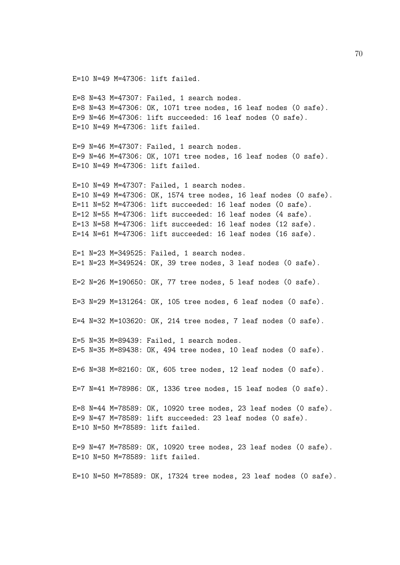E=10 N=49 M=47306: lift failed.

E=8 N=43 M=47307: Failed, 1 search nodes. E=8 N=43 M=47306: OK, 1071 tree nodes, 16 leaf nodes (0 safe). E=9 N=46 M=47306: lift succeeded: 16 leaf nodes (0 safe). E=10 N=49 M=47306: lift failed.

E=9 N=46 M=47307: Failed, 1 search nodes. E=9 N=46 M=47306: OK, 1071 tree nodes, 16 leaf nodes (0 safe). E=10 N=49 M=47306: lift failed.

E=10 N=49 M=47307: Failed, 1 search nodes. E=10 N=49 M=47306: OK, 1574 tree nodes, 16 leaf nodes (0 safe). E=11 N=52 M=47306: lift succeeded: 16 leaf nodes (0 safe). E=12 N=55 M=47306: lift succeeded: 16 leaf nodes (4 safe). E=13 N=58 M=47306: lift succeeded: 16 leaf nodes (12 safe). E=14 N=61 M=47306: lift succeeded: 16 leaf nodes (16 safe).

E=1 N=23 M=349525: Failed, 1 search nodes. E=1 N=23 M=349524: OK, 39 tree nodes, 3 leaf nodes (0 safe).

E=2 N=26 M=190650: OK, 77 tree nodes, 5 leaf nodes (0 safe).

E=3 N=29 M=131264: OK, 105 tree nodes, 6 leaf nodes (0 safe).

E=4 N=32 M=103620: OK, 214 tree nodes, 7 leaf nodes (0 safe).

E=5 N=35 M=89439: Failed, 1 search nodes. E=5 N=35 M=89438: OK, 494 tree nodes, 10 leaf nodes (0 safe).

E=6 N=38 M=82160: OK, 605 tree nodes, 12 leaf nodes (0 safe).

E=7 N=41 M=78986: OK, 1336 tree nodes, 15 leaf nodes (0 safe).

E=8 N=44 M=78589: OK, 10920 tree nodes, 23 leaf nodes (0 safe). E=9 N=47 M=78589: lift succeeded: 23 leaf nodes (0 safe). E=10 N=50 M=78589: lift failed.

E=9 N=47 M=78589: OK, 10920 tree nodes, 23 leaf nodes (0 safe). E=10 N=50 M=78589: lift failed.

E=10 N=50 M=78589: OK, 17324 tree nodes, 23 leaf nodes (0 safe).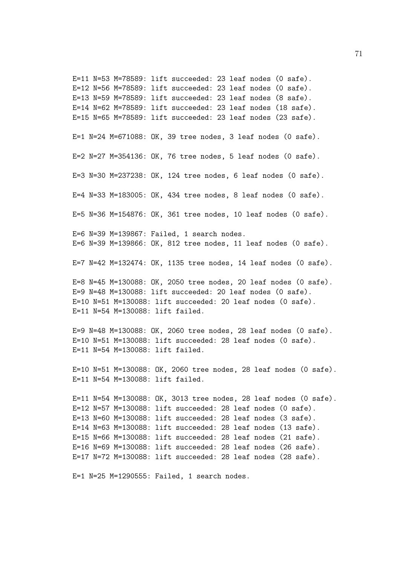E=11 N=53 M=78589: lift succeeded: 23 leaf nodes (0 safe). E=12 N=56 M=78589: lift succeeded: 23 leaf nodes  $(0 \text{ safe})$ . E=13 N=59 M=78589: lift succeeded: 23 leaf nodes (8 safe). E=14 N=62 M=78589: lift succeeded: 23 leaf nodes (18 safe). E=15 N=65 M=78589: lift succeeded: 23 leaf nodes (23 safe). E=1 N=24 M=671088: OK, 39 tree nodes, 3 leaf nodes (0 safe). E=2 N=27 M=354136: OK, 76 tree nodes, 5 leaf nodes (0 safe). E=3 N=30 M=237238: OK, 124 tree nodes, 6 leaf nodes (0 safe). E=4 N=33 M=183005: OK, 434 tree nodes, 8 leaf nodes (0 safe). E=5 N=36 M=154876: OK, 361 tree nodes, 10 leaf nodes (0 safe). E=6 N=39 M=139867: Failed, 1 search nodes. E=6 N=39 M=139866: OK, 812 tree nodes, 11 leaf nodes (0 safe). E=7 N=42 M=132474: OK, 1135 tree nodes, 14 leaf nodes (0 safe). E=8 N=45 M=130088: OK, 2050 tree nodes, 20 leaf nodes (0 safe). E=9  $N=48$   $M=130088$ : lift succeeded: 20 leaf nodes  $(0 \text{ safe})$ . E=10 N=51 M=130088: lift succeeded: 20 leaf nodes (0 safe). E=11 N=54 M=130088: lift failed. E=9 N=48 M=130088: OK, 2060 tree nodes, 28 leaf nodes (0 safe). E=10 N=51 M=130088: lift succeeded: 28 leaf nodes (0 safe). E=11 N=54 M=130088: lift failed. E=10 N=51 M=130088: OK, 2060 tree nodes, 28 leaf nodes (0 safe). E=11 N=54 M=130088: lift failed. E=11 N=54 M=130088: OK, 3013 tree nodes, 28 leaf nodes (0 safe). E=12 N=57 M=130088: lift succeeded: 28 leaf nodes (0 safe). E=13 N=60 M=130088: lift succeeded: 28 leaf nodes (3 safe). E=14 N=63 M=130088: lift succeeded: 28 leaf nodes (13 safe). E=15 N=66 M=130088: lift succeeded: 28 leaf nodes (21 safe). E=16 N=69 M=130088: lift succeeded: 28 leaf nodes (26 safe).

E=1 N=25 M=1290555: Failed, 1 search nodes.

E=17 N=72 M=130088: lift succeeded: 28 leaf nodes (28 safe).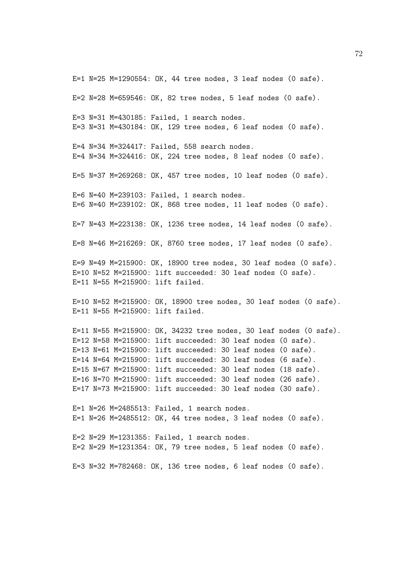E=1 N=25 M=1290554: OK, 44 tree nodes, 3 leaf nodes (0 safe).

E=2 N=28 M=659546: OK, 82 tree nodes, 5 leaf nodes (0 safe).

E=3 N=31 M=430185: Failed, 1 search nodes. E=3 N=31 M=430184: OK, 129 tree nodes, 6 leaf nodes (0 safe).

E=4 N=34 M=324417: Failed, 558 search nodes. E=4 N=34 M=324416: OK, 224 tree nodes, 8 leaf nodes (0 safe).

E=5 N=37 M=269268: OK, 457 tree nodes, 10 leaf nodes (0 safe).

E=6 N=40 M=239103: Failed, 1 search nodes. E=6 N=40 M=239102: OK, 868 tree nodes, 11 leaf nodes (0 safe).

E=7 N=43 M=223138: OK, 1236 tree nodes, 14 leaf nodes (0 safe).

E=8 N=46 M=216269: OK, 8760 tree nodes, 17 leaf nodes (0 safe).

E=9 N=49 M=215900: OK, 18900 tree nodes, 30 leaf nodes (0 safe). E=10 N=52 M=215900: lift succeeded: 30 leaf nodes (0 safe). E=11 N=55 M=215900: lift failed.

E=10 N=52 M=215900: OK, 18900 tree nodes, 30 leaf nodes (0 safe). E=11 N=55 M=215900: lift failed.

E=11 N=55 M=215900: OK, 34232 tree nodes, 30 leaf nodes (0 safe). E=12 N=58 M=215900: lift succeeded: 30 leaf nodes (0 safe).  $E=13$  N=61 M=215900: lift succeeded: 30 leaf nodes (0 safe). E=14 N=64 M=215900: lift succeeded: 30 leaf nodes (6 safe). E=15 N=67 M=215900: lift succeeded: 30 leaf nodes (18 safe). E=16 N=70 M=215900: lift succeeded: 30 leaf nodes (26 safe). E=17 N=73 M=215900: lift succeeded: 30 leaf nodes (30 safe).

E=1 N=26 M=2485513: Failed, 1 search nodes. E=1 N=26 M=2485512: OK, 44 tree nodes, 3 leaf nodes (0 safe).

E=2 N=29 M=1231355: Failed, 1 search nodes. E=2 N=29 M=1231354: OK, 79 tree nodes, 5 leaf nodes (0 safe).

E=3 N=32 M=782468: OK, 136 tree nodes, 6 leaf nodes (0 safe).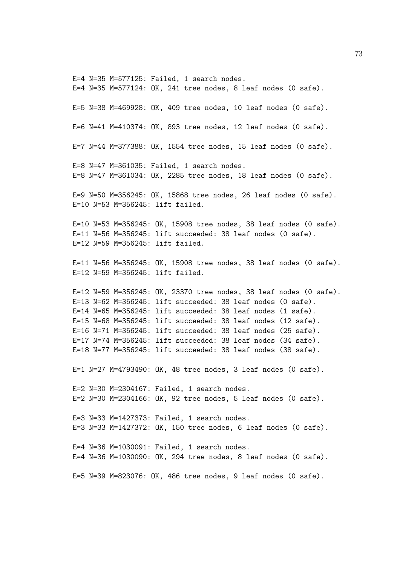E=4 N=35 M=577125: Failed, 1 search nodes. E=4 N=35 M=577124: OK, 241 tree nodes, 8 leaf nodes (0 safe). E=5 N=38 M=469928: OK, 409 tree nodes, 10 leaf nodes (0 safe). E=6 N=41 M=410374: OK, 893 tree nodes, 12 leaf nodes (0 safe). E=7 N=44 M=377388: OK, 1554 tree nodes, 15 leaf nodes (0 safe). E=8 N=47 M=361035: Failed, 1 search nodes. E=8 N=47 M=361034: OK, 2285 tree nodes, 18 leaf nodes (0 safe). E=9 N=50 M=356245: OK, 15868 tree nodes, 26 leaf nodes (0 safe). E=10 N=53 M=356245: lift failed. E=10 N=53 M=356245: OK, 15908 tree nodes, 38 leaf nodes (0 safe). E=11 N=56 M=356245: lift succeeded: 38 leaf nodes (0 safe). E=12 N=59 M=356245: lift failed. E=11 N=56 M=356245: OK, 15908 tree nodes, 38 leaf nodes (0 safe). E=12 N=59 M=356245: lift failed. E=12 N=59 M=356245: OK, 23370 tree nodes, 38 leaf nodes (0 safe). E=13 N=62 M=356245: lift succeeded: 38 leaf nodes (0 safe). E=14 N=65 M=356245: lift succeeded: 38 leaf nodes (1 safe). E=15 N=68 M=356245: lift succeeded: 38 leaf nodes (12 safe). E=16 N=71 M=356245: lift succeeded: 38 leaf nodes (25 safe). E=17 N=74 M=356245: lift succeeded: 38 leaf nodes (34 safe). E=18 N=77 M=356245: lift succeeded: 38 leaf nodes (38 safe). E=1 N=27 M=4793490: OK, 48 tree nodes, 3 leaf nodes (0 safe). E=2 N=30 M=2304167: Failed, 1 search nodes. E=2 N=30 M=2304166: OK, 92 tree nodes, 5 leaf nodes (0 safe). E=3 N=33 M=1427373: Failed, 1 search nodes. E=3 N=33 M=1427372: OK, 150 tree nodes, 6 leaf nodes (0 safe). E=4 N=36 M=1030091: Failed, 1 search nodes. E=4 N=36 M=1030090: OK, 294 tree nodes, 8 leaf nodes (0 safe). E=5 N=39 M=823076: OK, 486 tree nodes, 9 leaf nodes (0 safe).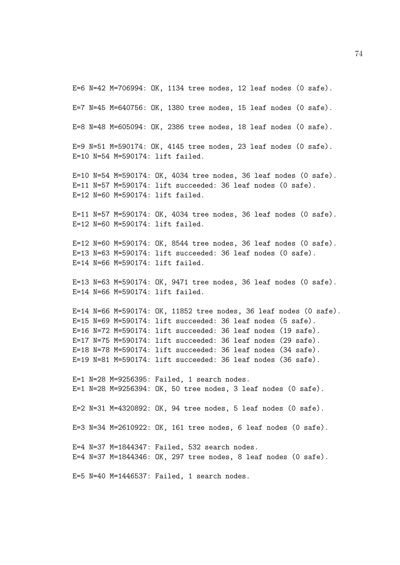E=6 N=42 M=706994: OK, 1134 tree nodes, 12 leaf nodes (0 safe).

E=7 N=45 M=640756: OK, 1380 tree nodes, 15 leaf nodes (0 safe).

E=8 N=48 M=605094: OK, 2386 tree nodes, 18 leaf nodes (0 safe).

E=9 N=51 M=590174: OK, 4145 tree nodes, 23 leaf nodes (0 safe). E=10 N=54 M=590174: lift failed.

E=10 N=54 M=590174: OK, 4034 tree nodes, 36 leaf nodes (0 safe). E=11 N=57 M=590174: lift succeeded: 36 leaf nodes (0 safe). E=12 N=60 M=590174: lift failed.

E=11 N=57 M=590174: OK, 4034 tree nodes, 36 leaf nodes (0 safe). E=12 N=60 M=590174: lift failed.

E=12 N=60 M=590174: OK, 8544 tree nodes, 36 leaf nodes (0 safe). E=13 N=63 M=590174: lift succeeded: 36 leaf nodes (0 safe). E=14 N=66 M=590174: lift failed.

E=13 N=63 M=590174: OK, 9471 tree nodes, 36 leaf nodes (0 safe). E=14 N=66 M=590174: lift failed.

E=14 N=66 M=590174: OK, 11852 tree nodes, 36 leaf nodes (0 safe). E=15 N=69 M=590174: lift succeeded: 36 leaf nodes (5 safe). E=16 N=72 M=590174: lift succeeded: 36 leaf nodes (19 safe). E=17 N=75 M=590174: lift succeeded: 36 leaf nodes (29 safe). E=18 N=78 M=590174: lift succeeded: 36 leaf nodes (34 safe). E=19 N=81 M=590174: lift succeeded: 36 leaf nodes (36 safe).

E=1 N=28 M=9256395: Failed, 1 search nodes. E=1 N=28 M=9256394: OK, 50 tree nodes, 3 leaf nodes (0 safe). E=2 N=31 M=4320892: OK, 94 tree nodes, 5 leaf nodes (0 safe). E=3 N=34 M=2610922: OK, 161 tree nodes, 6 leaf nodes (0 safe). E=4 N=37 M=1844347: Failed, 532 search nodes. E=4 N=37 M=1844346: OK, 297 tree nodes, 8 leaf nodes (0 safe). E=5 N=40 M=1446537: Failed, 1 search nodes.